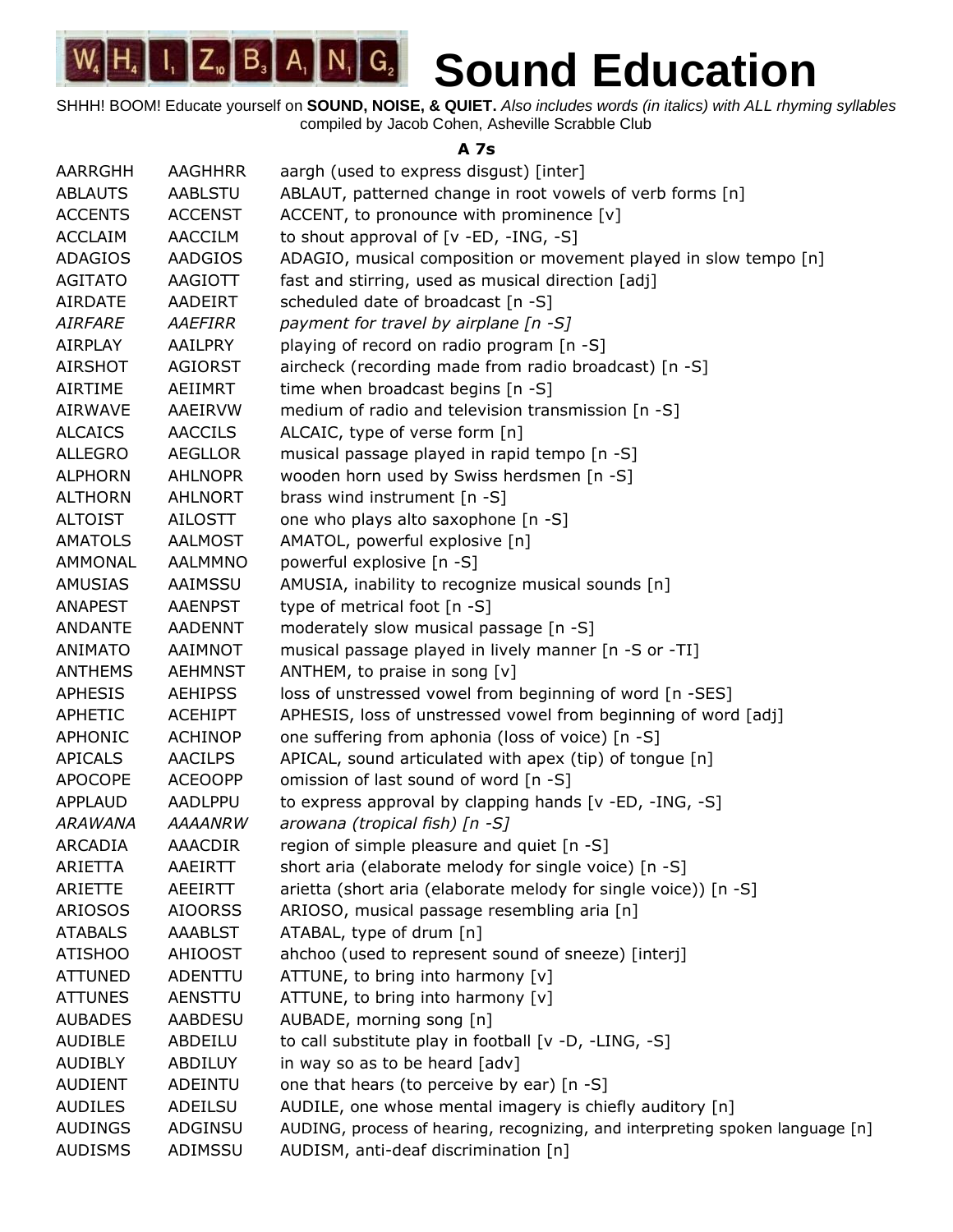SHHH! BOOM! Educate yourself on **SOUND, NOISE, & QUIET.** *Also includes words (in italics) with ALL rhyming syllables* compiled by Jacob Cohen, Asheville Scrabble Club

**A 7s**

| AARRGHH        | <b>AAGHHRR</b> | aargh (used to express disgust) [inter]                                       |
|----------------|----------------|-------------------------------------------------------------------------------|
| <b>ABLAUTS</b> | <b>AABLSTU</b> | ABLAUT, patterned change in root vowels of verb forms [n]                     |
| <b>ACCENTS</b> | <b>ACCENST</b> | ACCENT, to pronounce with prominence $[v]$                                    |
| <b>ACCLAIM</b> | AACCILM        | to shout approval of $[v - ED, -ING, -S]$                                     |
| <b>ADAGIOS</b> | <b>AADGIOS</b> | ADAGIO, musical composition or movement played in slow tempo [n]              |
| <b>AGITATO</b> | AAGIOTT        | fast and stirring, used as musical direction [adj]                            |
| <b>AIRDATE</b> | <b>AADEIRT</b> | scheduled date of broadcast [n -S]                                            |
| <b>AIRFARE</b> | AAEFIRR        | payment for travel by airplane [n -S]                                         |
| <b>AIRPLAY</b> | AAILPRY        | playing of record on radio program [n -S]                                     |
| <b>AIRSHOT</b> | <b>AGIORST</b> | aircheck (recording made from radio broadcast) [n -S]                         |
| <b>AIRTIME</b> | AEIIMRT        | time when broadcast begins [n -S]                                             |
| AIRWAVE        | AAEIRVW        | medium of radio and television transmission [n -S]                            |
| <b>ALCAICS</b> | <b>AACCILS</b> | ALCAIC, type of verse form [n]                                                |
| <b>ALLEGRO</b> | <b>AEGLLOR</b> | musical passage played in rapid tempo [n -S]                                  |
| <b>ALPHORN</b> | <b>AHLNOPR</b> | wooden horn used by Swiss herdsmen [n -S]                                     |
| <b>ALTHORN</b> | <b>AHLNORT</b> | brass wind instrument [n -S]                                                  |
| <b>ALTOIST</b> | <b>AILOSTT</b> | one who plays alto saxophone [n -S]                                           |
| <b>AMATOLS</b> | <b>AALMOST</b> | AMATOL, powerful explosive [n]                                                |
| AMMONAL        | AALMMNO        | powerful explosive [n -S]                                                     |
| AMUSIAS        | AAIMSSU        | AMUSIA, inability to recognize musical sounds [n]                             |
| <b>ANAPEST</b> | <b>AAENPST</b> | type of metrical foot [n -S]                                                  |
| <b>ANDANTE</b> | <b>AADENNT</b> | moderately slow musical passage [n -S]                                        |
| <b>ANIMATO</b> | <b>AAIMNOT</b> | musical passage played in lively manner [n -S or -TI]                         |
| <b>ANTHEMS</b> | <b>AEHMNST</b> | ANTHEM, to praise in song [v]                                                 |
| <b>APHESIS</b> | <b>AEHIPSS</b> | loss of unstressed vowel from beginning of word [n -SES]                      |
| APHETIC        | <b>ACEHIPT</b> | APHESIS, loss of unstressed vowel from beginning of word [adj]                |
| APHONIC        | <b>ACHINOP</b> | one suffering from aphonia (loss of voice) [n -S]                             |
| <b>APICALS</b> | <b>AACILPS</b> | APICAL, sound articulated with apex (tip) of tongue [n]                       |
| <b>APOCOPE</b> | <b>ACEOOPP</b> | omission of last sound of word [n -S]                                         |
| <b>APPLAUD</b> | AADLPPU        | to express approval by clapping hands [v -ED, -ING, -S]                       |
| <b>ARAWANA</b> | <b>AAAANRW</b> | arowana (tropical fish) [n -S]                                                |
| <b>ARCADIA</b> | <b>AAACDIR</b> | region of simple pleasure and quiet [n -S]                                    |
| ARIETTA        | AAEIRTT        | short aria (elaborate melody for single voice) [n -S]                         |
| ARIETTE        | <b>AEEIRTT</b> | arietta (short aria (elaborate melody for single voice)) [n -S]               |
| ARIOSOS        | <b>AIOORSS</b> | ARIOSO, musical passage resembling aria [n]                                   |
| <b>ATABALS</b> | <b>AAABLST</b> | ATABAL, type of drum [n]                                                      |
| <b>ATISHOO</b> | <b>AHIOOST</b> | ahchoo (used to represent sound of sneeze) [interj]                           |
| <b>ATTUNED</b> | ADENTTU        | ATTUNE, to bring into harmony [v]                                             |
| <b>ATTUNES</b> | AENSTTU        | ATTUNE, to bring into harmony [v]                                             |
| <b>AUBADES</b> | AABDESU        | AUBADE, morning song [n]                                                      |
| <b>AUDIBLE</b> | ABDEILU        | to call substitute play in football [v -D, -LING, -S]                         |
| <b>AUDIBLY</b> | ABDILUY        | in way so as to be heard [adv]                                                |
| <b>AUDIENT</b> | <b>ADEINTU</b> | one that hears (to perceive by ear) [n -S]                                    |
| <b>AUDILES</b> | ADEILSU        | AUDILE, one whose mental imagery is chiefly auditory [n]                      |
| <b>AUDINGS</b> | ADGINSU        | AUDING, process of hearing, recognizing, and interpreting spoken language [n] |
| <b>AUDISMS</b> | ADIMSSU        | AUDISM, anti-deaf discrimination [n]                                          |
|                |                |                                                                               |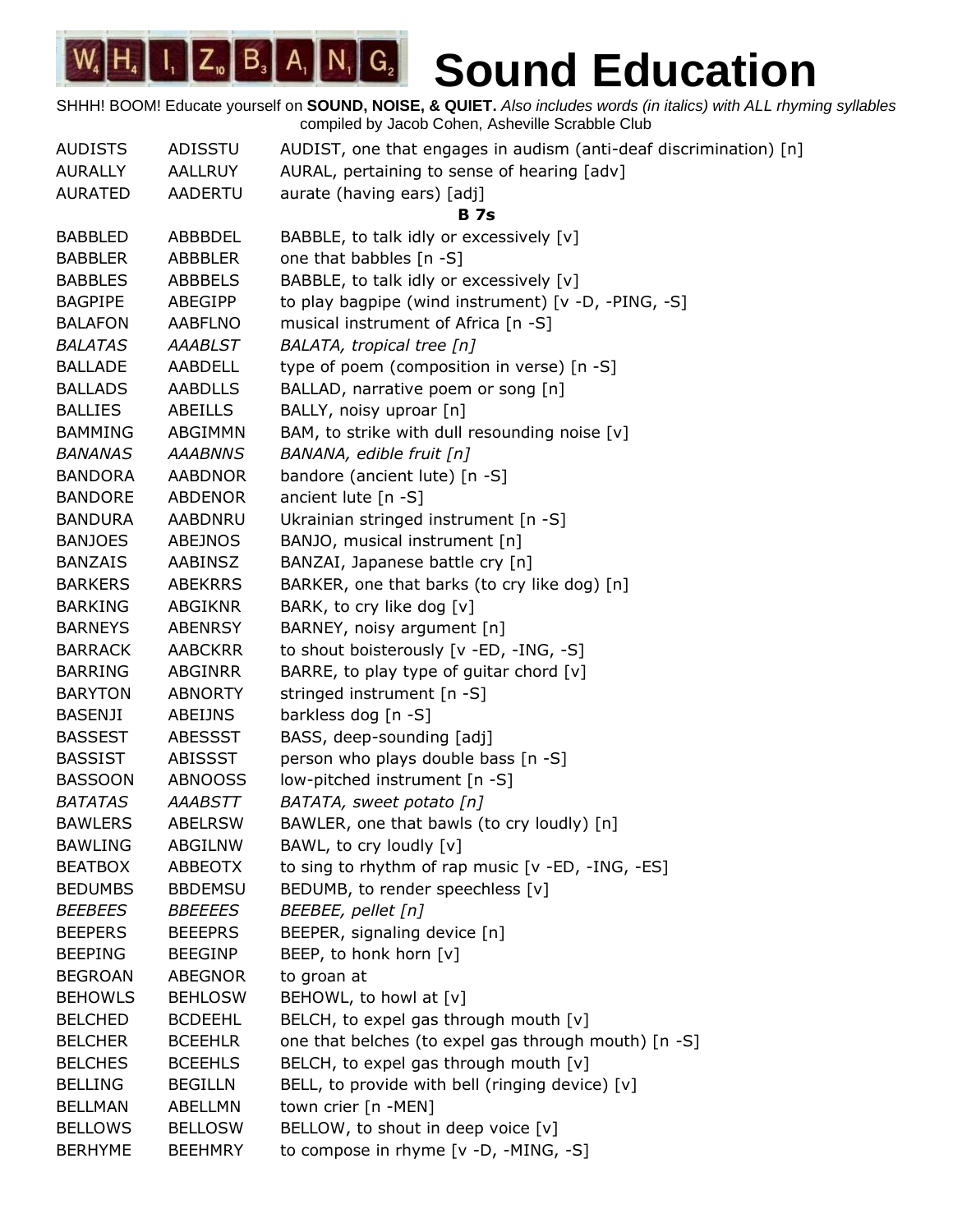| <b>AUDISTS</b> | ADISSTU        | AUDIST, one that engages in audism (anti-deaf discrimination) [n] |
|----------------|----------------|-------------------------------------------------------------------|
| <b>AURALLY</b> | AALLRUY        | AURAL, pertaining to sense of hearing [adv]                       |
| <b>AURATED</b> | <b>AADERTU</b> | aurate (having ears) [adj]                                        |
|                |                | <b>B</b> 7s                                                       |
| <b>BABBLED</b> | ABBBDEL        | BABBLE, to talk idly or excessively [v]                           |
| <b>BABBLER</b> | ABBBLER        | one that babbles [n -S]                                           |
| <b>BABBLES</b> | ABBBELS        | BABBLE, to talk idly or excessively [v]                           |
| <b>BAGPIPE</b> | ABEGIPP        | to play bagpipe (wind instrument) [v -D, -PING, -S]               |
| <b>BALAFON</b> | AABFLNO        | musical instrument of Africa [n -S]                               |
| <b>BALATAS</b> | <b>AAABLST</b> | BALATA, tropical tree [n]                                         |
| <b>BALLADE</b> | <b>AABDELL</b> | type of poem (composition in verse) [n -S]                        |
| <b>BALLADS</b> | <b>AABDLLS</b> | BALLAD, narrative poem or song [n]                                |
| <b>BALLIES</b> | ABEILLS        | BALLY, noisy uproar [n]                                           |
| BAMMING        | ABGIMMN        | BAM, to strike with dull resounding noise [v]                     |
| <b>BANANAS</b> | <b>AAABNNS</b> | BANANA, edible fruit [n]                                          |
| <b>BANDORA</b> | <b>AABDNOR</b> | bandore (ancient lute) [n -S]                                     |
| <b>BANDORE</b> | <b>ABDENOR</b> | ancient lute [n -S]                                               |
| <b>BANDURA</b> | AABDNRU        | Ukrainian stringed instrument [n -S]                              |
| <b>BANJOES</b> | <b>ABEJNOS</b> | BANJO, musical instrument [n]                                     |
| <b>BANZAIS</b> | AABINSZ        | BANZAI, Japanese battle cry [n]                                   |
| <b>BARKERS</b> | <b>ABEKRRS</b> | BARKER, one that barks (to cry like dog) [n]                      |
| <b>BARKING</b> | ABGIKNR        | BARK, to cry like dog [v]                                         |
| <b>BARNEYS</b> | <b>ABENRSY</b> | BARNEY, noisy argument [n]                                        |
| <b>BARRACK</b> | <b>AABCKRR</b> | to shout boisterously [v -ED, -ING, -S]                           |
| <b>BARRING</b> | ABGINRR        | BARRE, to play type of guitar chord $[v]$                         |
| <b>BARYTON</b> | <b>ABNORTY</b> | stringed instrument [n -S]                                        |
| <b>BASENJI</b> | ABEIJNS        | barkless dog [n -S]                                               |
| <b>BASSEST</b> | <b>ABESSST</b> | BASS, deep-sounding [adj]                                         |
| <b>BASSIST</b> | ABISSST        | person who plays double bass [n -S]                               |
| <b>BASSOON</b> | <b>ABNOOSS</b> | low-pitched instrument [n -S]                                     |
| <b>BATATAS</b> | AAABSTT        | BATATA, sweet potato [n]                                          |
| <b>BAWLERS</b> | <b>ABELRSW</b> | BAWLER, one that bawls (to cry loudly) [n]                        |
| <b>BAWLING</b> | <b>ABGILNW</b> | BAWL, to cry loudly [v]                                           |
| <b>BEATBOX</b> | <b>ABBEOTX</b> | to sing to rhythm of rap music [v -ED, -ING, -ES]                 |
| <b>BEDUMBS</b> | <b>BBDEMSU</b> | BEDUMB, to render speechless [v]                                  |
| <b>BEEBEES</b> | <i>BBEEEES</i> | BEEBEE, pellet [n]                                                |
| <b>BEEPERS</b> | <b>BEEEPRS</b> | BEEPER, signaling device [n]                                      |
| <b>BEEPING</b> | <b>BEEGINP</b> | BEEP, to honk horn [v]                                            |
| <b>BEGROAN</b> | <b>ABEGNOR</b> | to groan at                                                       |
| <b>BEHOWLS</b> | <b>BEHLOSW</b> | BEHOWL, to howl at [v]                                            |
| <b>BELCHED</b> | <b>BCDEEHL</b> | BELCH, to expel gas through mouth [v]                             |
| <b>BELCHER</b> | <b>BCEEHLR</b> | one that belches (to expel gas through mouth) [n -S]              |
| <b>BELCHES</b> | <b>BCEEHLS</b> | BELCH, to expel gas through mouth [v]                             |
| <b>BELLING</b> | <b>BEGILLN</b> | BELL, to provide with bell (ringing device) [v]                   |
| <b>BELLMAN</b> | ABELLMN        | town crier [n -MEN]                                               |
| <b>BELLOWS</b> | <b>BELLOSW</b> | BELLOW, to shout in deep voice [v]                                |
| <b>BERHYME</b> | <b>BEEHMRY</b> | to compose in rhyme [v -D, -MING, -S]                             |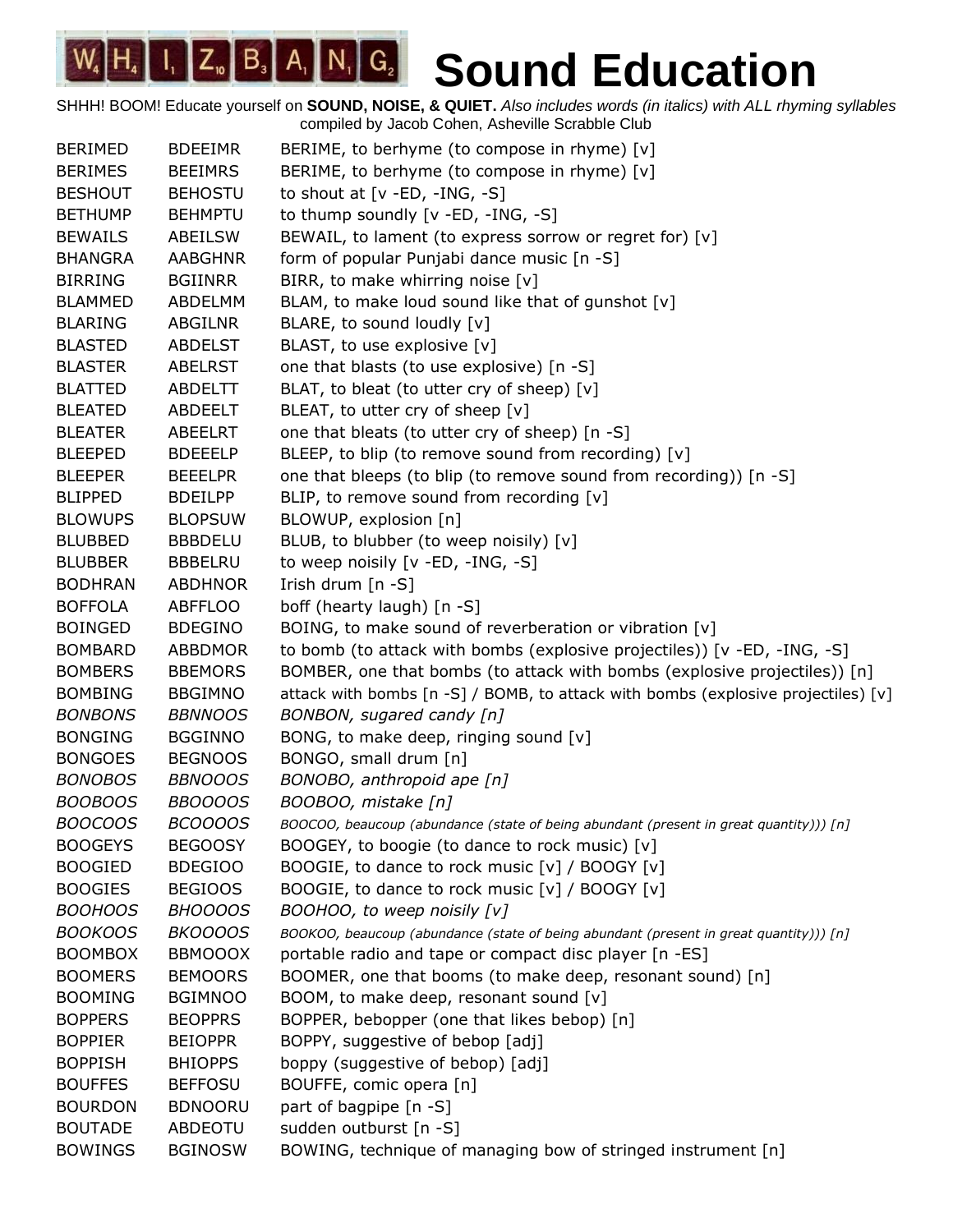| <b>BERIMED</b> | <b>BDEEIMR</b> | BERIME, to berhyme (to compose in rhyme) [v]                                           |
|----------------|----------------|----------------------------------------------------------------------------------------|
| <b>BERIMES</b> | <b>BEEIMRS</b> | BERIME, to berhyme (to compose in rhyme) [v]                                           |
| <b>BESHOUT</b> | <b>BEHOSTU</b> | to shout at $[v - ED, -ING, -S]$                                                       |
| <b>BETHUMP</b> | <b>BEHMPTU</b> | to thump soundly [v -ED, -ING, -S]                                                     |
| <b>BEWAILS</b> | ABEILSW        | BEWAIL, to lament (to express sorrow or regret for) [v]                                |
| <b>BHANGRA</b> | <b>AABGHNR</b> | form of popular Punjabi dance music [n -S]                                             |
| <b>BIRRING</b> | <b>BGIINRR</b> | BIRR, to make whirring noise [v]                                                       |
| <b>BLAMMED</b> | ABDELMM        | BLAM, to make loud sound like that of gunshot [v]                                      |
| <b>BLARING</b> | ABGILNR        | BLARE, to sound loudly [v]                                                             |
| <b>BLASTED</b> | <b>ABDELST</b> | BLAST, to use explosive [v]                                                            |
| <b>BLASTER</b> | <b>ABELRST</b> | one that blasts (to use explosive) [n -S]                                              |
| <b>BLATTED</b> | <b>ABDELTT</b> | BLAT, to bleat (to utter cry of sheep) [v]                                             |
| <b>BLEATED</b> | ABDEELT        | BLEAT, to utter cry of sheep [v]                                                       |
| <b>BLEATER</b> | ABEELRT        | one that bleats (to utter cry of sheep) [n -S]                                         |
| <b>BLEEPED</b> | <b>BDEEELP</b> | BLEEP, to blip (to remove sound from recording) [v]                                    |
| <b>BLEEPER</b> | <b>BEEELPR</b> | one that bleeps (to blip (to remove sound from recording)) [n -S]                      |
| <b>BLIPPED</b> | <b>BDEILPP</b> | BLIP, to remove sound from recording [v]                                               |
| <b>BLOWUPS</b> | <b>BLOPSUW</b> | BLOWUP, explosion [n]                                                                  |
| <b>BLUBBED</b> | <b>BBBDELU</b> | BLUB, to blubber (to weep noisily) [v]                                                 |
| <b>BLUBBER</b> | <b>BBBELRU</b> | to weep noisily [v -ED, -ING, -S]                                                      |
| <b>BODHRAN</b> | <b>ABDHNOR</b> | Irish drum [n -S]                                                                      |
| <b>BOFFOLA</b> | <b>ABFFLOO</b> | boff (hearty laugh) [n -S]                                                             |
| <b>BOINGED</b> | <b>BDEGINO</b> | BOING, to make sound of reverberation or vibration [v]                                 |
| <b>BOMBARD</b> | <b>ABBDMOR</b> | to bomb (to attack with bombs (explosive projectiles)) [v -ED, -ING, -S]               |
| <b>BOMBERS</b> | <b>BBEMORS</b> | BOMBER, one that bombs (to attack with bombs (explosive projectiles)) [n]              |
| <b>BOMBING</b> | <b>BBGIMNO</b> | attack with bombs [n -S] / BOMB, to attack with bombs (explosive projectiles) [v]      |
| <b>BONBONS</b> | <b>BBNNOOS</b> | BONBON, sugared candy [n]                                                              |
| <b>BONGING</b> | <b>BGGINNO</b> | BONG, to make deep, ringing sound [v]                                                  |
| <b>BONGOES</b> | <b>BEGNOOS</b> | BONGO, small drum [n]                                                                  |
| <b>BONOBOS</b> | <b>BBNOOOS</b> | BONOBO, anthropoid ape [n]                                                             |
| <b>BOOBOOS</b> | <b>BBOOOOS</b> | BOOBOO, mistake [n]                                                                    |
| <b>BOOCOOS</b> | <b>BCOOOOS</b> | BOOCOO, beaucoup (abundance (state of being abundant (present in great quantity))) [n] |
| <b>BOOGEYS</b> | <b>BEGOOSY</b> | BOOGEY, to boogie (to dance to rock music) [v]                                         |
| <b>BOOGIED</b> | <b>BDEGIOO</b> | BOOGIE, to dance to rock music [v] / BOOGY [v]                                         |
| <b>BOOGIES</b> | <b>BEGIOOS</b> | BOOGIE, to dance to rock music [v] / BOOGY [v]                                         |
| <b>BOOHOOS</b> | <b>BHOOOOS</b> | BOOHOO, to weep noisily [v]                                                            |
| <b>BOOKOOS</b> | <b>BKOOOOS</b> | BOOKOO, beaucoup (abundance (state of being abundant (present in great quantity))) [n] |
| <b>BOOMBOX</b> | <b>BBMOOOX</b> | portable radio and tape or compact disc player [n -ES]                                 |
| <b>BOOMERS</b> | <b>BEMOORS</b> | BOOMER, one that booms (to make deep, resonant sound) [n]                              |
| <b>BOOMING</b> | <b>BGIMNOO</b> | BOOM, to make deep, resonant sound [v]                                                 |
| <b>BOPPERS</b> | <b>BEOPPRS</b> | BOPPER, bebopper (one that likes bebop) [n]                                            |
| <b>BOPPIER</b> | <b>BEIOPPR</b> | BOPPY, suggestive of bebop [adj]                                                       |
| <b>BOPPISH</b> | <b>BHIOPPS</b> | boppy (suggestive of bebop) [adj]                                                      |
| <b>BOUFFES</b> | <b>BEFFOSU</b> | BOUFFE, comic opera [n]                                                                |
| <b>BOURDON</b> | <b>BDNOORU</b> | part of bagpipe [n -S]                                                                 |
| <b>BOUTADE</b> | ABDEOTU        | sudden outburst [n -S]                                                                 |
| <b>BOWINGS</b> | <b>BGINOSW</b> | BOWING, technique of managing bow of stringed instrument [n]                           |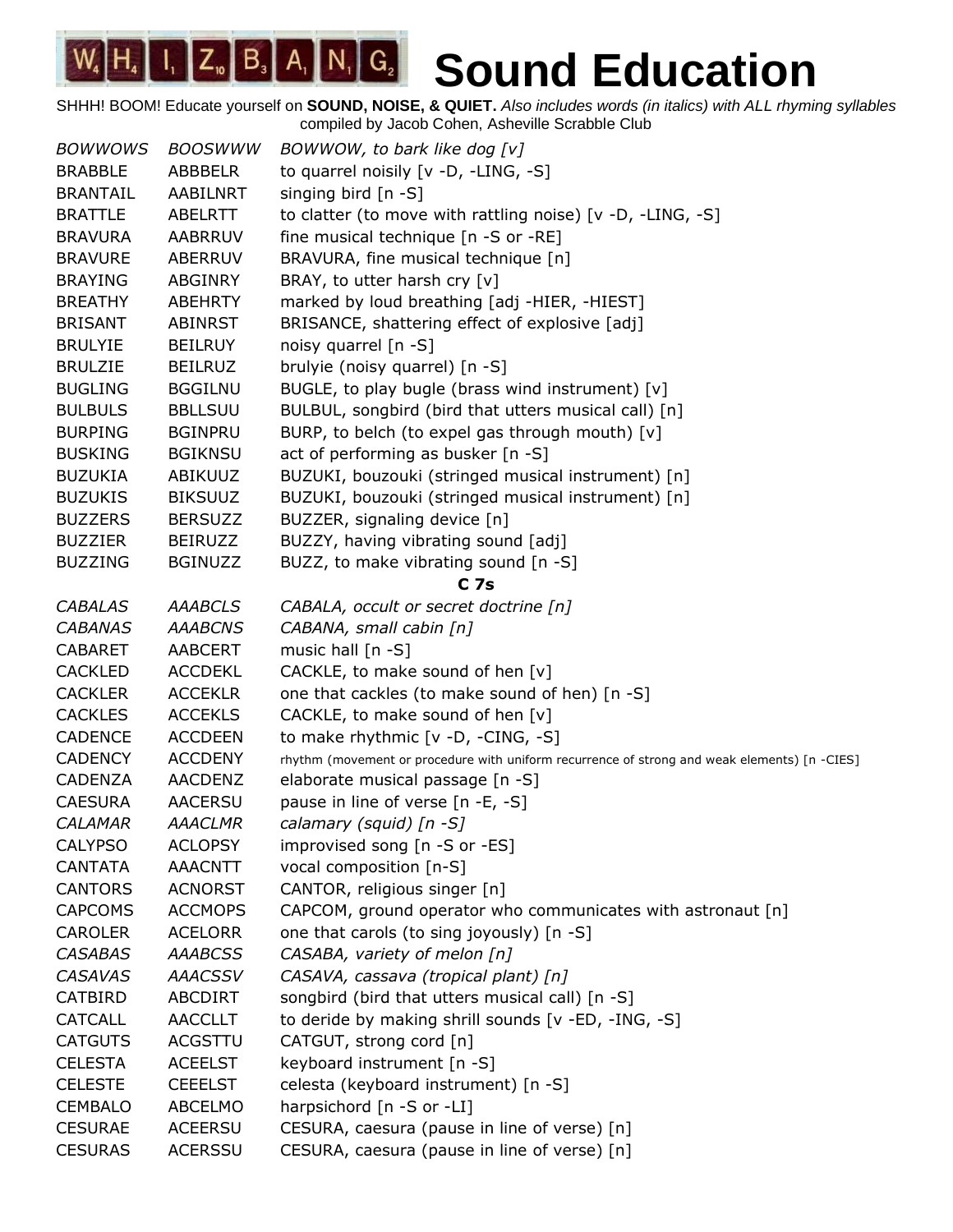| <b>BOWWOWS</b>  | <b>BOOSWWW</b> | BOWWOW, to bark like dog [v]                                                                 |
|-----------------|----------------|----------------------------------------------------------------------------------------------|
| <b>BRABBLE</b>  | ABBBELR        | to quarrel noisily [v -D, -LING, -S]                                                         |
| <b>BRANTAIL</b> | AABILNRT       | singing bird [n -S]                                                                          |
| <b>BRATTLE</b>  | <b>ABELRTT</b> | to clatter (to move with rattling noise) $[v -D, -LING, -S]$                                 |
| <b>BRAVURA</b>  | <b>AABRRUV</b> | fine musical technique [n -S or -RE]                                                         |
| <b>BRAVURE</b>  | ABERRUV        | BRAVURA, fine musical technique [n]                                                          |
| <b>BRAYING</b>  | <b>ABGINRY</b> | BRAY, to utter harsh cry [v]                                                                 |
| <b>BREATHY</b>  | <b>ABEHRTY</b> | marked by loud breathing [adj -HIER, -HIEST]                                                 |
| <b>BRISANT</b>  | <b>ABINRST</b> | BRISANCE, shattering effect of explosive [adj]                                               |
| <b>BRULYIE</b>  | <b>BEILRUY</b> | noisy quarrel [n -S]                                                                         |
| <b>BRULZIE</b>  | <b>BEILRUZ</b> | brulyie (noisy quarrel) [n -S]                                                               |
| <b>BUGLING</b>  | <b>BGGILNU</b> | BUGLE, to play bugle (brass wind instrument) [v]                                             |
| <b>BULBULS</b>  | <b>BBLLSUU</b> | BULBUL, songbird (bird that utters musical call) [n]                                         |
| <b>BURPING</b>  | <b>BGINPRU</b> | BURP, to belch (to expel gas through mouth) [v]                                              |
| <b>BUSKING</b>  | <b>BGIKNSU</b> | act of performing as busker [n -S]                                                           |
| <b>BUZUKIA</b>  | <b>ABIKUUZ</b> | BUZUKI, bouzouki (stringed musical instrument) [n]                                           |
| <b>BUZUKIS</b>  | <b>BIKSUUZ</b> | BUZUKI, bouzouki (stringed musical instrument) [n]                                           |
| <b>BUZZERS</b>  | <b>BERSUZZ</b> | BUZZER, signaling device [n]                                                                 |
| <b>BUZZIER</b>  | <b>BEIRUZZ</b> | BUZZY, having vibrating sound [adj]                                                          |
| <b>BUZZING</b>  | <b>BGINUZZ</b> | BUZZ, to make vibrating sound [n -S]                                                         |
|                 |                | C <sub>7s</sub>                                                                              |
| <b>CABALAS</b>  | <b>AAABCLS</b> | CABALA, occult or secret doctrine [n]                                                        |
| <b>CABANAS</b>  | <b>AAABCNS</b> | CABANA, small cabin [n]                                                                      |
| <b>CABARET</b>  | <b>AABCERT</b> | music hall [n -S]                                                                            |
| <b>CACKLED</b>  | <b>ACCDEKL</b> | CACKLE, to make sound of hen [v]                                                             |
| <b>CACKLER</b>  | <b>ACCEKLR</b> | one that cackles (to make sound of hen) [n -S]                                               |
| <b>CACKLES</b>  | <b>ACCEKLS</b> | CACKLE, to make sound of hen [v]                                                             |
| <b>CADENCE</b>  | <b>ACCDEEN</b> | to make rhythmic $[v -D, -CING, -S]$                                                         |
| <b>CADENCY</b>  | <b>ACCDENY</b> | rhythm (movement or procedure with uniform recurrence of strong and weak elements) [n -CIES] |
| <b>CADENZA</b>  | AACDENZ        | elaborate musical passage [n -S]                                                             |
| <b>CAESURA</b>  | <b>AACERSU</b> | pause in line of verse [n -E, -S]                                                            |
| <b>CALAMAR</b>  | <b>AAACLMR</b> | calamary (squid) [n -S]                                                                      |
| <b>CALYPSO</b>  | <b>ACLOPSY</b> | improvised song [n -S or -ES]                                                                |
| <b>CANTATA</b>  | <b>AAACNTT</b> | vocal composition [n-S]                                                                      |
| <b>CANTORS</b>  | <b>ACNORST</b> | CANTOR, religious singer [n]                                                                 |
| <b>CAPCOMS</b>  | <b>ACCMOPS</b> | CAPCOM, ground operator who communicates with astronaut [n]                                  |
| <b>CAROLER</b>  | <b>ACELORR</b> | one that carols (to sing joyously) [n -S]                                                    |
| <b>CASABAS</b>  | <b>AAABCSS</b> | CASABA, variety of melon [n]                                                                 |
| <b>CASAVAS</b>  | <b>AAACSSV</b> | CASAVA, cassava (tropical plant) [n]                                                         |
| <b>CATBIRD</b>  | ABCDIRT        | songbird (bird that utters musical call) [n -S]                                              |
| <b>CATCALL</b>  | <b>AACCLLT</b> | to deride by making shrill sounds [v -ED, -ING, -S]                                          |
| <b>CATGUTS</b>  | ACGSTTU        | CATGUT, strong cord [n]                                                                      |
| <b>CELESTA</b>  | <b>ACEELST</b> | keyboard instrument [n -S]                                                                   |
| <b>CELESTE</b>  | <b>CEEELST</b> | celesta (keyboard instrument) [n -S]                                                         |
| <b>CEMBALO</b>  | <b>ABCELMO</b> | harpsichord [n -S or -LI]                                                                    |
| <b>CESURAE</b>  | <b>ACEERSU</b> | CESURA, caesura (pause in line of verse) [n]                                                 |
| <b>CESURAS</b>  | <b>ACERSSU</b> | CESURA, caesura (pause in line of verse) [n]                                                 |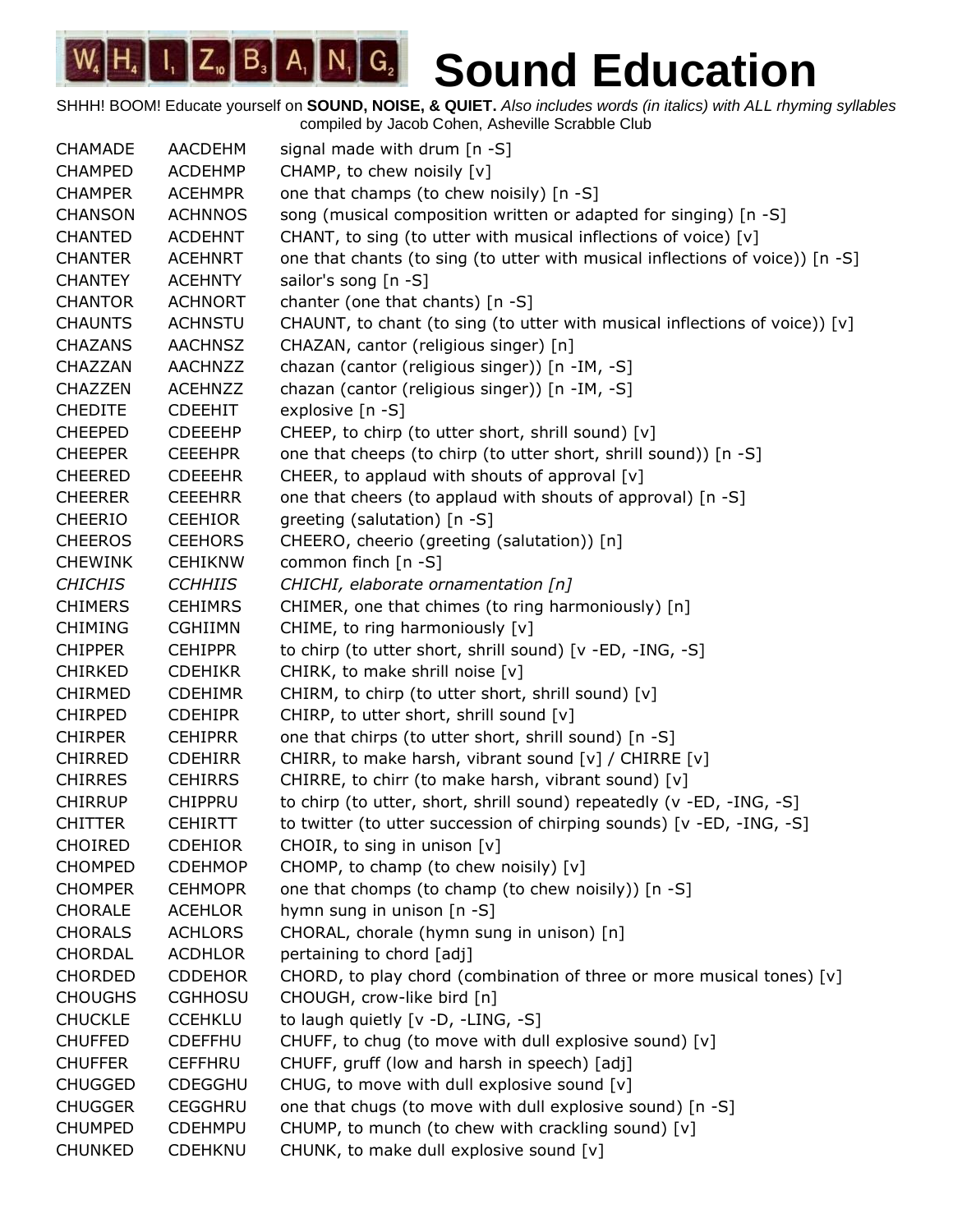SHHH! BOOM! Educate yourself on **SOUND, NOISE, & QUIET.** *Also includes words (in italics) with ALL rhyming syllables* compiled by Jacob Cohen, Asheville Scrabble Club

CHAMADE AACDEHM signal made with drum [n -S] CHAMPED ACDEHMP CHAMP, to chew noisily [v] CHAMPER ACEHMPR one that champs (to chew noisily) [n -S] CHANSON ACHNNOS song (musical composition written or adapted for singing) [n -S] CHANTED ACDEHNT CHANT, to sing (to utter with musical inflections of voice)  $[v]$ CHANTER ACEHNRT one that chants (to sing (to utter with musical inflections of voice)) [n -S] CHANTEY ACEHNTY sailor's song [n -S] CHANTOR ACHNORT chanter (one that chants) [n -S] CHAUNTS ACHNSTU CHAUNT, to chant (to sing (to utter with musical inflections of voice)) [v] CHAZANS AACHNSZ CHAZAN, cantor (religious singer) [n] CHAZZAN AACHNZZ chazan (cantor (religious singer)) [n -IM, -S] CHAZZEN ACEHNZZ chazan (cantor (religious singer)) [n -IM, -S] CHEDITE CDEEHIT explosive [n -S] CHEEPED CDEEEHP CHEEP, to chirp (to utter short, shrill sound) [v] CHEEPER CEEEHPR one that cheeps (to chirp (to utter short, shrill sound)) [n -S] CHEERED CDEEEHR CHEER, to applaud with shouts of approval [v] CHEERER CEEEHRR one that cheers (to applaud with shouts of approval) [n -S] CHEERIO CEEHIOR greeting (salutation) [n -S] CHEEROS CEEHORS CHEERO, cheerio (greeting (salutation)) [n] CHEWINK CEHIKNW common finch [n -S] *CHICHIS CCHHIIS CHICHI, elaborate ornamentation [n]* CHIMERS CEHIMRS CHIMER, one that chimes (to ring harmoniously) [n] CHIMING CGHIIMN CHIME, to ring harmoniously [v] CHIPPER CEHIPPR to chirp (to utter short, shrill sound) [v -ED, -ING, -S] CHIRKED CDEHIKR CHIRK, to make shrill noise [v] CHIRMED CDEHIMR CHIRM, to chirp (to utter short, shrill sound) [v] CHIRPED CDEHIPR CHIRP, to utter short, shrill sound [v] CHIRPER CEHIPRR one that chirps (to utter short, shrill sound) [n -S] CHIRRED CDEHIRR CHIRR, to make harsh, vibrant sound [v] / CHIRRE [v] CHIRRES CEHIRRS CHIRRE, to chirr (to make harsh, vibrant sound) [v] CHIRRUP CHIPPRU to chirp (to utter, short, shrill sound) repeatedly (v -ED, -ING, -S] CHITTER CEHIRTT to twitter (to utter succession of chirping sounds) [v -ED, -ING, -S] CHOIRED CDEHIOR CHOIR, to sing in unison [v] CHOMPED CDEHMOP CHOMP, to champ (to chew noisily) [v] CHOMPER CEHMOPR one that chomps (to champ (to chew noisily)) [n -S] CHORALE ACEHLOR hymn sung in unison [n -S] CHORALS ACHLORS CHORAL, chorale (hymn sung in unison) [n] CHORDAL ACDHLOR pertaining to chord [adj] CHORDED CDDEHOR CHORD, to play chord (combination of three or more musical tones)  $[v]$ CHOUGHS CGHHOSU CHOUGH, crow-like bird [n] CHUCKLE CCEHKLU to laugh quietly [v -D, -LING, -S] CHUFFED CDEFFHU CHUFF, to chug (to move with dull explosive sound)  $[v]$ CHUFFER CEFFHRU CHUFF, gruff (low and harsh in speech) [adj] CHUGGED CDEGGHU CHUG, to move with dull explosive sound [v] CHUGGER CEGGHRU one that chugs (to move with dull explosive sound) [n -S] CHUMPED CDEHMPU CHUMP, to munch (to chew with crackling sound) [v] CHUNKED CDEHKNU CHUNK, to make dull explosive sound [v]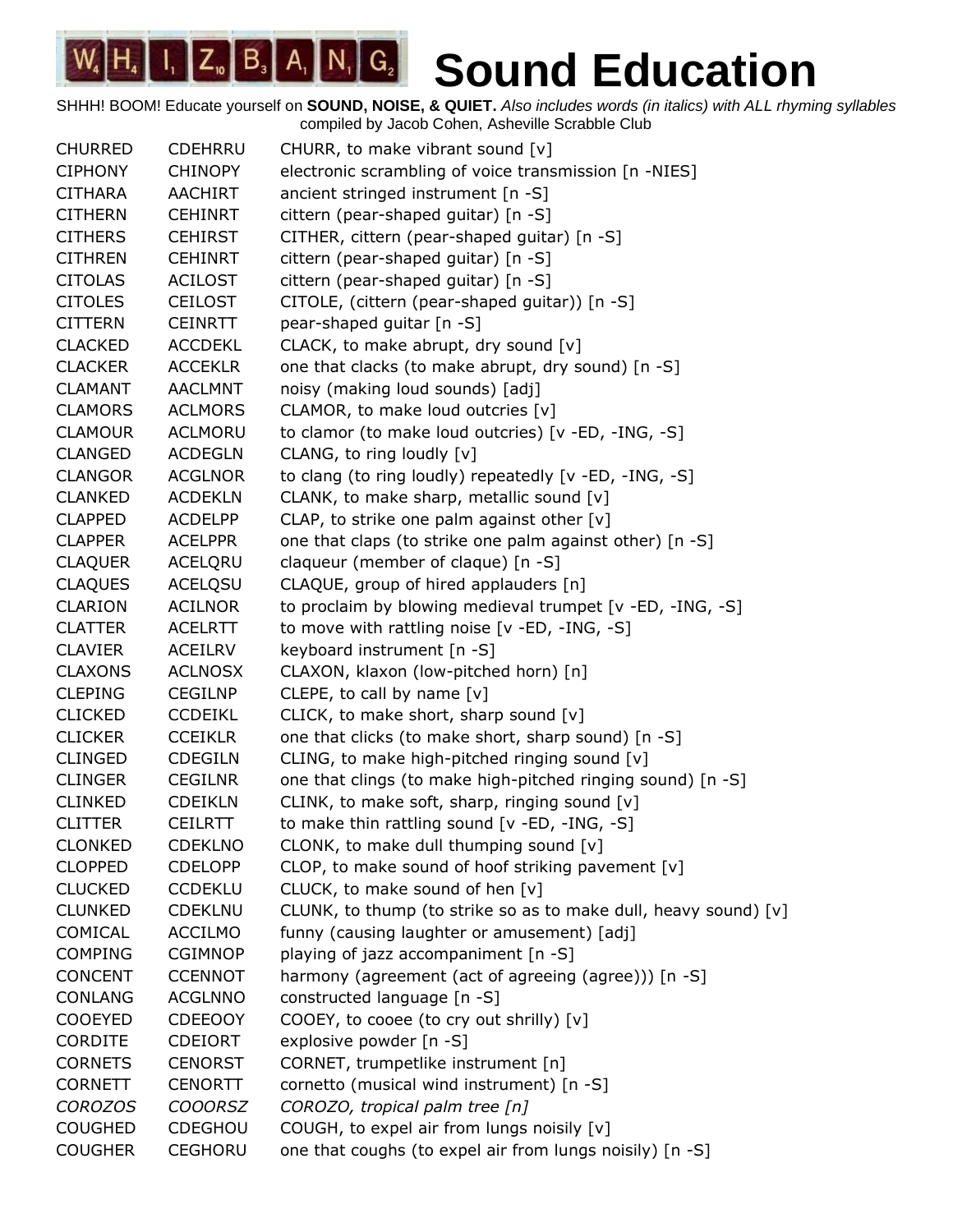| <b>CHURRED</b> | <b>CDEHRRU</b> | CHURR, to make vibrant sound [v]                                |
|----------------|----------------|-----------------------------------------------------------------|
| <b>CIPHONY</b> | <b>CHINOPY</b> | electronic scrambling of voice transmission [n -NIES]           |
| <b>CITHARA</b> | <b>AACHIRT</b> | ancient stringed instrument [n -S]                              |
| <b>CITHERN</b> | <b>CEHINRT</b> | cittern (pear-shaped guitar) [n -S]                             |
| <b>CITHERS</b> | <b>CEHIRST</b> | CITHER, cittern (pear-shaped guitar) [n -S]                     |
| <b>CITHREN</b> | <b>CEHINRT</b> | cittern (pear-shaped guitar) [n -S]                             |
| <b>CITOLAS</b> | <b>ACILOST</b> | cittern (pear-shaped guitar) [n -S]                             |
| <b>CITOLES</b> | <b>CEILOST</b> | CITOLE, (cittern (pear-shaped guitar)) [n -S]                   |
| <b>CITTERN</b> | <b>CEINRTT</b> | pear-shaped guitar [n -S]                                       |
| <b>CLACKED</b> | <b>ACCDEKL</b> | CLACK, to make abrupt, dry sound [v]                            |
| <b>CLACKER</b> | <b>ACCEKLR</b> | one that clacks (to make abrupt, dry sound) [n -S]              |
| <b>CLAMANT</b> | <b>AACLMNT</b> | noisy (making loud sounds) [adj]                                |
| <b>CLAMORS</b> | <b>ACLMORS</b> | CLAMOR, to make loud outcries [v]                               |
| <b>CLAMOUR</b> | <b>ACLMORU</b> | to clamor (to make loud outcries) [v -ED, -ING, -S]             |
| <b>CLANGED</b> | <b>ACDEGLN</b> | CLANG, to ring loudly [v]                                       |
| <b>CLANGOR</b> | <b>ACGLNOR</b> | to clang (to ring loudly) repeatedly [v -ED, -ING, -S]          |
| <b>CLANKED</b> | <b>ACDEKLN</b> | CLANK, to make sharp, metallic sound [v]                        |
| <b>CLAPPED</b> | <b>ACDELPP</b> | CLAP, to strike one palm against other [v]                      |
| <b>CLAPPER</b> | <b>ACELPPR</b> | one that claps (to strike one palm against other) [n -S]        |
| <b>CLAQUER</b> | ACELQRU        | claqueur (member of claque) [n -S]                              |
| <b>CLAQUES</b> | <b>ACELQSU</b> | CLAQUE, group of hired applauders [n]                           |
| <b>CLARION</b> | <b>ACILNOR</b> | to proclaim by blowing medieval trumpet [v -ED, -ING, -S]       |
| <b>CLATTER</b> | <b>ACELRTT</b> | to move with rattling noise [v -ED, -ING, -S]                   |
| <b>CLAVIER</b> | ACEILRV        | keyboard instrument [n -S]                                      |
| <b>CLAXONS</b> | <b>ACLNOSX</b> | CLAXON, klaxon (low-pitched horn) [n]                           |
| <b>CLEPING</b> | <b>CEGILNP</b> | CLEPE, to call by name $[v]$                                    |
| <b>CLICKED</b> | <b>CCDEIKL</b> | CLICK, to make short, sharp sound [v]                           |
| <b>CLICKER</b> | <b>CCEIKLR</b> | one that clicks (to make short, sharp sound) [n -S]             |
| <b>CLINGED</b> | <b>CDEGILN</b> | CLING, to make high-pitched ringing sound [v]                   |
| <b>CLINGER</b> | <b>CEGILNR</b> | one that clings (to make high-pitched ringing sound) [n -S]     |
| <b>CLINKED</b> | <b>CDEIKLN</b> | CLINK, to make soft, sharp, ringing sound [v]                   |
| <b>CLITTER</b> | <b>CEILRTT</b> | to make thin rattling sound [v -ED, -ING, -S]                   |
| <b>CLONKED</b> | <b>CDEKLNO</b> | CLONK, to make dull thumping sound [v]                          |
| <b>CLOPPED</b> | <b>CDELOPP</b> | CLOP, to make sound of hoof striking pavement [v]               |
| <b>CLUCKED</b> | <b>CCDEKLU</b> | CLUCK, to make sound of hen [v]                                 |
| <b>CLUNKED</b> | <b>CDEKLNU</b> | CLUNK, to thump (to strike so as to make dull, heavy sound) [v] |
| COMICAL        | <b>ACCILMO</b> | funny (causing laughter or amusement) [adj]                     |
| <b>COMPING</b> | <b>CGIMNOP</b> | playing of jazz accompaniment [n -S]                            |
| <b>CONCENT</b> | <b>CCENNOT</b> | harmony (agreement (act of agreeing (agree))) [n -S]            |
| <b>CONLANG</b> | <b>ACGLNNO</b> | constructed language [n -S]                                     |
| <b>COOEYED</b> | <b>CDEEOOY</b> | COOEY, to cooee (to cry out shrilly) [v]                        |
| CORDITE        | <b>CDEIORT</b> | explosive powder [n -S]                                         |
| <b>CORNETS</b> | <b>CENORST</b> | CORNET, trumpetlike instrument [n]                              |
| <b>CORNETT</b> | <b>CENORTT</b> | cornetto (musical wind instrument) [n -S]                       |
| <b>COROZOS</b> | <b>COOORSZ</b> | COROZO, tropical palm tree [n]                                  |
| <b>COUGHED</b> | CDEGHOU        | COUGH, to expel air from lungs noisily [v]                      |
| <b>COUGHER</b> | <b>CEGHORU</b> | one that coughs (to expel air from lungs noisily) [n -S]        |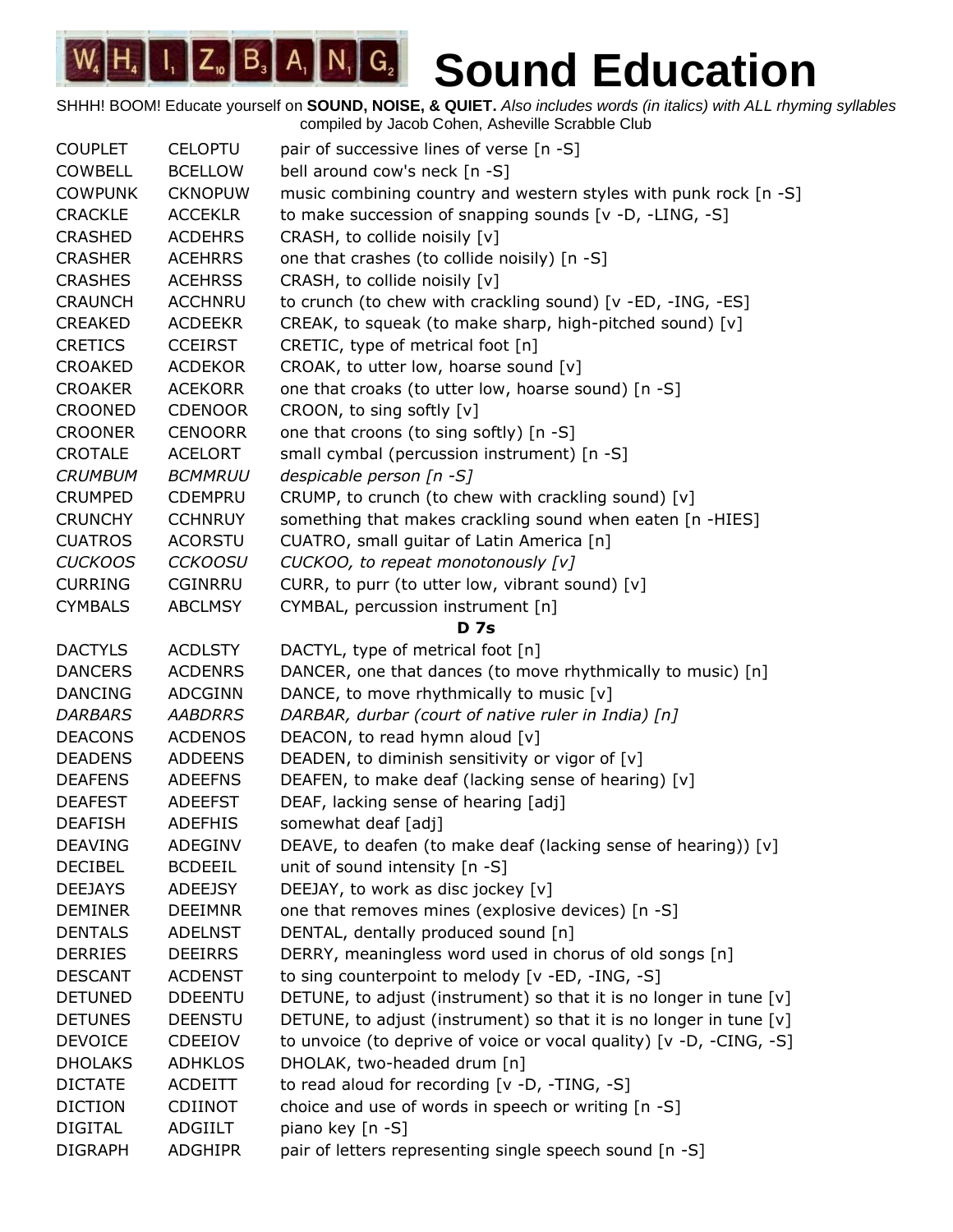| <b>COUPLET</b> | <b>CELOPTU</b> | pair of successive lines of verse [n -S]                            |
|----------------|----------------|---------------------------------------------------------------------|
| <b>COWBELL</b> | <b>BCELLOW</b> | bell around cow's neck [n -S]                                       |
| <b>COWPUNK</b> | <b>CKNOPUW</b> | music combining country and western styles with punk rock [n -S]    |
| <b>CRACKLE</b> | <b>ACCEKLR</b> | to make succession of snapping sounds [v -D, -LING, -S]             |
| <b>CRASHED</b> | <b>ACDEHRS</b> | CRASH, to collide noisily [v]                                       |
| <b>CRASHER</b> | <b>ACEHRRS</b> | one that crashes (to collide noisily) [n -S]                        |
| <b>CRASHES</b> | <b>ACEHRSS</b> | CRASH, to collide noisily [v]                                       |
| <b>CRAUNCH</b> | <b>ACCHNRU</b> | to crunch (to chew with crackling sound) [v -ED, -ING, -ES]         |
| <b>CREAKED</b> | <b>ACDEEKR</b> | CREAK, to squeak (to make sharp, high-pitched sound) [v]            |
| <b>CRETICS</b> | <b>CCEIRST</b> | CRETIC, type of metrical foot [n]                                   |
| <b>CROAKED</b> | <b>ACDEKOR</b> | CROAK, to utter low, hoarse sound [v]                               |
| <b>CROAKER</b> | <b>ACEKORR</b> | one that croaks (to utter low, hoarse sound) [n -S]                 |
| <b>CROONED</b> | <b>CDENOOR</b> | CROON, to sing softly [v]                                           |
| <b>CROONER</b> | <b>CENOORR</b> | one that croons (to sing softly) [n -S]                             |
| <b>CROTALE</b> | <b>ACELORT</b> | small cymbal (percussion instrument) [n -S]                         |
| <b>CRUMBUM</b> | <b>BCMMRUU</b> | despicable person [n -S]                                            |
| <b>CRUMPED</b> | <b>CDEMPRU</b> | CRUMP, to crunch (to chew with crackling sound) [v]                 |
| <b>CRUNCHY</b> | <b>CCHNRUY</b> | something that makes crackling sound when eaten [n -HIES]           |
| <b>CUATROS</b> | <b>ACORSTU</b> | CUATRO, small guitar of Latin America [n]                           |
| <b>CUCKOOS</b> | <b>CCKOOSU</b> | CUCKOO, to repeat monotonously [v]                                  |
| <b>CURRING</b> | <b>CGINRRU</b> | CURR, to purr (to utter low, vibrant sound) [v]                     |
| <b>CYMBALS</b> | <b>ABCLMSY</b> | CYMBAL, percussion instrument [n]                                   |
|                |                | <b>D</b> 7s                                                         |
| <b>DACTYLS</b> | <b>ACDLSTY</b> | DACTYL, type of metrical foot [n]                                   |
| <b>DANCERS</b> | <b>ACDENRS</b> | DANCER, one that dances (to move rhythmically to music) [n]         |
| <b>DANCING</b> | <b>ADCGINN</b> | DANCE, to move rhythmically to music [v]                            |
| <b>DARBARS</b> | <b>AABDRRS</b> | DARBAR, durbar (court of native ruler in India) [n]                 |
| <b>DEACONS</b> | <b>ACDENOS</b> | DEACON, to read hymn aloud [v]                                      |
| <b>DEADENS</b> | <b>ADDEENS</b> | DEADEN, to diminish sensitivity or vigor of [v]                     |
| <b>DEAFENS</b> | <b>ADEEFNS</b> | DEAFEN, to make deaf (lacking sense of hearing) [v]                 |
| <b>DEAFEST</b> | <b>ADEEFST</b> | DEAF, lacking sense of hearing [adj]                                |
| <b>DEAFISH</b> | <b>ADEFHIS</b> | somewhat deaf [adj]                                                 |
| <b>DEAVING</b> | ADEGINV        | DEAVE, to deafen (to make deaf (lacking sense of hearing)) [v]      |
| <b>DECIBEL</b> | <b>BCDEEIL</b> | unit of sound intensity [n -S]                                      |
| <b>DEEJAYS</b> | <b>ADEEJSY</b> | DEEJAY, to work as disc jockey [v]                                  |
| <b>DEMINER</b> | <b>DEEIMNR</b> | one that removes mines (explosive devices) [n -S]                   |
| <b>DENTALS</b> | <b>ADELNST</b> | DENTAL, dentally produced sound [n]                                 |
| <b>DERRIES</b> | <b>DEEIRRS</b> | DERRY, meaningless word used in chorus of old songs [n]             |
| <b>DESCANT</b> | <b>ACDENST</b> | to sing counterpoint to melody [v -ED, -ING, -S]                    |
| <b>DETUNED</b> | <b>DDEENTU</b> | DETUNE, to adjust (instrument) so that it is no longer in tune [v]  |
| <b>DETUNES</b> | <b>DEENSTU</b> | DETUNE, to adjust (instrument) so that it is no longer in tune [v]  |
| <b>DEVOICE</b> | <b>CDEEIOV</b> | to unvoice (to deprive of voice or vocal quality) [v -D, -CING, -S] |
| <b>DHOLAKS</b> | <b>ADHKLOS</b> | DHOLAK, two-headed drum [n]                                         |
| <b>DICTATE</b> | <b>ACDEITT</b> | to read aloud for recording [v -D, -TING, -S]                       |
| <b>DICTION</b> | <b>CDIINOT</b> | choice and use of words in speech or writing [n -S]                 |
| <b>DIGITAL</b> | ADGIILT        | piano key [n -S]                                                    |
| <b>DIGRAPH</b> | <b>ADGHIPR</b> | pair of letters representing single speech sound [n -S]             |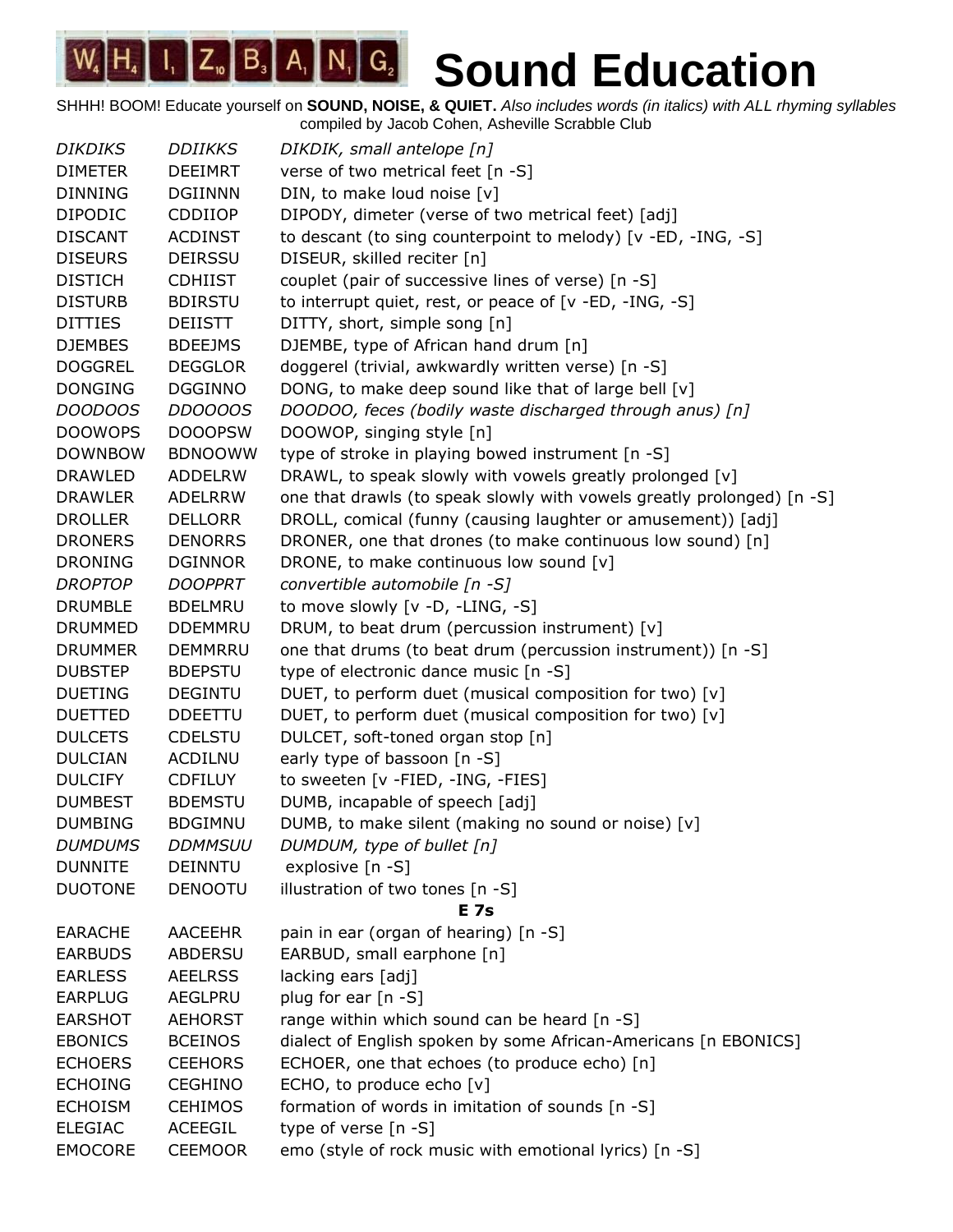SHHH! BOOM! Educate yourself on **SOUND, NOISE, & QUIET.** *Also includes words (in italics) with ALL rhyming syllables* compiled by Jacob Cohen, Asheville Scrabble Club

*DIKDIKS DDIIKKS DIKDIK, small antelope [n]* DIMETER DEEIMRT verse of two metrical feet [n -S] DINNING DGIINNN DIN, to make loud noise [v] DIPODIC CDDIIOP DIPODY, dimeter (verse of two metrical feet) [adj] DISCANT ACDINST to descant (to sing counterpoint to melody) [v -ED, -ING, -S] DISEURS DEIRSSU DISEUR, skilled reciter [n] DISTICH CDHIIST couplet (pair of successive lines of verse) [n -S] DISTURB BDIRSTU to interrupt quiet, rest, or peace of [v -ED, -ING, -S] DITTIES DEIISTT DITTY, short, simple song [n] DJEMBES BDEEJMS DJEMBE, type of African hand drum [n] DOGGREL DEGGLOR doggerel (trivial, awkwardly written verse) [n -S] DONGING DGGINNO DONG, to make deep sound like that of large bell  $[v]$ *DOODOOS DDOOOOS DOODOO, feces (bodily waste discharged through anus) [n]* DOOWOPS DOOOPSW DOOWOP, singing style [n] DOWNBOW BDNOOWW type of stroke in playing bowed instrument [n -S] DRAWLED ADDELRW DRAWL, to speak slowly with vowels greatly prolonged [v] DRAWLER ADELRRW one that drawls (to speak slowly with vowels greatly prolonged) [n -S] DROLLER DELLORR DROLL, comical (funny (causing laughter or amusement)) [adj] DRONERS DENORRS DRONER, one that drones (to make continuous low sound) [n] DRONING DGINNOR DRONE, to make continuous low sound [v] *DROPTOP DOOPPRT convertible automobile [n -S]* DRUMBLE BDELMRU to move slowly [v -D, -LING, -S] DRUMMED DDEMMRU DRUM, to beat drum (percussion instrument) [v] DRUMMER DEMMRRU one that drums (to beat drum (percussion instrument)) [n -S] DUBSTEP BDEPSTU type of electronic dance music [n -S] DUETING DEGINTU DUET, to perform duet (musical composition for two) [v] DUETTED DDEETTU DUET, to perform duet (musical composition for two) [v] DULCETS CDELSTU DULCET, soft-toned organ stop [n] DULCIAN ACDILNU early type of bassoon [n -S] DULCIFY CDFILUY to sweeten [v -FIED, -ING, -FIES] DUMBEST BDEMSTU DUMB, incapable of speech [adj] DUMBING BDGIMNU DUMB, to make silent (making no sound or noise)  $[v]$ *DUMDUMS DDMMSUU DUMDUM, type of bullet [n]* DUNNITE DEINNTU explosive [n -S] DUOTONE DENOOTU illustration of two tones [n -S] **E 7s** EARACHE AACEEHR pain in ear (organ of hearing) [n -S] EARBUDS ABDERSU EARBUD, small earphone [n] EARLESS AEELRSS lacking ears [adj] EARPLUG AEGLPRU plug for ear [n -S] EARSHOT AEHORST range within which sound can be heard  $[n -S]$ EBONICS BCEINOS dialect of English spoken by some African-Americans [n EBONICS] ECHOERS CEEHORS ECHOER, one that echoes (to produce echo) [n] ECHOING CEGHINO ECHO, to produce echo [v] ECHOISM CEHIMOS formation of words in imitation of sounds [n -S] ELEGIAC ACEEGIL type of verse [n -S] EMOCORE CEEMOOR emo (style of rock music with emotional lyrics) [n -S]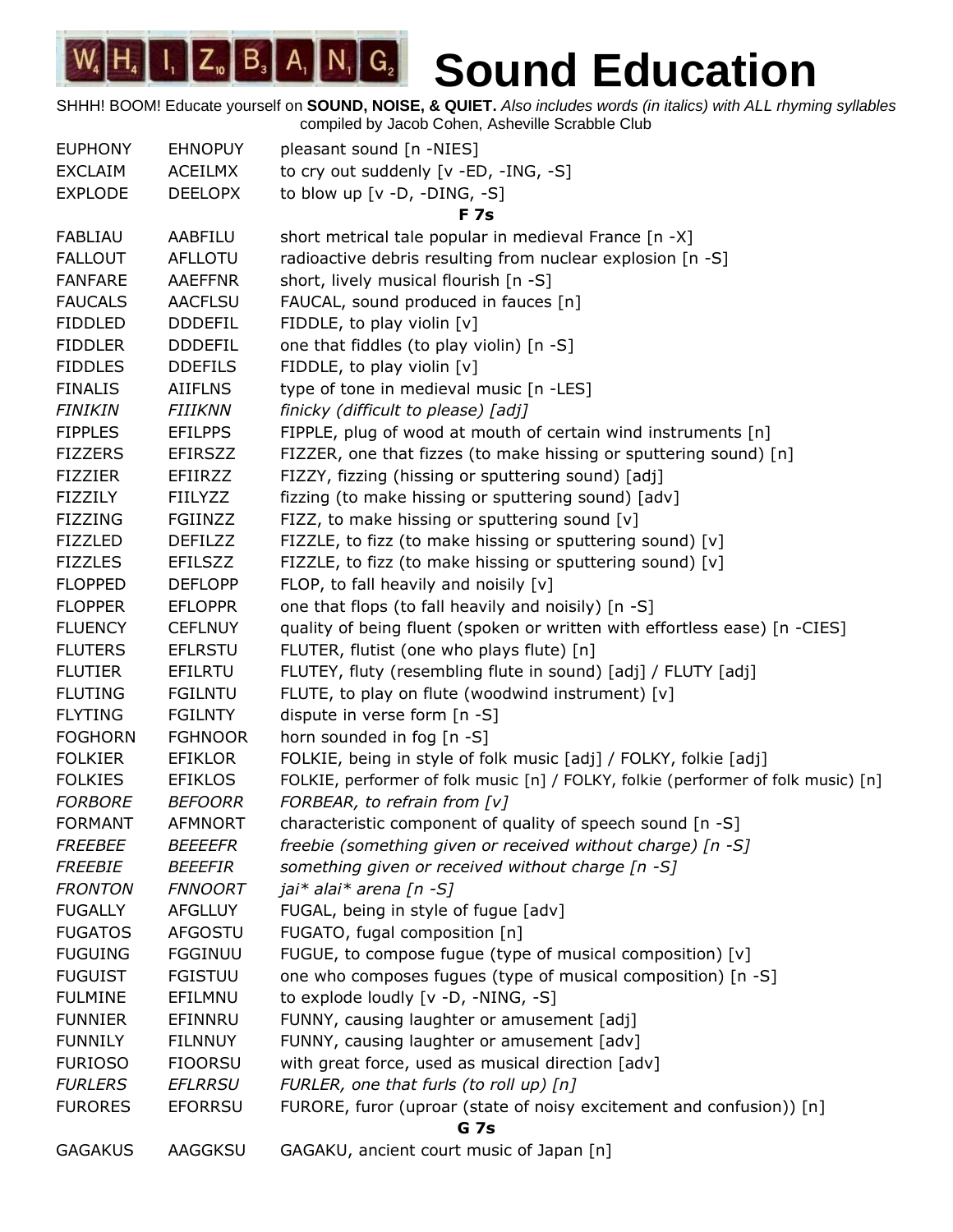| <b>EUPHONY</b> | <b>EHNOPUY</b> | pleasant sound [n -NIES]                                                          |
|----------------|----------------|-----------------------------------------------------------------------------------|
| <b>EXCLAIM</b> | ACEILMX        | to cry out suddenly [v -ED, -ING, -S]                                             |
| <b>EXPLODE</b> | <b>DEELOPX</b> | to blow up [v -D, -DING, -S]                                                      |
|                |                | <b>F7s</b>                                                                        |
| <b>FABLIAU</b> | AABFILU        | short metrical tale popular in medieval France [n -X]                             |
| <b>FALLOUT</b> | <b>AFLLOTU</b> | radioactive debris resulting from nuclear explosion [n -S]                        |
| <b>FANFARE</b> | <b>AAEFFNR</b> | short, lively musical flourish [n -S]                                             |
| <b>FAUCALS</b> | <b>AACFLSU</b> | FAUCAL, sound produced in fauces [n]                                              |
| <b>FIDDLED</b> | <b>DDDEFIL</b> | FIDDLE, to play violin [v]                                                        |
| <b>FIDDLER</b> | <b>DDDEFIL</b> | one that fiddles (to play violin) [n -S]                                          |
| <b>FIDDLES</b> | <b>DDEFILS</b> | FIDDLE, to play violin [v]                                                        |
| <b>FINALIS</b> | <b>AIIFLNS</b> | type of tone in medieval music [n -LES]                                           |
| <b>FINIKIN</b> | <b>FIIIKNN</b> | finicky (difficult to please) [adj]                                               |
| <b>FIPPLES</b> | <b>EFILPPS</b> | FIPPLE, plug of wood at mouth of certain wind instruments [n]                     |
| <b>FIZZERS</b> | <b>EFIRSZZ</b> | FIZZER, one that fizzes (to make hissing or sputtering sound) [n]                 |
| <b>FIZZIER</b> | EFIIRZZ        | FIZZY, fizzing (hissing or sputtering sound) [adj]                                |
| <b>FIZZILY</b> | <b>FIILYZZ</b> | fizzing (to make hissing or sputtering sound) [adv]                               |
| <b>FIZZING</b> | FGIINZZ        | FIZZ, to make hissing or sputtering sound [v]                                     |
| <b>FIZZLED</b> | <b>DEFILZZ</b> | FIZZLE, to fizz (to make hissing or sputtering sound) [v]                         |
| <b>FIZZLES</b> | <b>EFILSZZ</b> | FIZZLE, to fizz (to make hissing or sputtering sound) [v]                         |
| <b>FLOPPED</b> | <b>DEFLOPP</b> | FLOP, to fall heavily and noisily [v]                                             |
| <b>FLOPPER</b> | <b>EFLOPPR</b> | one that flops (to fall heavily and noisily) [n -S]                               |
| <b>FLUENCY</b> | <b>CEFLNUY</b> | quality of being fluent (spoken or written with effortless ease) [n -CIES]        |
| <b>FLUTERS</b> | <b>EFLRSTU</b> | FLUTER, flutist (one who plays flute) [n]                                         |
| <b>FLUTIER</b> | EFILRTU        | FLUTEY, fluty (resembling flute in sound) [adj] / FLUTY [adj]                     |
| <b>FLUTING</b> | <b>FGILNTU</b> | FLUTE, to play on flute (woodwind instrument) [v]                                 |
| <b>FLYTING</b> | <b>FGILNTY</b> | dispute in verse form [n -S]                                                      |
| <b>FOGHORN</b> | <b>FGHNOOR</b> | horn sounded in fog [n -S]                                                        |
| <b>FOLKIER</b> | <b>EFIKLOR</b> | FOLKIE, being in style of folk music [adj] / FOLKY, folkie [adj]                  |
| <b>FOLKIES</b> | <b>EFIKLOS</b> | FOLKIE, performer of folk music [n] / FOLKY, folkie (performer of folk music) [n] |
| <b>FORBORE</b> | <b>BEFOORR</b> | FORBEAR, to refrain from [v]                                                      |
| <b>FORMANT</b> | <b>AFMNORT</b> | characteristic component of quality of speech sound [n -S]                        |
| <b>FREEBEE</b> | <b>BEEEEFR</b> | freebie (something given or received without charge) [n -S]                       |
| <b>FREEBIE</b> | <b>BEEEFIR</b> | something given or received without charge [n -S]                                 |
| <b>FRONTON</b> | <b>FNNOORT</b> | jai* alai* arena [n -S]                                                           |
| <b>FUGALLY</b> | <b>AFGLLUY</b> | FUGAL, being in style of fugue [adv]                                              |
| <b>FUGATOS</b> | AFGOSTU        | FUGATO, fugal composition [n]                                                     |
| <b>FUGUING</b> | <b>FGGINUU</b> | FUGUE, to compose fugue (type of musical composition) [v]                         |
| <b>FUGUIST</b> | <b>FGISTUU</b> | one who composes fugues (type of musical composition) [n -S]                      |
| <b>FULMINE</b> | EFILMNU        | to explode loudly [v -D, -NING, -S]                                               |
| <b>FUNNIER</b> | EFINNRU        | FUNNY, causing laughter or amusement [adj]                                        |
| <b>FUNNILY</b> | <b>FILNNUY</b> | FUNNY, causing laughter or amusement [adv]                                        |
| <b>FURIOSO</b> | <b>FIOORSU</b> | with great force, used as musical direction [adv]                                 |
| <b>FURLERS</b> | <b>EFLRRSU</b> | FURLER, one that furls (to roll up) [n]                                           |
| <b>FURORES</b> | <b>EFORRSU</b> | FURORE, furor (uproar (state of noisy excitement and confusion)) [n]              |
|                |                | <b>G</b> 7s                                                                       |
| <b>GAGAKUS</b> | AAGGKSU        | GAGAKU, ancient court music of Japan [n]                                          |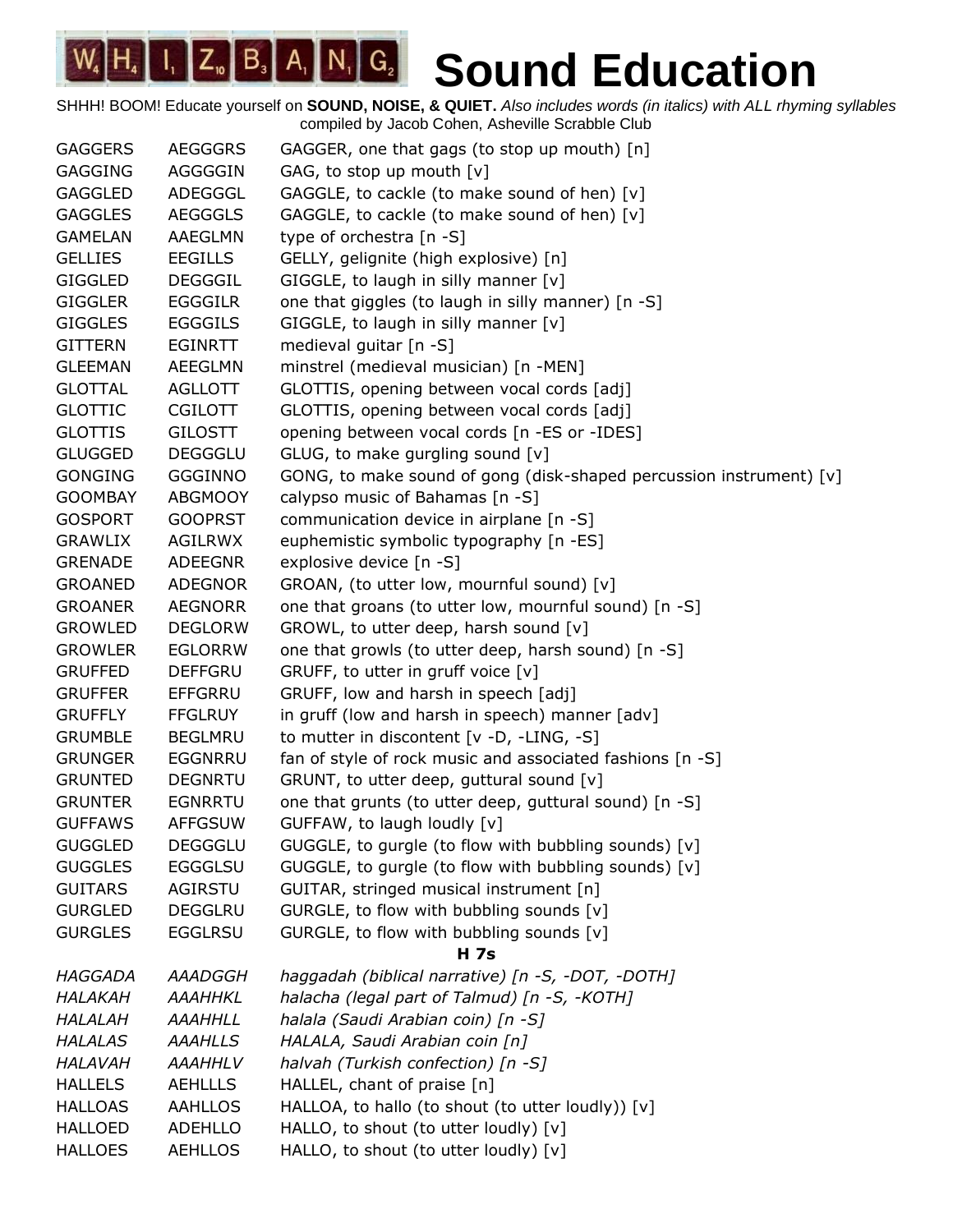| <b>GAGGERS</b> | <b>AEGGGRS</b> | GAGGER, one that gags (to stop up mouth) [n]                          |
|----------------|----------------|-----------------------------------------------------------------------|
| <b>GAGGING</b> | AGGGGIN        | GAG, to stop up mouth [v]                                             |
| <b>GAGGLED</b> | ADEGGGL        | GAGGLE, to cackle (to make sound of hen) [v]                          |
| <b>GAGGLES</b> | <b>AEGGGLS</b> | GAGGLE, to cackle (to make sound of hen) [v]                          |
| <b>GAMELAN</b> | AAEGLMN        | type of orchestra [n -S]                                              |
| <b>GELLIES</b> | <b>EEGILLS</b> | GELLY, gelignite (high explosive) [n]                                 |
| <b>GIGGLED</b> | <b>DEGGGIL</b> | GIGGLE, to laugh in silly manner [v]                                  |
| <b>GIGGLER</b> | <b>EGGGILR</b> | one that giggles (to laugh in silly manner) [n -S]                    |
| <b>GIGGLES</b> | <b>EGGGILS</b> | GIGGLE, to laugh in silly manner [v]                                  |
| <b>GITTERN</b> | <b>EGINRTT</b> | medieval guitar [n -S]                                                |
| <b>GLEEMAN</b> | <b>AEEGLMN</b> | minstrel (medieval musician) [n -MEN]                                 |
| <b>GLOTTAL</b> | <b>AGLLOTT</b> | GLOTTIS, opening between vocal cords [adj]                            |
| <b>GLOTTIC</b> | <b>CGILOTT</b> | GLOTTIS, opening between vocal cords [adj]                            |
| <b>GLOTTIS</b> | <b>GILOSTT</b> | opening between vocal cords [n -ES or -IDES]                          |
| <b>GLUGGED</b> | <b>DEGGGLU</b> | GLUG, to make gurgling sound [v]                                      |
| <b>GONGING</b> | <b>GGGINNO</b> | GONG, to make sound of gong (disk-shaped percussion instrument) $[v]$ |
| <b>GOOMBAY</b> | <b>ABGMOOY</b> | calypso music of Bahamas [n -S]                                       |
| <b>GOSPORT</b> | <b>GOOPRST</b> | communication device in airplane [n -S]                               |
| <b>GRAWLIX</b> | AGILRWX        | euphemistic symbolic typography [n -ES]                               |
| <b>GRENADE</b> | ADEEGNR        | explosive device [n -S]                                               |
| <b>GROANED</b> | <b>ADEGNOR</b> | GROAN, (to utter low, mournful sound) [v]                             |
| <b>GROANER</b> | AEGNORR        | one that groans (to utter low, mournful sound) [n -S]                 |
| <b>GROWLED</b> | <b>DEGLORW</b> | GROWL, to utter deep, harsh sound [v]                                 |
| <b>GROWLER</b> | <b>EGLORRW</b> | one that growls (to utter deep, harsh sound) [n -S]                   |
| <b>GRUFFED</b> | <b>DEFFGRU</b> | GRUFF, to utter in gruff voice [v]                                    |
| <b>GRUFFER</b> | <b>EFFGRRU</b> | GRUFF, low and harsh in speech [adj]                                  |
| <b>GRUFFLY</b> | <b>FFGLRUY</b> | in gruff (low and harsh in speech) manner [adv]                       |
| <b>GRUMBLE</b> | <b>BEGLMRU</b> | to mutter in discontent [v -D, -LING, -S]                             |
| <b>GRUNGER</b> | <b>EGGNRRU</b> | fan of style of rock music and associated fashions [n -S]             |
| <b>GRUNTED</b> | <b>DEGNRTU</b> | GRUNT, to utter deep, guttural sound [v]                              |
| <b>GRUNTER</b> | <b>EGNRRTU</b> | one that grunts (to utter deep, guttural sound) [n -S]                |
| <b>GUFFAWS</b> | <b>AFFGSUW</b> | GUFFAW, to laugh loudly [v]                                           |
| <b>GUGGLED</b> | <b>DEGGGLU</b> | GUGGLE, to gurgle (to flow with bubbling sounds) [v]                  |
| <b>GUGGLES</b> | <b>EGGGLSU</b> | GUGGLE, to gurgle (to flow with bubbling sounds) [v]                  |
| <b>GUITARS</b> | AGIRSTU        | GUITAR, stringed musical instrument [n]                               |
| <b>GURGLED</b> | <b>DEGGLRU</b> | GURGLE, to flow with bubbling sounds [v]                              |
| <b>GURGLES</b> | <b>EGGLRSU</b> | GURGLE, to flow with bubbling sounds [v]                              |
|                |                | <b>H</b> 7s                                                           |
| HAGGADA        | AAADGGH        | haggadah (biblical narrative) [n -S, -DOT, -DOTH]                     |
| HALAKAH        | AAAHHKL        | halacha (legal part of Talmud) [n -S, -KOTH]                          |
| HALALAH        | <b>AAAHHLL</b> | halala (Saudi Arabian coin) [n -S]                                    |
| <b>HALALAS</b> | <b>AAAHLLS</b> | HALALA, Saudi Arabian coin [n]                                        |
| HALAVAH        | <b>AAAHHLV</b> | halvah (Turkish confection) [n -S]                                    |
| <b>HALLELS</b> | <b>AEHLLLS</b> | HALLEL, chant of praise [n]                                           |
| <b>HALLOAS</b> | <b>AAHLLOS</b> | HALLOA, to hallo (to shout (to utter loudly)) [v]                     |
| <b>HALLOED</b> | <b>ADEHLLO</b> | HALLO, to shout (to utter loudly) [v]                                 |
| <b>HALLOES</b> | <b>AEHLLOS</b> | HALLO, to shout (to utter loudly) [v]                                 |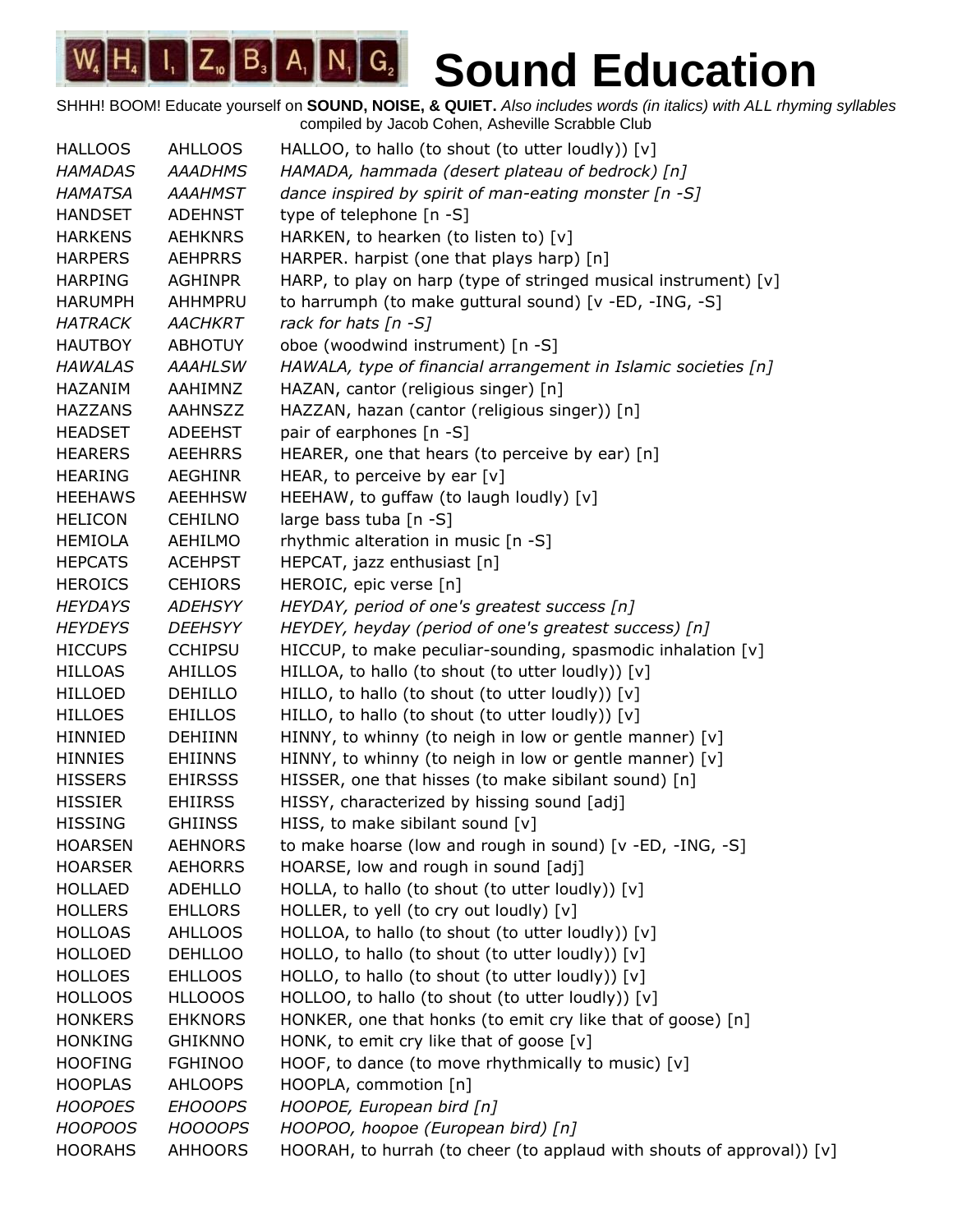| <b>HALLOOS</b> | <b>AHLLOOS</b> | HALLOO, to hallo (to shout (to utter loudly)) [v]                     |
|----------------|----------------|-----------------------------------------------------------------------|
| <b>HAMADAS</b> | <b>AAADHMS</b> | HAMADA, hammada (desert plateau of bedrock) [n]                       |
| <b>HAMATSA</b> | <b>AAAHMST</b> | dance inspired by spirit of man-eating monster [n -S]                 |
| <b>HANDSET</b> | <b>ADEHNST</b> | type of telephone [n -S]                                              |
| <b>HARKENS</b> | <b>AEHKNRS</b> | HARKEN, to hearken (to listen to) [v]                                 |
| <b>HARPERS</b> | <b>AEHPRRS</b> | HARPER. harpist (one that plays harp) [n]                             |
| <b>HARPING</b> | AGHINPR        | HARP, to play on harp (type of stringed musical instrument) $[v]$     |
| <b>HARUMPH</b> | AHHMPRU        | to harrumph (to make guttural sound) [v -ED, -ING, -S]                |
| <b>HATRACK</b> | <b>AACHKRT</b> | rack for hats $[n - S]$                                               |
| <b>HAUTBOY</b> | <b>ABHOTUY</b> | oboe (woodwind instrument) [n -S]                                     |
| <b>HAWALAS</b> | <b>AAAHLSW</b> | HAWALA, type of financial arrangement in Islamic societies [n]        |
| HAZANIM        | AAHIMNZ        | HAZAN, cantor (religious singer) [n]                                  |
| <b>HAZZANS</b> | <b>AAHNSZZ</b> | HAZZAN, hazan (cantor (religious singer)) [n]                         |
| <b>HEADSET</b> | <b>ADEEHST</b> | pair of earphones [n -S]                                              |
| <b>HEARERS</b> | <b>AEEHRRS</b> | HEARER, one that hears (to perceive by ear) [n]                       |
| <b>HEARING</b> | <b>AEGHINR</b> | HEAR, to perceive by ear $[v]$                                        |
| <b>HEEHAWS</b> | <b>AEEHHSW</b> | HEEHAW, to guffaw (to laugh loudly) [v]                               |
| <b>HELICON</b> | <b>CEHILNO</b> | large bass tuba [n -S]                                                |
| <b>HEMIOLA</b> | AEHILMO        | rhythmic alteration in music [n -S]                                   |
| <b>HEPCATS</b> | <b>ACEHPST</b> | HEPCAT, jazz enthusiast [n]                                           |
| <b>HEROICS</b> | <b>CEHIORS</b> | HEROIC, epic verse [n]                                                |
| <b>HEYDAYS</b> | <b>ADEHSYY</b> | HEYDAY, period of one's greatest success [n]                          |
| <b>HEYDEYS</b> | <b>DEEHSYY</b> | HEYDEY, heyday (period of one's greatest success) [n]                 |
| <b>HICCUPS</b> | <b>CCHIPSU</b> | HICCUP, to make peculiar-sounding, spasmodic inhalation [v]           |
| <b>HILLOAS</b> | <b>AHILLOS</b> | HILLOA, to hallo (to shout (to utter loudly)) [v]                     |
| <b>HILLOED</b> | <b>DEHILLO</b> | HILLO, to hallo (to shout (to utter loudly)) [v]                      |
| <b>HILLOES</b> | <b>EHILLOS</b> | HILLO, to hallo (to shout (to utter loudly)) [v]                      |
| <b>HINNIED</b> | <b>DEHIINN</b> | HINNY, to whinny (to neigh in low or gentle manner) $[v]$             |
| <b>HINNIES</b> | <b>EHIINNS</b> | HINNY, to whinny (to neigh in low or gentle manner) [v]               |
| <b>HISSERS</b> | <b>EHIRSSS</b> | HISSER, one that hisses (to make sibilant sound) [n]                  |
| <b>HISSIER</b> | <b>EHIIRSS</b> | HISSY, characterized by hissing sound [adj]                           |
| <b>HISSING</b> | <b>GHIINSS</b> | HISS, to make sibilant sound [v]                                      |
| <b>HOARSEN</b> | <b>AEHNORS</b> | to make hoarse (low and rough in sound) [v -ED, -ING, -S]             |
| <b>HOARSER</b> | <b>AEHORRS</b> | HOARSE, low and rough in sound [adj]                                  |
| <b>HOLLAED</b> | ADEHLLO        | HOLLA, to hallo (to shout (to utter loudly)) [v]                      |
| <b>HOLLERS</b> | <b>EHLLORS</b> | HOLLER, to yell (to cry out loudly) [v]                               |
| <b>HOLLOAS</b> | <b>AHLLOOS</b> | HOLLOA, to hallo (to shout (to utter loudly)) [v]                     |
| <b>HOLLOED</b> | <b>DEHLLOO</b> | HOLLO, to hallo (to shout (to utter loudly)) [v]                      |
| <b>HOLLOES</b> | <b>EHLLOOS</b> | HOLLO, to hallo (to shout (to utter loudly)) [v]                      |
| <b>HOLLOOS</b> | <b>HLLOOOS</b> | HOLLOO, to hallo (to shout (to utter loudly)) [v]                     |
| <b>HONKERS</b> | <b>EHKNORS</b> | HONKER, one that honks (to emit cry like that of goose) [n]           |
| <b>HONKING</b> | <b>GHIKNNO</b> | HONK, to emit cry like that of goose [v]                              |
| <b>HOOFING</b> | <b>FGHINOO</b> | HOOF, to dance (to move rhythmically to music) $[v]$                  |
| <b>HOOPLAS</b> | AHLOOPS        | HOOPLA, commotion [n]                                                 |
| <b>HOOPOES</b> | <b>EHOOOPS</b> | HOOPOE, European bird [n]                                             |
| <b>HOOPOOS</b> | <b>HOOOOPS</b> | HOOPOO, hoopoe (European bird) [n]                                    |
| <b>HOORAHS</b> | <b>AHHOORS</b> | HOORAH, to hurrah (to cheer (to applaud with shouts of approval)) [v] |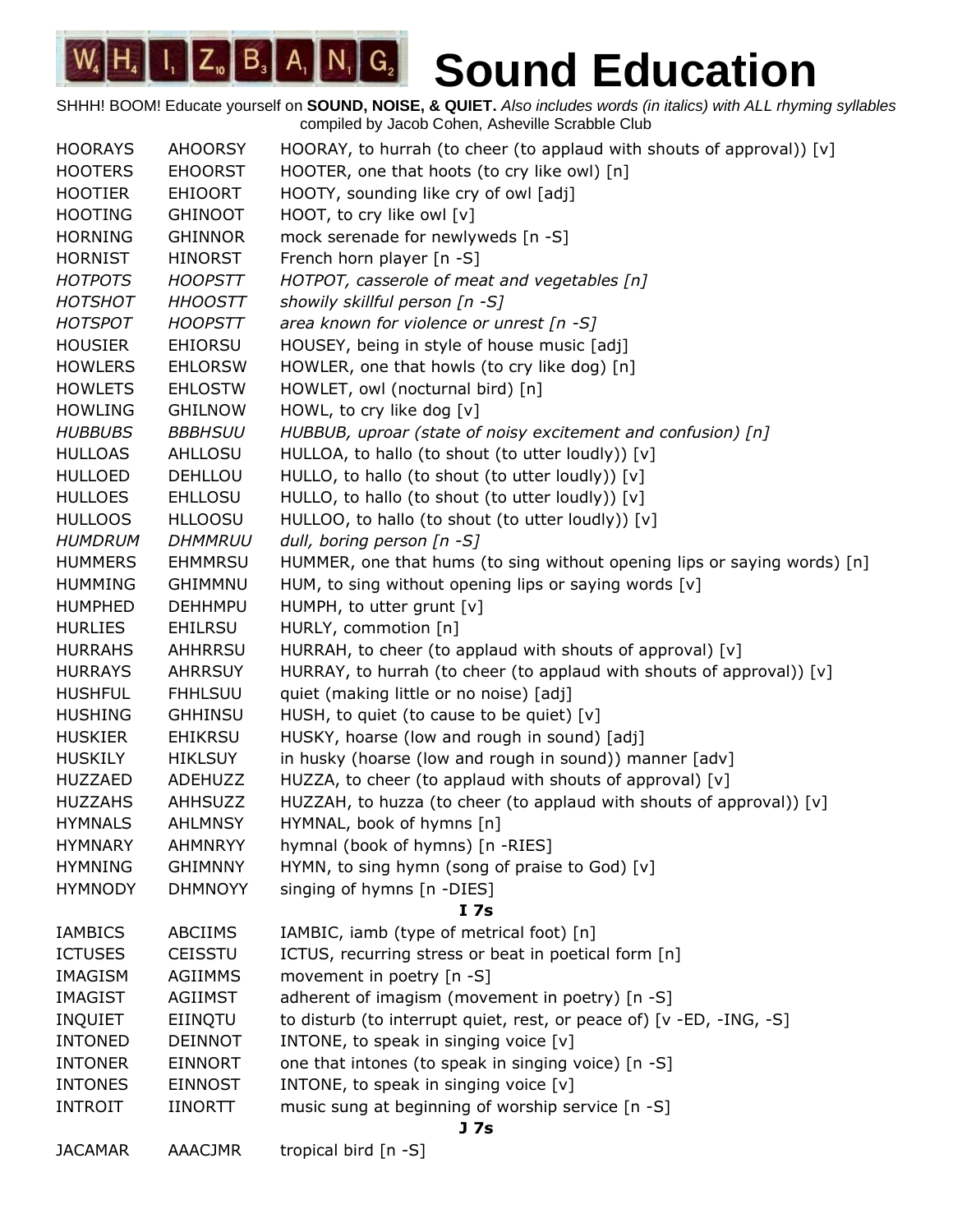| <b>HOORAYS</b> | <b>AHOORSY</b> | HOORAY, to hurrah (to cheer (to applaud with shouts of approval)) [v]    |
|----------------|----------------|--------------------------------------------------------------------------|
| <b>HOOTERS</b> | <b>EHOORST</b> | HOOTER, one that hoots (to cry like owl) [n]                             |
| <b>HOOTIER</b> | <b>EHIOORT</b> | HOOTY, sounding like cry of owl [adj]                                    |
| <b>HOOTING</b> | <b>GHINOOT</b> | HOOT, to cry like owl [v]                                                |
| <b>HORNING</b> | <b>GHINNOR</b> | mock serenade for newlyweds [n -S]                                       |
| <b>HORNIST</b> | <b>HINORST</b> | French horn player [n -S]                                                |
| <b>HOTPOTS</b> | <b>HOOPSTT</b> | HOTPOT, casserole of meat and vegetables [n]                             |
| <b>HOTSHOT</b> | <b>HHOOSTT</b> | showily skillful person [n -S]                                           |
| <b>HOTSPOT</b> | <b>HOOPSTT</b> | area known for violence or unrest [n -S]                                 |
| <b>HOUSIER</b> | <b>EHIORSU</b> | HOUSEY, being in style of house music [adj]                              |
| <b>HOWLERS</b> | <b>EHLORSW</b> | HOWLER, one that howls (to cry like dog) [n]                             |
| <b>HOWLETS</b> | <b>EHLOSTW</b> | HOWLET, owl (nocturnal bird) [n]                                         |
| <b>HOWLING</b> | <b>GHILNOW</b> | HOWL, to cry like dog [v]                                                |
| <b>HUBBUBS</b> | <b>BBBHSUU</b> | HUBBUB, uproar (state of noisy excitement and confusion) [n]             |
| <b>HULLOAS</b> | <b>AHLLOSU</b> | HULLOA, to hallo (to shout (to utter loudly)) [v]                        |
| <b>HULLOED</b> | <b>DEHLLOU</b> | HULLO, to hallo (to shout (to utter loudly)) [v]                         |
| <b>HULLOES</b> | <b>EHLLOSU</b> | HULLO, to hallo (to shout (to utter loudly)) [v]                         |
| <b>HULLOOS</b> | <b>HLLOOSU</b> | HULLOO, to hallo (to shout (to utter loudly)) [v]                        |
| <b>HUMDRUM</b> | <b>DHMMRUU</b> | dull, boring person [n -S]                                               |
| <b>HUMMERS</b> | <b>EHMMRSU</b> | HUMMER, one that hums (to sing without opening lips or saying words) [n] |
| <b>HUMMING</b> | <b>GHIMMNU</b> | HUM, to sing without opening lips or saying words [v]                    |
| <b>HUMPHED</b> | <b>DEHHMPU</b> | HUMPH, to utter grunt [v]                                                |
| <b>HURLIES</b> | <b>EHILRSU</b> | HURLY, commotion [n]                                                     |
| <b>HURRAHS</b> | AHHRRSU        | HURRAH, to cheer (to applaud with shouts of approval) [v]                |
| <b>HURRAYS</b> | <b>AHRRSUY</b> | HURRAY, to hurrah (to cheer (to applaud with shouts of approval)) [v]    |
| <b>HUSHFUL</b> | <b>FHHLSUU</b> | quiet (making little or no noise) [adj]                                  |
| <b>HUSHING</b> | <b>GHHINSU</b> | HUSH, to quiet (to cause to be quiet) [v]                                |
| <b>HUSKIER</b> | <b>EHIKRSU</b> | HUSKY, hoarse (low and rough in sound) [adj]                             |
| <b>HUSKILY</b> | <b>HIKLSUY</b> | in husky (hoarse (low and rough in sound)) manner [adv]                  |
| <b>HUZZAED</b> | ADEHUZZ        | HUZZA, to cheer (to applaud with shouts of approval) [v]                 |
| <b>HUZZAHS</b> | AHHSUZZ        | HUZZAH, to huzza (to cheer (to applaud with shouts of approval)) [v]     |
| <b>HYMNALS</b> | <b>AHLMNSY</b> | HYMNAL, book of hymns [n]                                                |
| <b>HYMNARY</b> | <b>AHMNRYY</b> | hymnal (book of hymns) [n -RIES]                                         |
| <b>HYMNING</b> | <b>GHIMNNY</b> | HYMN, to sing hymn (song of praise to God) [v]                           |
| <b>HYMNODY</b> | <b>DHMNOYY</b> | singing of hymns [n -DIES]                                               |
|                |                | I <sub>7s</sub>                                                          |
| <b>IAMBICS</b> | <b>ABCIIMS</b> | IAMBIC, iamb (type of metrical foot) [n]                                 |
| <b>ICTUSES</b> | <b>CEISSTU</b> | ICTUS, recurring stress or beat in poetical form [n]                     |
| <b>IMAGISM</b> | AGIIMMS        | movement in poetry [n -S]                                                |
| <b>IMAGIST</b> | <b>AGIIMST</b> | adherent of imagism (movement in poetry) [n -S]                          |
| <b>INQUIET</b> | EIINQTU        | to disturb (to interrupt quiet, rest, or peace of) [v -ED, -ING, -S]     |
| <b>INTONED</b> | <b>DEINNOT</b> | INTONE, to speak in singing voice [v]                                    |
| <b>INTONER</b> | <b>EINNORT</b> | one that intones (to speak in singing voice) [n -S]                      |
| <b>INTONES</b> | <b>EINNOST</b> | INTONE, to speak in singing voice [v]                                    |
| <b>INTROIT</b> | <b>IINORTT</b> | music sung at beginning of worship service [n -S]<br>J 7s                |
| <b>JACAMAR</b> | <b>AAACJMR</b> | tropical bird [n -S]                                                     |
|                |                |                                                                          |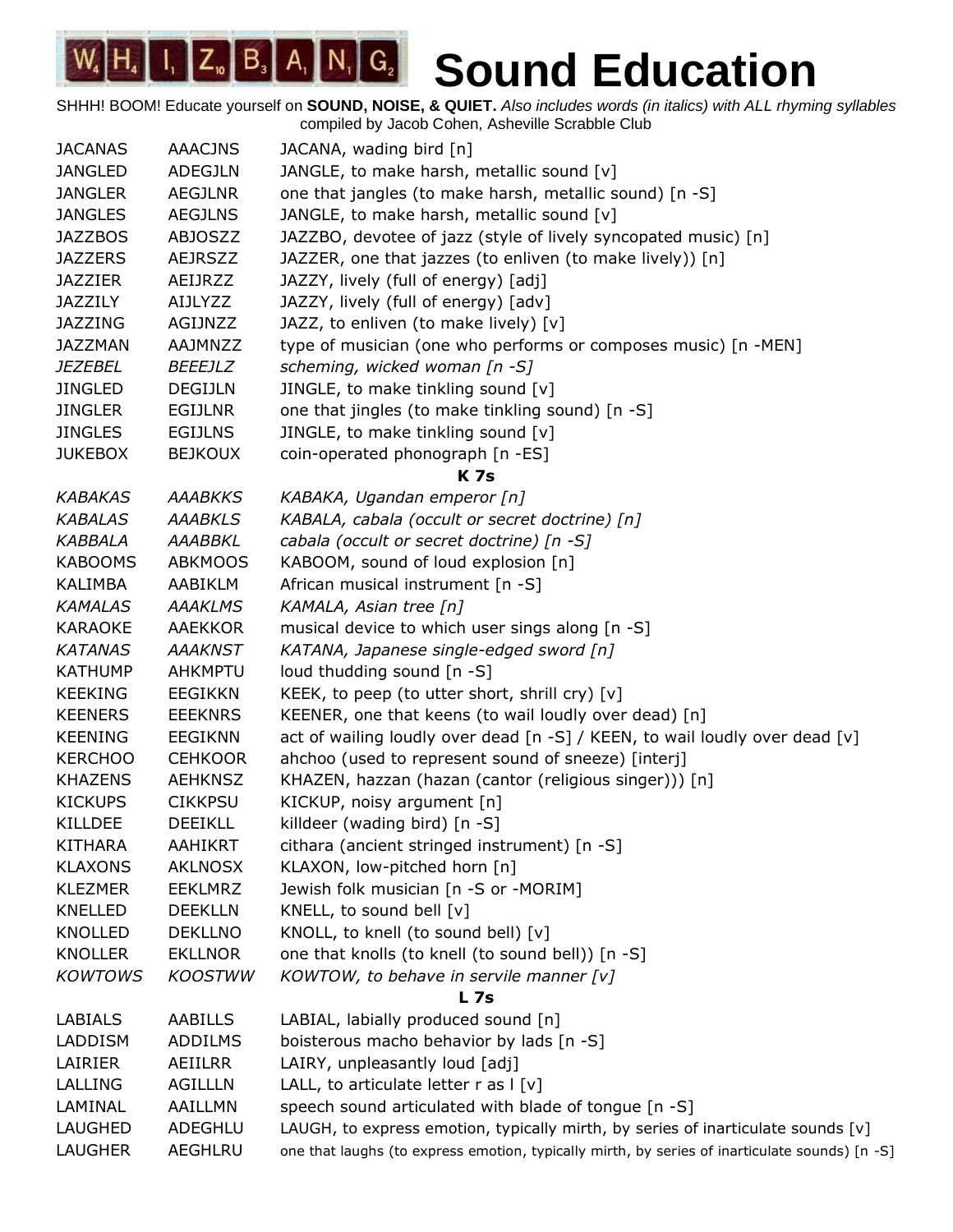| <b>JACANAS</b> | <b>AAACJNS</b> | JACANA, wading bird [n]                                                                        |
|----------------|----------------|------------------------------------------------------------------------------------------------|
| <b>JANGLED</b> | ADEGJLN        | JANGLE, to make harsh, metallic sound [v]                                                      |
| <b>JANGLER</b> | <b>AEGJLNR</b> | one that jangles (to make harsh, metallic sound) [n -S]                                        |
| <b>JANGLES</b> | <b>AEGJLNS</b> | JANGLE, to make harsh, metallic sound [v]                                                      |
| <b>JAZZBOS</b> | <b>ABJOSZZ</b> | JAZZBO, devotee of jazz (style of lively syncopated music) [n]                                 |
| <b>JAZZERS</b> | <b>AEJRSZZ</b> | JAZZER, one that jazzes (to enliven (to make lively)) [n]                                      |
| <b>JAZZIER</b> | AEIJRZZ        | JAZZY, lively (full of energy) [adj]                                                           |
| <b>JAZZILY</b> | <b>AIJLYZZ</b> | JAZZY, lively (full of energy) [adv]                                                           |
| <b>JAZZING</b> | AGIJNZZ        | JAZZ, to enliven (to make lively) [v]                                                          |
| <b>JAZZMAN</b> | <b>AAJMNZZ</b> | type of musician (one who performs or composes music) [n -MEN]                                 |
| <i>JEZEBEL</i> | <i>BEEEJLZ</i> | scheming, wicked woman [n -S]                                                                  |
| <b>JINGLED</b> | <b>DEGIJLN</b> | JINGLE, to make tinkling sound [v]                                                             |
| <b>JINGLER</b> | <b>EGIJLNR</b> | one that jingles (to make tinkling sound) [n -S]                                               |
| <b>JINGLES</b> | <b>EGIJLNS</b> | JINGLE, to make tinkling sound [v]                                                             |
| <b>JUKEBOX</b> | <b>BEJKOUX</b> | coin-operated phonograph [n -ES]                                                               |
|                |                | <b>K7s</b>                                                                                     |
| <b>KABAKAS</b> | <b>AAABKKS</b> | KABAKA, Ugandan emperor [n]                                                                    |
| <b>KABALAS</b> | <b>AAABKLS</b> | KABALA, cabala (occult or secret doctrine) [n]                                                 |
| <b>KABBALA</b> | <b>AAABBKL</b> | cabala (occult or secret doctrine) [n -S]                                                      |
| <b>KABOOMS</b> | <b>ABKMOOS</b> | KABOOM, sound of loud explosion [n]                                                            |
| <b>KALIMBA</b> | AABIKLM        | African musical instrument [n -S]                                                              |
| <b>KAMALAS</b> | <b>AAAKLMS</b> | KAMALA, Asian tree [n]                                                                         |
| <b>KARAOKE</b> | AAEKKOR        | musical device to which user sings along [n -S]                                                |
| <b>KATANAS</b> | <b>AAAKNST</b> | KATANA, Japanese single-edged sword [n]                                                        |
| <b>KATHUMP</b> | <b>AHKMPTU</b> | loud thudding sound [n -S]                                                                     |
| <b>KEEKING</b> | <b>EEGIKKN</b> | KEEK, to peep (to utter short, shrill cry) [v]                                                 |
| <b>KEENERS</b> | <b>EEEKNRS</b> | KEENER, one that keens (to wail loudly over dead) [n]                                          |
| <b>KEENING</b> | <b>EEGIKNN</b> | act of wailing loudly over dead [n -S] / KEEN, to wail loudly over dead [v]                    |
| <b>KERCHOO</b> | <b>CEHKOOR</b> | ahchoo (used to represent sound of sneeze) [interj]                                            |
| <b>KHAZENS</b> | <b>AEHKNSZ</b> | KHAZEN, hazzan (hazan (cantor (religious singer))) [n]                                         |
| <b>KICKUPS</b> | <b>CIKKPSU</b> | KICKUP, noisy argument [n]                                                                     |
| <b>KILLDEE</b> | <b>DEEIKLL</b> | killdeer (wading bird) [n -S]                                                                  |
| <b>KITHARA</b> | AAHIKRT        | cithara (ancient stringed instrument) [n -S]                                                   |
| <b>KLAXONS</b> | <b>AKLNOSX</b> | KLAXON, low-pitched horn [n]                                                                   |
| <b>KLEZMER</b> | <b>EEKLMRZ</b> | Jewish folk musician [n -S or -MORIM]                                                          |
| KNELLED        | <b>DEEKLLN</b> | KNELL, to sound bell [v]                                                                       |
| <b>KNOLLED</b> | <b>DEKLLNO</b> | KNOLL, to knell (to sound bell) [v]                                                            |
| <b>KNOLLER</b> | <b>EKLLNOR</b> | one that knolls (to knell (to sound bell)) [n -S]                                              |
| <b>KOWTOWS</b> | <b>KOOSTWW</b> | KOWTOW, to behave in servile manner $[v]$                                                      |
|                |                | <b>L</b> 7s                                                                                    |
| LABIALS        | AABILLS        | LABIAL, labially produced sound [n]                                                            |
| <b>LADDISM</b> | ADDILMS        | boisterous macho behavior by lads [n -S]                                                       |
| LAIRIER        | AEIILRR        | LAIRY, unpleasantly loud [adj]                                                                 |
| LALLING        | <b>AGILLLN</b> | LALL, to articulate letter $r$ as $ v $                                                        |
| LAMINAL        | AAILLMN        | speech sound articulated with blade of tongue [n -S]                                           |
| LAUGHED        | ADEGHLU        | LAUGH, to express emotion, typically mirth, by series of inarticulate sounds [v]               |
| LAUGHER        | AEGHLRU        | one that laughs (to express emotion, typically mirth, by series of inarticulate sounds) [n -S] |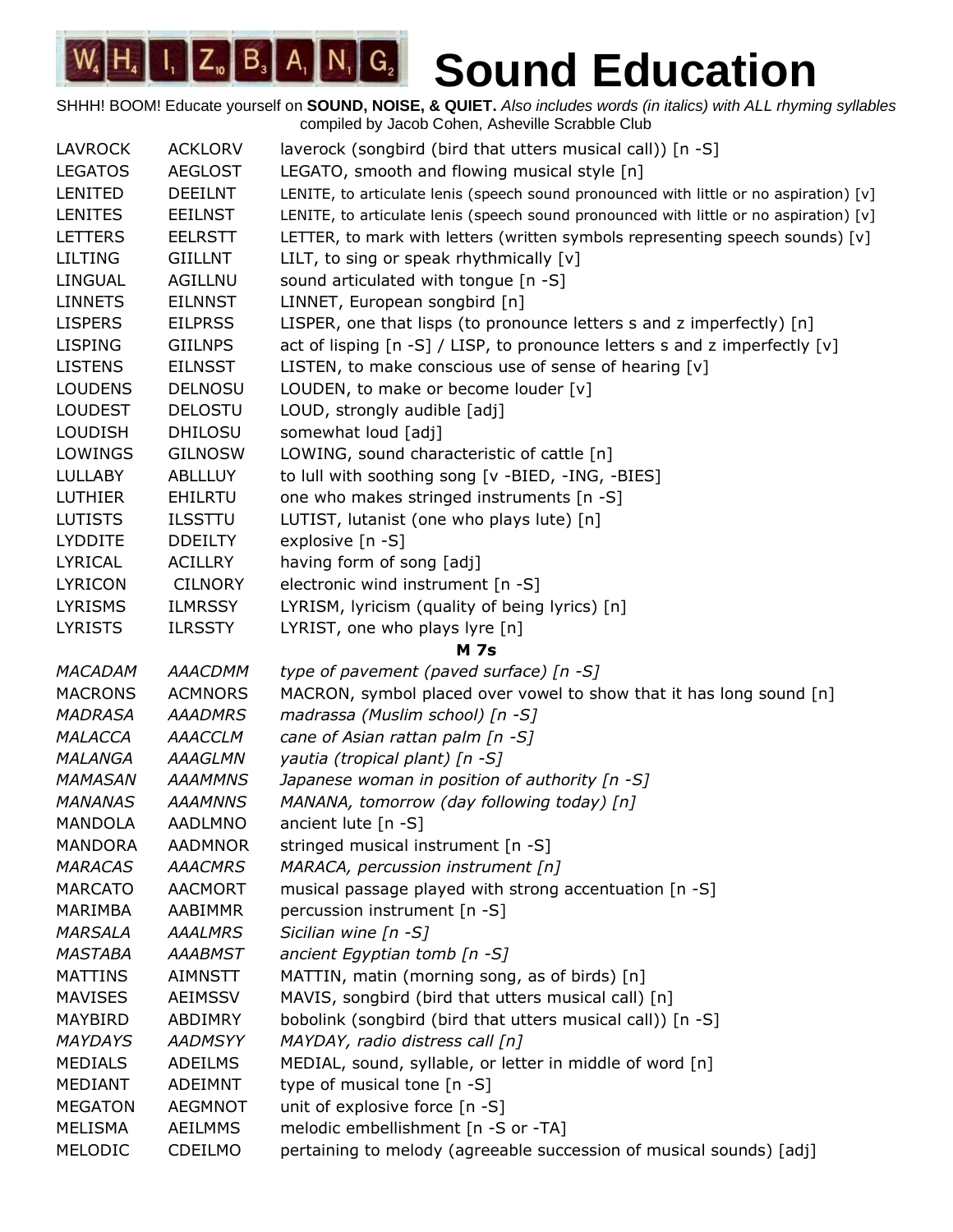| <b>LAVROCK</b> | <b>ACKLORV</b> | laverock (songbird (bird that utters musical call)) [n -S]                             |
|----------------|----------------|----------------------------------------------------------------------------------------|
| <b>LEGATOS</b> | <b>AEGLOST</b> | LEGATO, smooth and flowing musical style [n]                                           |
| LENITED        | <b>DEEILNT</b> | LENITE, to articulate lenis (speech sound pronounced with little or no aspiration) [v] |
| <b>LENITES</b> | <b>EEILNST</b> | LENITE, to articulate lenis (speech sound pronounced with little or no aspiration) [v] |
| <b>LETTERS</b> | <b>EELRSTT</b> | LETTER, to mark with letters (written symbols representing speech sounds) [v]          |
| <b>LILTING</b> | <b>GIILLNT</b> | LILT, to sing or speak rhythmically $[v]$                                              |
| <b>LINGUAL</b> | AGILLNU        | sound articulated with tongue [n -S]                                                   |
| <b>LINNETS</b> | <b>EILNNST</b> | LINNET, European songbird [n]                                                          |
| <b>LISPERS</b> | <b>EILPRSS</b> | LISPER, one that lisps (to pronounce letters s and z imperfectly) [n]                  |
| <b>LISPING</b> | <b>GIILNPS</b> | act of lisping [n -S] / LISP, to pronounce letters s and z imperfectly [v]             |
| <b>LISTENS</b> | <b>EILNSST</b> | LISTEN, to make conscious use of sense of hearing [v]                                  |
| <b>LOUDENS</b> | <b>DELNOSU</b> | LOUDEN, to make or become louder [v]                                                   |
| <b>LOUDEST</b> | <b>DELOSTU</b> | LOUD, strongly audible [adj]                                                           |
| <b>LOUDISH</b> | <b>DHILOSU</b> | somewhat loud [adj]                                                                    |
| LOWINGS        | <b>GILNOSW</b> | LOWING, sound characteristic of cattle [n]                                             |
| <b>LULLABY</b> | <b>ABLLLUY</b> | to lull with soothing song [v -BIED, -ING, -BIES]                                      |
| <b>LUTHIER</b> | <b>EHILRTU</b> | one who makes stringed instruments [n -S]                                              |
| <b>LUTISTS</b> | <b>ILSSTTU</b> | LUTIST, lutanist (one who plays lute) [n]                                              |
| <b>LYDDITE</b> | <b>DDEILTY</b> | explosive [n -S]                                                                       |
| LYRICAL        | <b>ACILLRY</b> | having form of song [adj]                                                              |
| <b>LYRICON</b> | <b>CILNORY</b> | electronic wind instrument [n -S]                                                      |
| <b>LYRISMS</b> | <b>ILMRSSY</b> | LYRISM, lyricism (quality of being lyrics) [n]                                         |
| <b>LYRISTS</b> | <b>ILRSSTY</b> | LYRIST, one who plays lyre [n]                                                         |
|                |                | <b>M</b> 7s                                                                            |
| <b>MACADAM</b> | AAACDMM        | type of pavement (paved surface) [n -S]                                                |
| <b>MACRONS</b> | <b>ACMNORS</b> | MACRON, symbol placed over vowel to show that it has long sound [n]                    |
| <b>MADRASA</b> | <b>AAADMRS</b> | madrassa (Muslim school) [n -S]                                                        |
| MALACCA        | <b>AAACCLM</b> | cane of Asian rattan palm [n -S]                                                       |
| <b>MALANGA</b> | <b>AAAGLMN</b> | yautia (tropical plant) [n -S]                                                         |
| <b>MAMASAN</b> | <b>AAAMMNS</b> | Japanese woman in position of authority [n -S]                                         |
| <b>MANANAS</b> | <b>AAAMNNS</b> | MANANA, tomorrow (day following today) [n]                                             |
| <b>MANDOLA</b> | <b>AADLMNO</b> | ancient lute $[n - S]$                                                                 |
| <b>MANDORA</b> | <b>AADMNOR</b> | stringed musical instrument [n -S]                                                     |
| <b>MARACAS</b> | <b>AAACMRS</b> | MARACA, percussion instrument [n]                                                      |
| <b>MARCATO</b> | <b>AACMORT</b> | musical passage played with strong accentuation [n -S]                                 |
| MARIMBA        | AABIMMR        | percussion instrument [n -S]                                                           |
| <b>MARSALA</b> | <b>AAALMRS</b> | Sicilian wine $[n - S]$                                                                |
| <b>MASTABA</b> | <b>AAABMST</b> | ancient Egyptian tomb [n -S]                                                           |
| <b>MATTINS</b> | <b>AIMNSTT</b> | MATTIN, matin (morning song, as of birds) [n]                                          |
| <b>MAVISES</b> | <b>AEIMSSV</b> | MAVIS, songbird (bird that utters musical call) [n]                                    |
| <b>MAYBIRD</b> | ABDIMRY        | bobolink (songbird (bird that utters musical call)) [n -S]                             |
| <b>MAYDAYS</b> | <b>AADMSYY</b> | MAYDAY, radio distress call [n]                                                        |
| <b>MEDIALS</b> | <b>ADEILMS</b> | MEDIAL, sound, syllable, or letter in middle of word [n]                               |
| <b>MEDIANT</b> | <b>ADEIMNT</b> | type of musical tone [n -S]                                                            |
| <b>MEGATON</b> | <b>AEGMNOT</b> | unit of explosive force [n -S]                                                         |
| <b>MELISMA</b> | <b>AEILMMS</b> | melodic embellishment [n -S or -TA]                                                    |
| MELODIC        | CDEILMO        | pertaining to melody (agreeable succession of musical sounds) [adj]                    |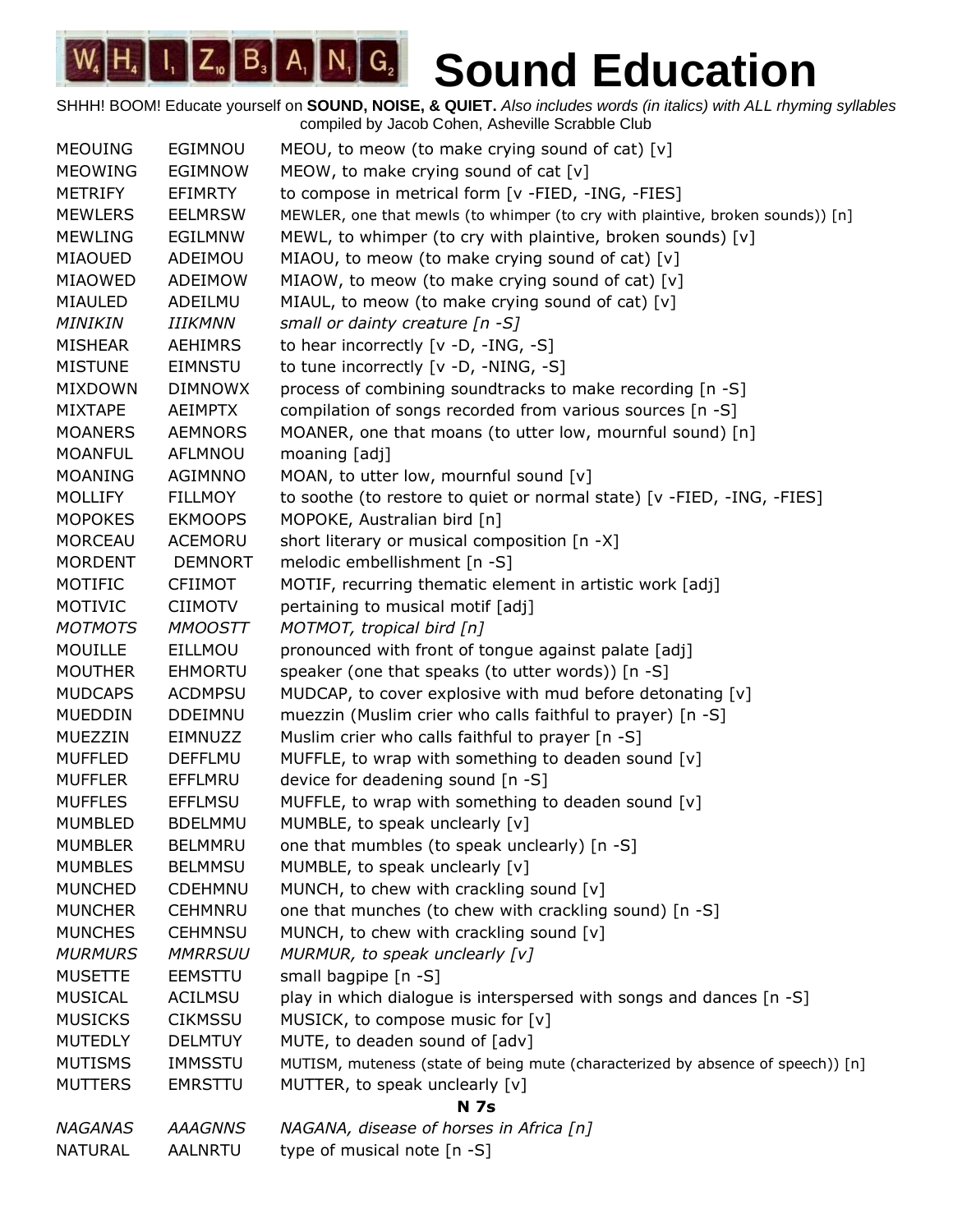| <b>MEOUING</b> | EGIMNOU        | MEOU, to meow (to make crying sound of cat) $[v]$                               |
|----------------|----------------|---------------------------------------------------------------------------------|
| <b>MEOWING</b> | <b>EGIMNOW</b> | MEOW, to make crying sound of cat $[v]$                                         |
| <b>METRIFY</b> | <b>EFIMRTY</b> | to compose in metrical form [v -FIED, -ING, -FIES]                              |
| <b>MEWLERS</b> | <b>EELMRSW</b> | MEWLER, one that mewls (to whimper (to cry with plaintive, broken sounds)) [n]  |
| <b>MEWLING</b> | <b>EGILMNW</b> | MEWL, to whimper (to cry with plaintive, broken sounds) [v]                     |
| <b>MIAOUED</b> | ADEIMOU        | MIAOU, to meow (to make crying sound of cat) [v]                                |
| <b>MIAOWED</b> | ADEIMOW        | MIAOW, to meow (to make crying sound of cat) [v]                                |
| MIAULED        | ADEILMU        | MIAUL, to meow (to make crying sound of cat) [v]                                |
| MINIKIN        | IIIKMNN        | small or dainty creature [n -S]                                                 |
| <b>MISHEAR</b> | <b>AEHIMRS</b> | to hear incorrectly [v -D, -ING, -S]                                            |
| <b>MISTUNE</b> | <b>EIMNSTU</b> | to tune incorrectly [v -D, -NING, -S]                                           |
| <b>MIXDOWN</b> | <b>DIMNOWX</b> | process of combining soundtracks to make recording [n -S]                       |
| <b>MIXTAPE</b> | <b>AEIMPTX</b> | compilation of songs recorded from various sources [n -S]                       |
| <b>MOANERS</b> | <b>AEMNORS</b> | MOANER, one that moans (to utter low, mournful sound) [n]                       |
| <b>MOANFUL</b> | AFLMNOU        | moaning [adj]                                                                   |
| <b>MOANING</b> | <b>AGIMNNO</b> | MOAN, to utter low, mournful sound [v]                                          |
| <b>MOLLIFY</b> | <b>FILLMOY</b> | to soothe (to restore to quiet or normal state) [v -FIED, -ING, -FIES]          |
| <b>MOPOKES</b> | <b>EKMOOPS</b> | MOPOKE, Australian bird [n]                                                     |
| <b>MORCEAU</b> | ACEMORU        | short literary or musical composition [n -X]                                    |
| <b>MORDENT</b> | <b>DEMNORT</b> | melodic embellishment [n -S]                                                    |
| MOTIFIC        | <b>CFIIMOT</b> | MOTIF, recurring thematic element in artistic work [adj]                        |
| MOTIVIC        | <b>CIIMOTV</b> | pertaining to musical motif [adj]                                               |
| <b>MOTMOTS</b> | <b>MMOOSTT</b> | MOTMOT, tropical bird [n]                                                       |
| <b>MOUILLE</b> | EILLMOU        | pronounced with front of tongue against palate [adj]                            |
| <b>MOUTHER</b> | <b>EHMORTU</b> | speaker (one that speaks (to utter words)) [n -S]                               |
| <b>MUDCAPS</b> | <b>ACDMPSU</b> | MUDCAP, to cover explosive with mud before detonating [v]                       |
| <b>MUEDDIN</b> | <b>DDEIMNU</b> | muezzin (Muslim crier who calls faithful to prayer) [n -S]                      |
| MUEZZIN        | EIMNUZZ        | Muslim crier who calls faithful to prayer [n -S]                                |
| <b>MUFFLED</b> | <b>DEFFLMU</b> | MUFFLE, to wrap with something to deaden sound [v]                              |
| <b>MUFFLER</b> | EFFLMRU        | device for deadening sound [n -S]                                               |
| <b>MUFFLES</b> | <b>EFFLMSU</b> | MUFFLE, to wrap with something to deaden sound [v]                              |
| <b>MUMBLED</b> | <b>BDELMMU</b> | MUMBLE, to speak unclearly [v]                                                  |
| <b>MUMBLER</b> | <b>BELMMRU</b> | one that mumbles (to speak unclearly) [n -S]                                    |
| <b>MUMBLES</b> | <b>BELMMSU</b> | MUMBLE, to speak unclearly [v]                                                  |
| <b>MUNCHED</b> | <b>CDEHMNU</b> | MUNCH, to chew with crackling sound [v]                                         |
| <b>MUNCHER</b> | <b>CEHMNRU</b> | one that munches (to chew with crackling sound) [n -S]                          |
| <b>MUNCHES</b> | <b>CEHMNSU</b> | MUNCH, to chew with crackling sound [v]                                         |
| <b>MURMURS</b> | <b>MMRRSUU</b> | MURMUR, to speak unclearly [v]                                                  |
| <b>MUSETTE</b> | <b>EEMSTTU</b> | small bagpipe $[n - S]$                                                         |
| <b>MUSICAL</b> | <b>ACILMSU</b> | play in which dialogue is interspersed with songs and dances [n -S]             |
| <b>MUSICKS</b> | <b>CIKMSSU</b> | MUSICK, to compose music for [v]                                                |
| <b>MUTEDLY</b> | <b>DELMTUY</b> | MUTE, to deaden sound of [adv]                                                  |
| <b>MUTISMS</b> | IMMSSTU        | MUTISM, muteness (state of being mute (characterized by absence of speech)) [n] |
| <b>MUTTERS</b> | <b>EMRSTTU</b> | MUTTER, to speak unclearly [v]                                                  |
|                |                | <b>N</b> 7s                                                                     |
| <b>NAGANAS</b> | <b>AAAGNNS</b> | NAGANA, disease of horses in Africa [n]                                         |
| <b>NATURAL</b> | <b>AALNRTU</b> | type of musical note [n -S]                                                     |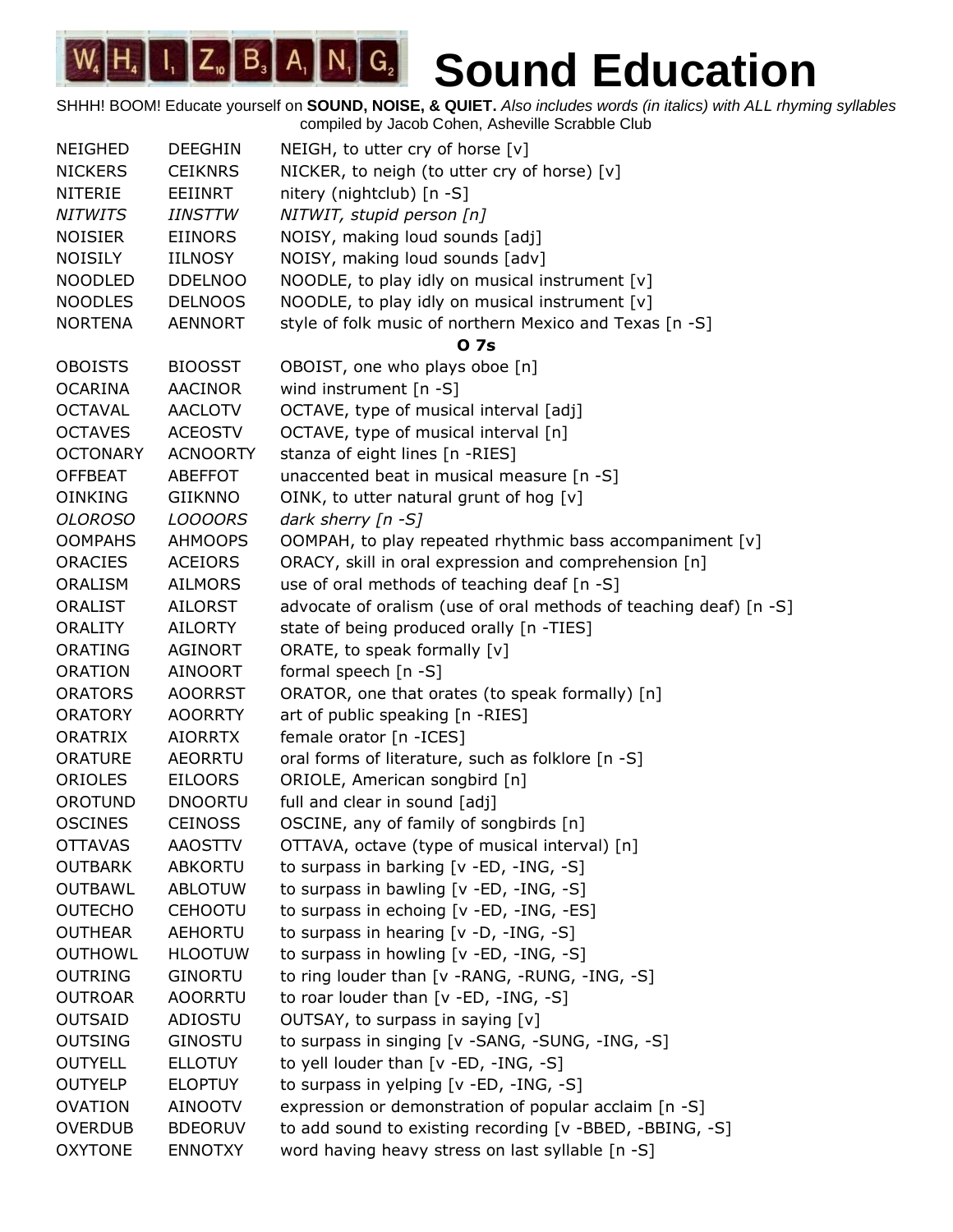| <b>NEIGHED</b>  | <b>DEEGHIN</b>  | NEIGH, to utter cry of horse $[v]$                                |
|-----------------|-----------------|-------------------------------------------------------------------|
| <b>NICKERS</b>  | <b>CEIKNRS</b>  | NICKER, to neigh (to utter cry of horse) [v]                      |
| <b>NITERIE</b>  | <b>EEIINRT</b>  | nitery (nightclub) $[n - S]$                                      |
| <b>NITWITS</b>  | <b>IINSTTW</b>  | NITWIT, stupid person [n]                                         |
| <b>NOISIER</b>  | <b>EIINORS</b>  | NOISY, making loud sounds [adj]                                   |
| <b>NOISILY</b>  | <b>IILNOSY</b>  | NOISY, making loud sounds [adv]                                   |
| <b>NOODLED</b>  | <b>DDELNOO</b>  | NOODLE, to play idly on musical instrument [v]                    |
| <b>NOODLES</b>  | <b>DELNOOS</b>  | NOODLE, to play idly on musical instrument [v]                    |
| <b>NORTENA</b>  | <b>AENNORT</b>  | style of folk music of northern Mexico and Texas [n -S]           |
|                 |                 | 0 7s                                                              |
| <b>OBOISTS</b>  | <b>BIOOSST</b>  | OBOIST, one who plays oboe [n]                                    |
| <b>OCARINA</b>  | <b>AACINOR</b>  | wind instrument [n -S]                                            |
| <b>OCTAVAL</b>  | <b>AACLOTV</b>  | OCTAVE, type of musical interval [adj]                            |
| <b>OCTAVES</b>  | <b>ACEOSTV</b>  | OCTAVE, type of musical interval [n]                              |
| <b>OCTONARY</b> | <b>ACNOORTY</b> | stanza of eight lines [n -RIES]                                   |
| <b>OFFBEAT</b>  | <b>ABEFFOT</b>  | unaccented beat in musical measure [n -S]                         |
| <b>OINKING</b>  | <b>GIIKNNO</b>  | OINK, to utter natural grunt of hog [v]                           |
| <b>OLOROSO</b>  | <b>LOOOORS</b>  | dark sherry [n -S]                                                |
| <b>OOMPAHS</b>  | <b>AHMOOPS</b>  | OOMPAH, to play repeated rhythmic bass accompaniment [v]          |
| <b>ORACIES</b>  | <b>ACEIORS</b>  | ORACY, skill in oral expression and comprehension [n]             |
| <b>ORALISM</b>  | <b>AILMORS</b>  | use of oral methods of teaching deaf [n -S]                       |
| <b>ORALIST</b>  | <b>AILORST</b>  | advocate of oralism (use of oral methods of teaching deaf) [n -S] |
| <b>ORALITY</b>  | <b>AILORTY</b>  | state of being produced orally [n -TIES]                          |
| <b>ORATING</b>  | <b>AGINORT</b>  | ORATE, to speak formally [v]                                      |
| <b>ORATION</b>  | <b>AINOORT</b>  | formal speech [n -S]                                              |
| <b>ORATORS</b>  | <b>AOORRST</b>  | ORATOR, one that orates (to speak formally) [n]                   |
| <b>ORATORY</b>  | <b>AOORRTY</b>  | art of public speaking [n -RIES]                                  |
| <b>ORATRIX</b>  | <b>AIORRTX</b>  | female orator [n -ICES]                                           |
| <b>ORATURE</b>  | <b>AEORRTU</b>  | oral forms of literature, such as folklore [n -S]                 |
| ORIOLES         | <b>EILOORS</b>  | ORIOLE, American songbird [n]                                     |
| OROTUND         | <b>DNOORTU</b>  | full and clear in sound [adj]                                     |
| <b>OSCINES</b>  | <b>CEINOSS</b>  | OSCINE, any of family of songbirds [n]                            |
| <b>OTTAVAS</b>  | <b>AAOSTTV</b>  | OTTAVA, octave (type of musical interval) [n]                     |
| <b>OUTBARK</b>  | ABKORTU         | to surpass in barking [v -ED, -ING, -S]                           |
| <b>OUTBAWL</b>  | <b>ABLOTUW</b>  | to surpass in bawling [v -ED, -ING, -S]                           |
| <b>OUTECHO</b>  | <b>CEHOOTU</b>  | to surpass in echoing [v -ED, -ING, -ES]                          |
| <b>OUTHEAR</b>  | <b>AEHORTU</b>  | to surpass in hearing [v -D, -ING, -S]                            |
| <b>OUTHOWL</b>  | <b>HLOOTUW</b>  | to surpass in howling [v -ED, -ING, -S]                           |
| <b>OUTRING</b>  | <b>GINORTU</b>  | to ring louder than [v -RANG, -RUNG, -ING, -S]                    |
| <b>OUTROAR</b>  | <b>AOORRTU</b>  | to roar louder than [v -ED, -ING, -S]                             |
| <b>OUTSAID</b>  | ADIOSTU         | OUTSAY, to surpass in saying [v]                                  |
| <b>OUTSING</b>  | GINOSTU         | to surpass in singing [v -SANG, -SUNG, -ING, -S]                  |
| <b>OUTYELL</b>  | <b>ELLOTUY</b>  | to yell louder than [v -ED, -ING, -S]                             |
| <b>OUTYELP</b>  | <b>ELOPTUY</b>  | to surpass in yelping [v -ED, -ING, -S]                           |
| <b>OVATION</b>  | <b>AINOOTV</b>  | expression or demonstration of popular acclaim [n -S]             |
| <b>OVERDUB</b>  | <b>BDEORUV</b>  | to add sound to existing recording [v -BBED, -BBING, -S]          |
| <b>OXYTONE</b>  | <b>ENNOTXY</b>  | word having heavy stress on last syllable [n -S]                  |
|                 |                 |                                                                   |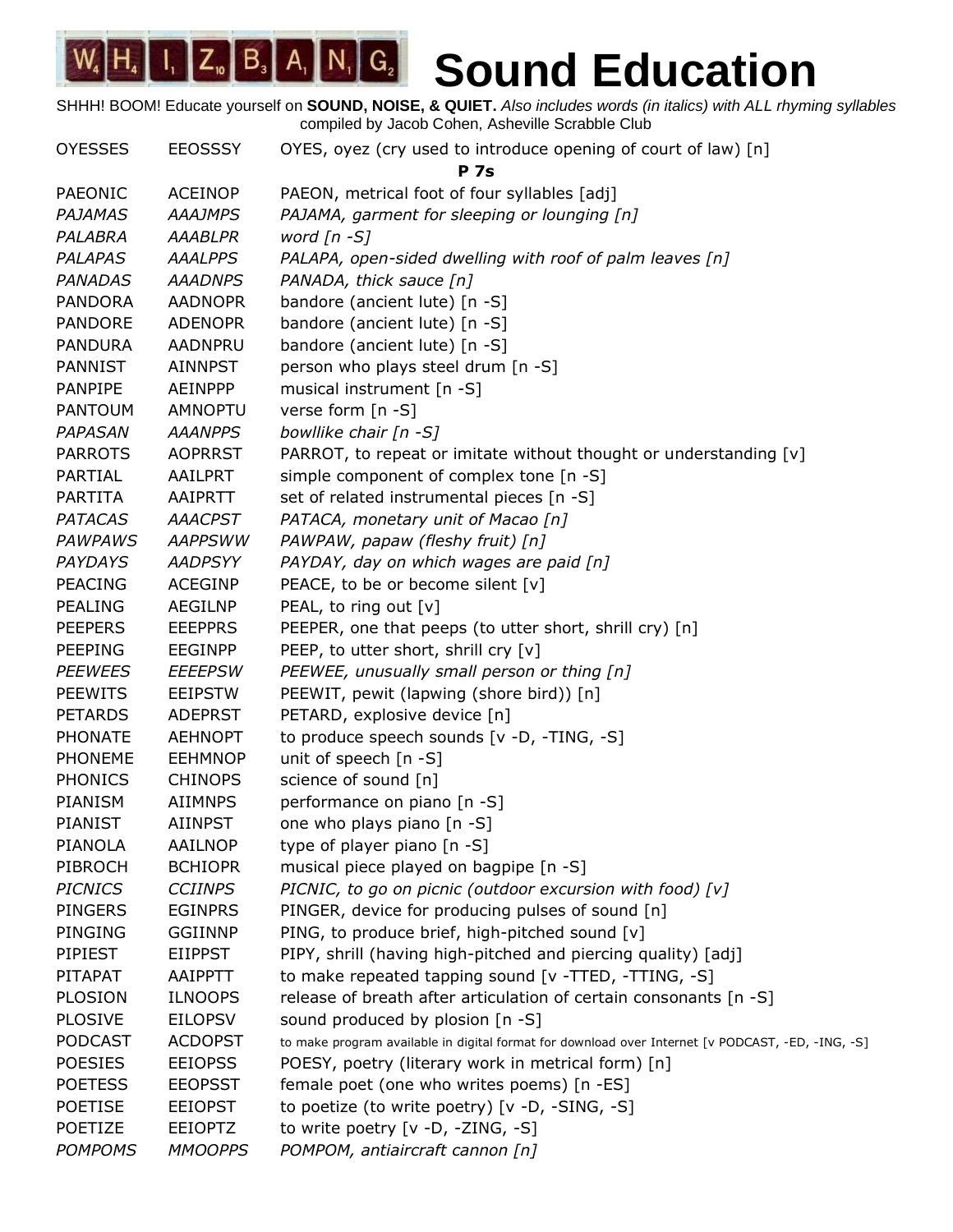| <b>OYESSES</b> | <b>EEOSSSY</b> | OYES, oyez (cry used to introduce opening of court of law) [n]                                    |
|----------------|----------------|---------------------------------------------------------------------------------------------------|
|                |                | <b>P</b> 7s                                                                                       |
| PAEONIC        | <b>ACEINOP</b> | PAEON, metrical foot of four syllables [adj]                                                      |
| PAJAMAS        | <b>AAAJMPS</b> | PAJAMA, garment for sleeping or lounging [n]                                                      |
| PALABRA        | <b>AAABLPR</b> | word $[n - S]$                                                                                    |
| <b>PALAPAS</b> | <b>AAALPPS</b> | PALAPA, open-sided dwelling with roof of palm leaves [n]                                          |
| <b>PANADAS</b> | <b>AAADNPS</b> | PANADA, thick sauce [n]                                                                           |
| <b>PANDORA</b> | <b>AADNOPR</b> | bandore (ancient lute) [n -S]                                                                     |
| <b>PANDORE</b> | <b>ADENOPR</b> | bandore (ancient lute) [n -S]                                                                     |
| <b>PANDURA</b> | <b>AADNPRU</b> | bandore (ancient lute) [n -S]                                                                     |
| <b>PANNIST</b> | <b>AINNPST</b> | person who plays steel drum [n -S]                                                                |
| <b>PANPIPE</b> | <b>AEINPPP</b> | musical instrument [n -S]                                                                         |
| <b>PANTOUM</b> | <b>AMNOPTU</b> | verse form [n -S]                                                                                 |
| <b>PAPASAN</b> | <b>AAANPPS</b> | bowllike chair [n -S]                                                                             |
| <b>PARROTS</b> | <b>AOPRRST</b> | PARROT, to repeat or imitate without thought or understanding [v]                                 |
| PARTIAL        | <b>AAILPRT</b> | simple component of complex tone [n -S]                                                           |
| <b>PARTITA</b> | AAIPRTT        | set of related instrumental pieces [n -S]                                                         |
| <b>PATACAS</b> | <b>AAACPST</b> | PATACA, monetary unit of Macao [n]                                                                |
| <b>PAWPAWS</b> | <b>AAPPSWW</b> | PAWPAW, papaw (fleshy fruit) [n]                                                                  |
| PAYDAYS        | <b>AADPSYY</b> | PAYDAY, day on which wages are paid [n]                                                           |
| <b>PEACING</b> | <b>ACEGINP</b> | PEACE, to be or become silent [v]                                                                 |
| <b>PEALING</b> | <b>AEGILNP</b> | PEAL, to ring out [v]                                                                             |
| <b>PEEPERS</b> | <b>EEEPPRS</b> | PEEPER, one that peeps (to utter short, shrill cry) [n]                                           |
| <b>PEEPING</b> | <b>EEGINPP</b> | PEEP, to utter short, shrill cry [v]                                                              |
| <b>PEEWEES</b> | <b>EEEEPSW</b> | PEEWEE, unusually small person or thing [n]                                                       |
| <b>PEEWITS</b> | <b>EEIPSTW</b> | PEEWIT, pewit (lapwing (shore bird)) [n]                                                          |
| <b>PETARDS</b> | <b>ADEPRST</b> | PETARD, explosive device [n]                                                                      |
| <b>PHONATE</b> | <b>AEHNOPT</b> | to produce speech sounds [v -D, -TING, -S]                                                        |
| <b>PHONEME</b> | <b>EEHMNOP</b> | unit of speech [n -S]                                                                             |
| <b>PHONICS</b> | <b>CHINOPS</b> | science of sound [n]                                                                              |
| PIANISM        | <b>AIIMNPS</b> | performance on piano [n -S]                                                                       |
| <b>PIANIST</b> | <b>AIINPST</b> | one who plays piano [n -S]                                                                        |
| PIANOLA        | AAILNOP        | type of player piano [n -S]                                                                       |
| PIBROCH        | <b>BCHIOPR</b> | musical piece played on bagpipe [n -S]                                                            |
| <b>PICNICS</b> | <b>CCIINPS</b> | PICNIC, to go on picnic (outdoor excursion with food) [v]                                         |
| <b>PINGERS</b> | <b>EGINPRS</b> | PINGER, device for producing pulses of sound [n]                                                  |
| PINGING        | <b>GGIINNP</b> | PING, to produce brief, high-pitched sound [v]                                                    |
| PIPIEST        | <b>EIIPPST</b> | PIPY, shrill (having high-pitched and piercing quality) [adj]                                     |
| PITAPAT        | <b>AAIPPTT</b> | to make repeated tapping sound [v -TTED, -TTING, -S]                                              |
| <b>PLOSION</b> | <b>ILNOOPS</b> | release of breath after articulation of certain consonants [n -S]                                 |
| <b>PLOSIVE</b> | <b>EILOPSV</b> | sound produced by plosion [n -S]                                                                  |
| <b>PODCAST</b> | <b>ACDOPST</b> | to make program available in digital format for download over Internet [v PODCAST, -ED, -ING, -S] |
| <b>POESIES</b> | <b>EEIOPSS</b> | POESY, poetry (literary work in metrical form) [n]                                                |
| <b>POETESS</b> | <b>EEOPSST</b> | female poet (one who writes poems) [n -ES]                                                        |
| <b>POETISE</b> | <b>EEIOPST</b> | to poetize (to write poetry) [v -D, -SING, -S]                                                    |
| POETIZE        | <b>EEIOPTZ</b> | to write poetry [v -D, -ZING, -S]                                                                 |
| <b>POMPOMS</b> | <b>MMOOPPS</b> | POMPOM, antiaircraft cannon [n]                                                                   |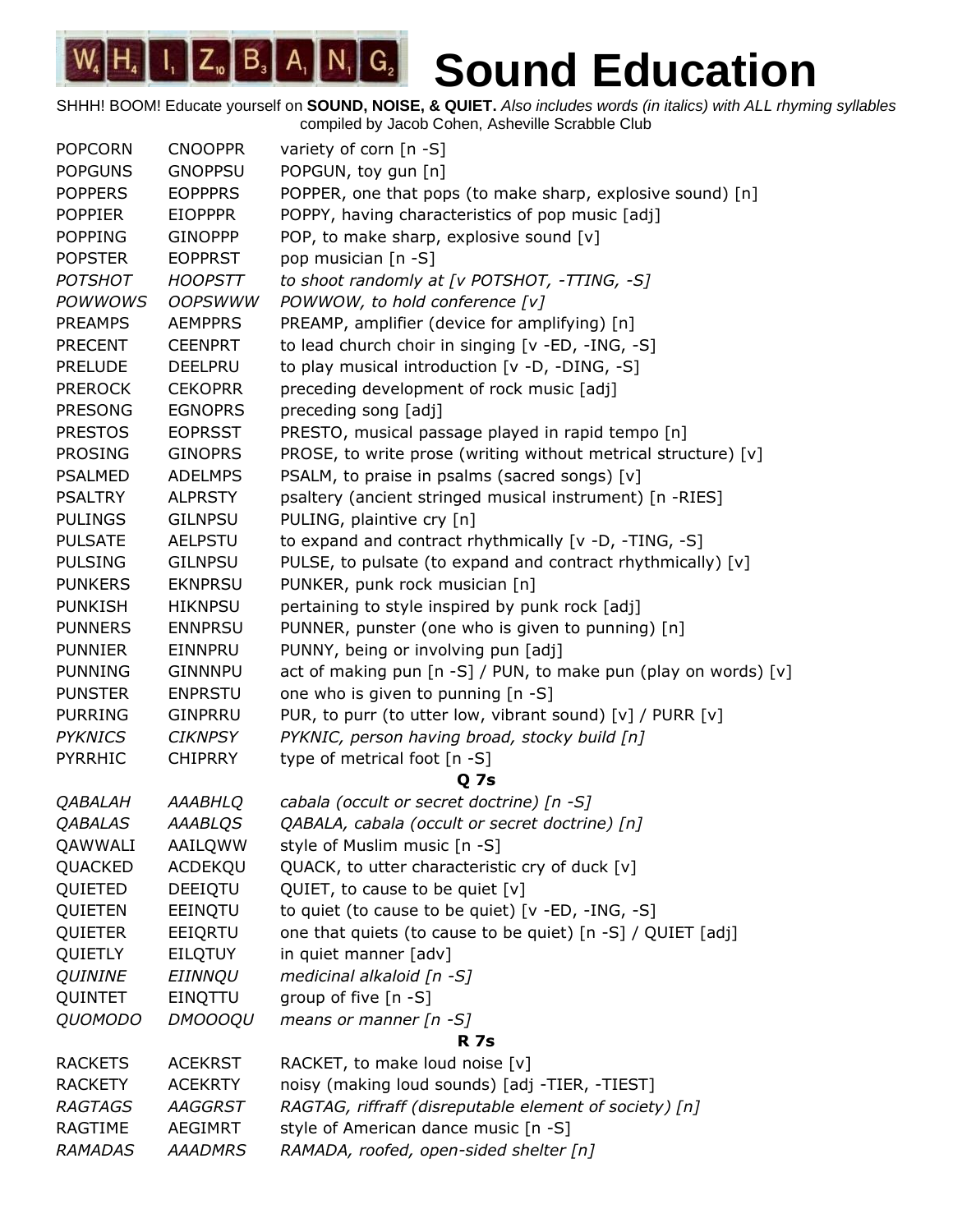$\begin{bmatrix} 1, & Z_{10} & B_3 \end{bmatrix}$   $A_1$   $\begin{bmatrix} N_1 & G_2 \end{bmatrix}$  $W_4|H_4$ **Sound Education**

| <b>POPCORN</b> | <b>CNOOPPR</b> | variety of corn [n -S]                                          |
|----------------|----------------|-----------------------------------------------------------------|
| <b>POPGUNS</b> | <b>GNOPPSU</b> | POPGUN, toy gun [n]                                             |
| <b>POPPERS</b> | <b>EOPPPRS</b> | POPPER, one that pops (to make sharp, explosive sound) [n]      |
| <b>POPPIER</b> | <b>EIOPPPR</b> | POPPY, having characteristics of pop music [adj]                |
| <b>POPPING</b> | <b>GINOPPP</b> | POP, to make sharp, explosive sound [v]                         |
| <b>POPSTER</b> | <b>EOPPRST</b> | pop musician [n -S]                                             |
| <b>POTSHOT</b> | <b>HOOPSTT</b> | to shoot randomly at [v POTSHOT, -TTING, -S]                    |
| <b>POWWOWS</b> | <b>OOPSWWW</b> | POWWOW, to hold conference [v]                                  |
| <b>PREAMPS</b> | <b>AEMPPRS</b> | PREAMP, amplifier (device for amplifying) [n]                   |
| <b>PRECENT</b> | <b>CEENPRT</b> | to lead church choir in singing [v -ED, -ING, -S]               |
| <b>PRELUDE</b> | <b>DEELPRU</b> | to play musical introduction [v -D, -DING, -S]                  |
| <b>PREROCK</b> | <b>CEKOPRR</b> | preceding development of rock music [adj]                       |
| <b>PRESONG</b> | <b>EGNOPRS</b> | preceding song [adj]                                            |
| <b>PRESTOS</b> | <b>EOPRSST</b> | PRESTO, musical passage played in rapid tempo [n]               |
| <b>PROSING</b> | <b>GINOPRS</b> | PROSE, to write prose (writing without metrical structure) [v]  |
| <b>PSALMED</b> | <b>ADELMPS</b> | PSALM, to praise in psalms (sacred songs) [v]                   |
| <b>PSALTRY</b> | <b>ALPRSTY</b> | psaltery (ancient stringed musical instrument) [n -RIES]        |
| <b>PULINGS</b> | <b>GILNPSU</b> | PULING, plaintive cry [n]                                       |
| <b>PULSATE</b> | <b>AELPSTU</b> | to expand and contract rhythmically [v -D, -TING, -S]           |
| <b>PULSING</b> | <b>GILNPSU</b> | PULSE, to pulsate (to expand and contract rhythmically) [v]     |
| <b>PUNKERS</b> | <b>EKNPRSU</b> | PUNKER, punk rock musician [n]                                  |
| <b>PUNKISH</b> | <b>HIKNPSU</b> | pertaining to style inspired by punk rock [adj]                 |
| <b>PUNNERS</b> | <b>ENNPRSU</b> | PUNNER, punster (one who is given to punning) [n]               |
| <b>PUNNIER</b> | EINNPRU        | PUNNY, being or involving pun [adj]                             |
| <b>PUNNING</b> | <b>GINNNPU</b> | act of making pun [n -S] / PUN, to make pun (play on words) [v] |
| <b>PUNSTER</b> | <b>ENPRSTU</b> | one who is given to punning [n -S]                              |
| <b>PURRING</b> | <b>GINPRRU</b> | PUR, to purr (to utter low, vibrant sound) [v] / PURR [v]       |
| <b>PYKNICS</b> | <b>CIKNPSY</b> | PYKNIC, person having broad, stocky build [n]                   |
| PYRRHIC        | <b>CHIPRRY</b> | type of metrical foot [n -S]                                    |
|                |                | <b>Q</b> 7s                                                     |
| <b>QABALAH</b> | AAABHLQ        | cabala (occult or secret doctrine) [n -S]                       |
| <b>QABALAS</b> | <b>AAABLQS</b> | QABALA, cabala (occult or secret doctrine) [n]                  |
| QAWWALI        | AAILQWW        | style of Muslim music [n -S]                                    |
| QUACKED        | ACDEKQU        | QUACK, to utter characteristic cry of duck [v]                  |
| QUIETED        | DEEIQTU        | QUIET, to cause to be quiet [v]                                 |
| QUIETEN        | EEINQTU        | to quiet (to cause to be quiet) [v -ED, -ING, -S]               |
| QUIETER        | EEIQRTU        | one that quiets (to cause to be quiet) [n -S] / QUIET [adj]     |
| <b>QUIETLY</b> | <b>EILQTUY</b> | in quiet manner [adv]                                           |
| <b>QUININE</b> | EIINNQU        | medicinal alkaloid [n -S]                                       |
| QUINTET        | EINQTTU        | group of five [n -S]                                            |
| <b>QUOMODO</b> | <b>DMOOOQU</b> | means or manner $[n - S]$                                       |
|                |                | <b>R</b> 7s                                                     |
| <b>RACKETS</b> | <b>ACEKRST</b> | RACKET, to make loud noise [v]                                  |
| <b>RACKETY</b> | <b>ACEKRTY</b> | noisy (making loud sounds) [adj -TIER, -TIEST]                  |
| <b>RAGTAGS</b> | AAGGRST        | RAGTAG, riffraff (disreputable element of society) [n]          |
| RAGTIME        | AEGIMRT        | style of American dance music [n -S]                            |
| <b>RAMADAS</b> | <b>AAADMRS</b> | RAMADA, roofed, open-sided shelter [n]                          |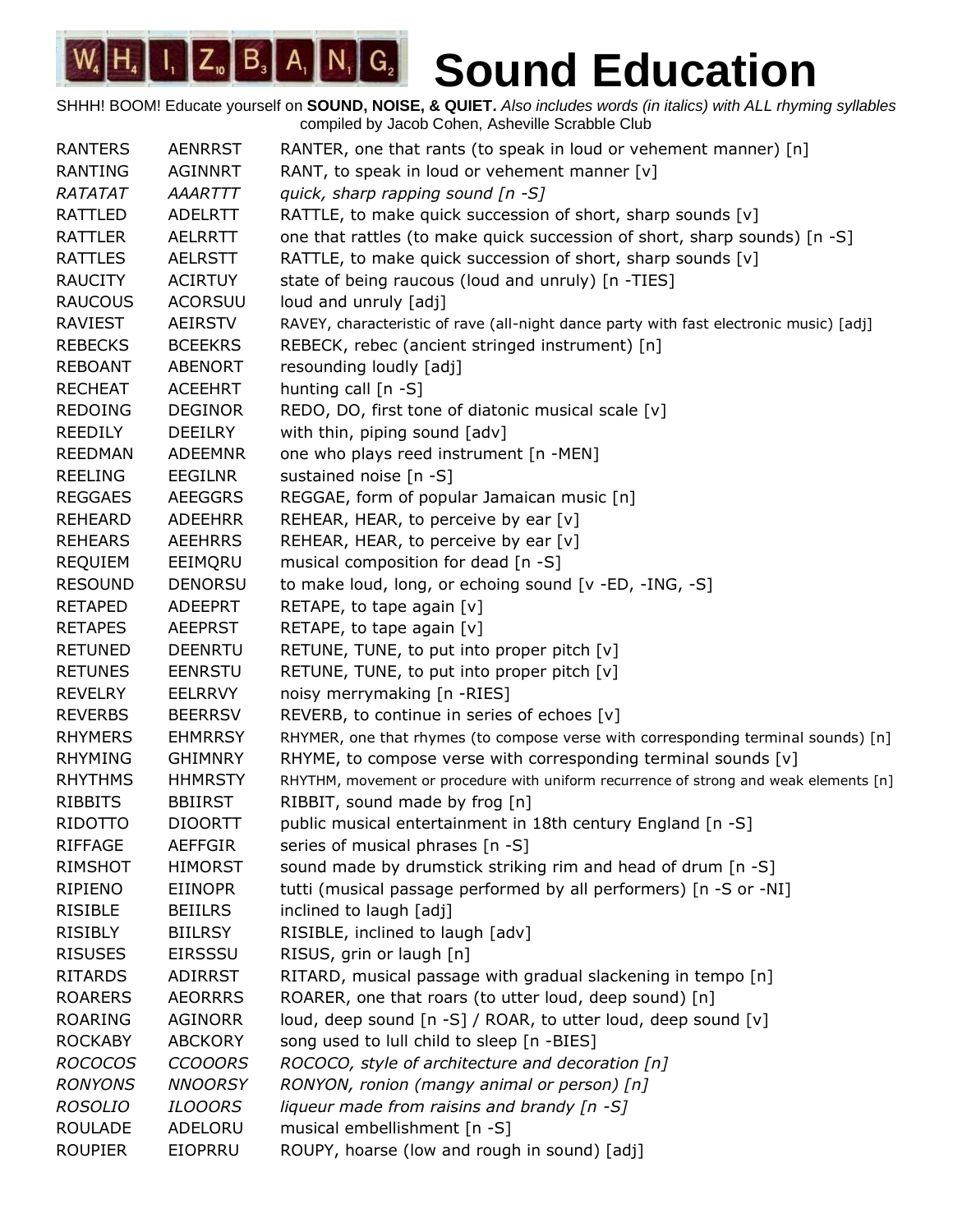| <b>RANTERS</b> | <b>AENRRST</b> | RANTER, one that rants (to speak in loud or vehement manner) [n]                       |
|----------------|----------------|----------------------------------------------------------------------------------------|
| <b>RANTING</b> | <b>AGINNRT</b> | RANT, to speak in loud or vehement manner [v]                                          |
| RATATAT        | AAARTTT        | quick, sharp rapping sound [n -S]                                                      |
| RATTLED        | ADELRTT        | RATTLE, to make quick succession of short, sharp sounds [v]                            |
| <b>RATTLER</b> | <b>AELRRTT</b> | one that rattles (to make quick succession of short, sharp sounds) [n -S]              |
| <b>RATTLES</b> | <b>AELRSTT</b> | RATTLE, to make quick succession of short, sharp sounds [v]                            |
| <b>RAUCITY</b> | <b>ACIRTUY</b> | state of being raucous (loud and unruly) [n -TIES]                                     |
| <b>RAUCOUS</b> | <b>ACORSUU</b> | loud and unruly [adj]                                                                  |
| RAVIEST        | AEIRSTV        | RAVEY, characteristic of rave (all-night dance party with fast electronic music) [adj] |
| <b>REBECKS</b> | <b>BCEEKRS</b> | REBECK, rebec (ancient stringed instrument) [n]                                        |
| <b>REBOANT</b> | <b>ABENORT</b> | resounding loudly [adj]                                                                |
| <b>RECHEAT</b> | <b>ACEEHRT</b> | hunting call [n -S]                                                                    |
| <b>REDOING</b> | <b>DEGINOR</b> | REDO, DO, first tone of diatonic musical scale [v]                                     |
| <b>REEDILY</b> | <b>DEEILRY</b> | with thin, piping sound [adv]                                                          |
| <b>REEDMAN</b> | ADEEMNR        | one who plays reed instrument [n -MEN]                                                 |
| <b>REELING</b> | EEGILNR        | sustained noise [n -S]                                                                 |
| <b>REGGAES</b> | <b>AEEGGRS</b> | REGGAE, form of popular Jamaican music [n]                                             |
| <b>REHEARD</b> | <b>ADEEHRR</b> | REHEAR, HEAR, to perceive by ear [v]                                                   |
| <b>REHEARS</b> | <b>AEEHRRS</b> | REHEAR, HEAR, to perceive by ear [v]                                                   |
| <b>REQUIEM</b> | EEIMQRU        | musical composition for dead [n -S]                                                    |
| <b>RESOUND</b> | <b>DENORSU</b> | to make loud, long, or echoing sound [v -ED, -ING, -S]                                 |
| <b>RETAPED</b> | <b>ADEEPRT</b> | RETAPE, to tape again [v]                                                              |
| <b>RETAPES</b> | <b>AEEPRST</b> | RETAPE, to tape again $[v]$                                                            |
| <b>RETUNED</b> | <b>DEENRTU</b> | RETUNE, TUNE, to put into proper pitch [v]                                             |
| <b>RETUNES</b> | <b>EENRSTU</b> | RETUNE, TUNE, to put into proper pitch [v]                                             |
| <b>REVELRY</b> | <b>EELRRVY</b> | noisy merrymaking [n -RIES]                                                            |
| <b>REVERBS</b> | <b>BEERRSV</b> | REVERB, to continue in series of echoes [v]                                            |
| <b>RHYMERS</b> | <b>EHMRRSY</b> | RHYMER, one that rhymes (to compose verse with corresponding terminal sounds) [n]      |
| <b>RHYMING</b> | <b>GHIMNRY</b> | RHYME, to compose verse with corresponding terminal sounds [v]                         |
| <b>RHYTHMS</b> | <b>HHMRSTY</b> | RHYTHM, movement or procedure with uniform recurrence of strong and weak elements [n]  |
| <b>RIBBITS</b> | <b>BBIIRST</b> | RIBBIT, sound made by frog [n]                                                         |
| <b>RIDOTTO</b> | <b>DIOORTT</b> | public musical entertainment in 18th century England [n -S]                            |
| RIFFAGE        | <b>AEFFGIR</b> | series of musical phrases [n -S]                                                       |
| <b>RIMSHOT</b> | <b>HIMORST</b> | sound made by drumstick striking rim and head of drum [n -S]                           |
| RIPIENO        | <b>EIINOPR</b> | tutti (musical passage performed by all performers) [n -S or -NI]                      |
| <b>RISIBLE</b> | <b>BEIILRS</b> | inclined to laugh [adj]                                                                |
| <b>RISIBLY</b> | <b>BIILRSY</b> | RISIBLE, inclined to laugh [adv]                                                       |
| <b>RISUSES</b> | <b>EIRSSSU</b> | RISUS, grin or laugh [n]                                                               |
| <b>RITARDS</b> | ADIRRST        | RITARD, musical passage with gradual slackening in tempo [n]                           |
| <b>ROARERS</b> | <b>AEORRRS</b> | ROARER, one that roars (to utter loud, deep sound) [n]                                 |
| <b>ROARING</b> | <b>AGINORR</b> | loud, deep sound [n -S] / ROAR, to utter loud, deep sound [v]                          |
| <b>ROCKABY</b> | <b>ABCKORY</b> | song used to lull child to sleep [n -BIES]                                             |
| <b>ROCOCOS</b> | <b>CCOOORS</b> | ROCOCO, style of architecture and decoration [n]                                       |
| <b>RONYONS</b> | <b>NNOORSY</b> | RONYON, ronion (mangy animal or person) [n]                                            |
| <b>ROSOLIO</b> | <b>ILOOORS</b> | liqueur made from raisins and brandy [n -S]                                            |
| <b>ROULADE</b> | ADELORU        | musical embellishment [n -S]                                                           |
| <b>ROUPIER</b> | EIOPRRU        | ROUPY, hoarse (low and rough in sound) [adj]                                           |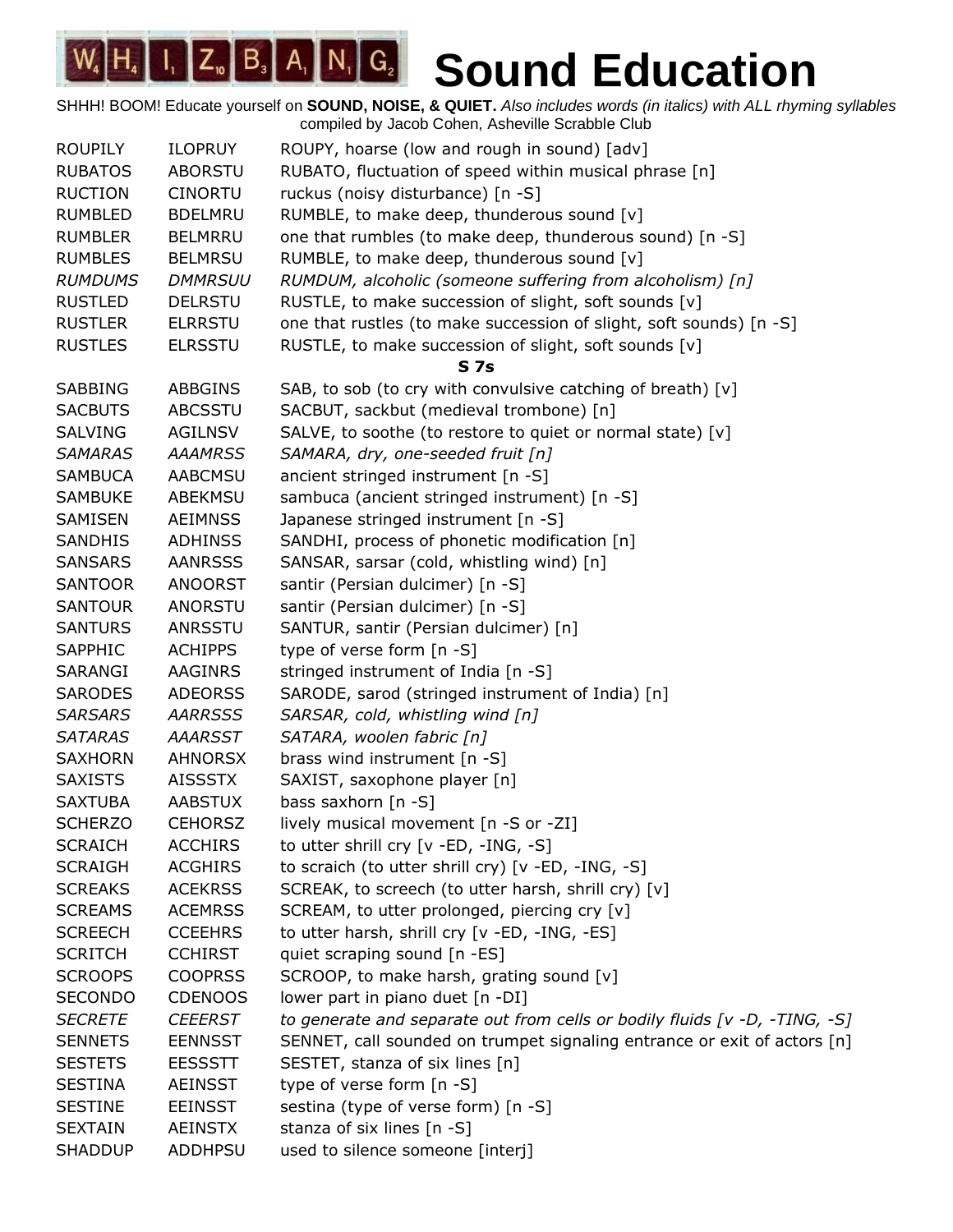| <b>ROUPILY</b> | <b>ILOPRUY</b> | ROUPY, hoarse (low and rough in sound) [adv]                               |
|----------------|----------------|----------------------------------------------------------------------------|
| <b>RUBATOS</b> | <b>ABORSTU</b> | RUBATO, fluctuation of speed within musical phrase [n]                     |
| <b>RUCTION</b> | <b>CINORTU</b> | ruckus (noisy disturbance) [n -S]                                          |
| <b>RUMBLED</b> | <b>BDELMRU</b> | RUMBLE, to make deep, thunderous sound [v]                                 |
| <b>RUMBLER</b> | <b>BELMRRU</b> | one that rumbles (to make deep, thunderous sound) [n -S]                   |
| <b>RUMBLES</b> | <b>BELMRSU</b> | RUMBLE, to make deep, thunderous sound [v]                                 |
| <b>RUMDUMS</b> | <b>DMMRSUU</b> | RUMDUM, alcoholic (someone suffering from alcoholism) [n]                  |
| <b>RUSTLED</b> | <b>DELRSTU</b> | RUSTLE, to make succession of slight, soft sounds [v]                      |
| <b>RUSTLER</b> | <b>ELRRSTU</b> | one that rustles (to make succession of slight, soft sounds) [n -S]        |
| <b>RUSTLES</b> | <b>ELRSSTU</b> | RUSTLE, to make succession of slight, soft sounds [v]                      |
|                |                | <b>S7s</b>                                                                 |
| <b>SABBING</b> | <b>ABBGINS</b> | SAB, to sob (to cry with convulsive catching of breath) [v]                |
| <b>SACBUTS</b> | <b>ABCSSTU</b> | SACBUT, sackbut (medieval trombone) [n]                                    |
| <b>SALVING</b> | <b>AGILNSV</b> | SALVE, to soothe (to restore to quiet or normal state) [v]                 |
| <b>SAMARAS</b> | <b>AAAMRSS</b> | SAMARA, dry, one-seeded fruit [n]                                          |
| <b>SAMBUCA</b> | <b>AABCMSU</b> | ancient stringed instrument [n -S]                                         |
| <b>SAMBUKE</b> | <b>ABEKMSU</b> | sambuca (ancient stringed instrument) [n -S]                               |
| SAMISEN        | <b>AEIMNSS</b> | Japanese stringed instrument [n -S]                                        |
| <b>SANDHIS</b> | <b>ADHINSS</b> | SANDHI, process of phonetic modification [n]                               |
| <b>SANSARS</b> | <b>AANRSSS</b> | SANSAR, sarsar (cold, whistling wind) [n]                                  |
| <b>SANTOOR</b> | <b>ANOORST</b> | santir (Persian dulcimer) [n -S]                                           |
| <b>SANTOUR</b> | ANORSTU        | santir (Persian dulcimer) [n -S]                                           |
| <b>SANTURS</b> | ANRSSTU        | SANTUR, santir (Persian dulcimer) [n]                                      |
| SAPPHIC        | <b>ACHIPPS</b> | type of verse form [n -S]                                                  |
| SARANGI        | AAGINRS        | stringed instrument of India [n -S]                                        |
| <b>SARODES</b> | <b>ADEORSS</b> | SARODE, sarod (stringed instrument of India) [n]                           |
| <b>SARSARS</b> | <b>AARRSSS</b> | SARSAR, cold, whistling wind [n]                                           |
| <b>SATARAS</b> | <b>AAARSST</b> | SATARA, woolen fabric [n]                                                  |
| <b>SAXHORN</b> | <b>AHNORSX</b> | brass wind instrument [n -S]                                               |
| <b>SAXISTS</b> | <b>AISSSTX</b> | SAXIST, saxophone player [n]                                               |
| <b>SAXTUBA</b> | <b>AABSTUX</b> | bass saxhorn $[n -S]$                                                      |
| <b>SCHERZO</b> | <b>CEHORSZ</b> | lively musical movement [n -S or -ZI]                                      |
| <b>SCRAICH</b> | <b>ACCHIRS</b> | to utter shrill cry [v -ED, -ING, -S]                                      |
| <b>SCRAIGH</b> | <b>ACGHIRS</b> | to scraich (to utter shrill cry) [v -ED, -ING, -S]                         |
| <b>SCREAKS</b> | <b>ACEKRSS</b> | SCREAK, to screech (to utter harsh, shrill cry) [v]                        |
| <b>SCREAMS</b> | <b>ACEMRSS</b> | SCREAM, to utter prolonged, piercing cry [v]                               |
| <b>SCREECH</b> | <b>CCEEHRS</b> | to utter harsh, shrill cry [v -ED, -ING, -ES]                              |
| <b>SCRITCH</b> | <b>CCHIRST</b> | quiet scraping sound [n -ES]                                               |
| <b>SCROOPS</b> | <b>COOPRSS</b> | SCROOP, to make harsh, grating sound [v]                                   |
| <b>SECONDO</b> | <b>CDENOOS</b> | lower part in piano duet [n -DI]                                           |
| <b>SECRETE</b> | <b>CEEERST</b> | to generate and separate out from cells or bodily fluids [v -D, -TING, -S] |
| <b>SENNETS</b> | <b>EENNSST</b> | SENNET, call sounded on trumpet signaling entrance or exit of actors [n]   |
| <b>SESTETS</b> | <b>EESSSTT</b> | SESTET, stanza of six lines [n]                                            |
| <b>SESTINA</b> | <b>AEINSST</b> | type of verse form [n -S]                                                  |
| <b>SESTINE</b> | <b>EEINSST</b> | sestina (type of verse form) [n -S]                                        |
| <b>SEXTAIN</b> | <b>AEINSTX</b> | stanza of six lines [n -S]                                                 |
| <b>SHADDUP</b> | <b>ADDHPSU</b> | used to silence someone [interj]                                           |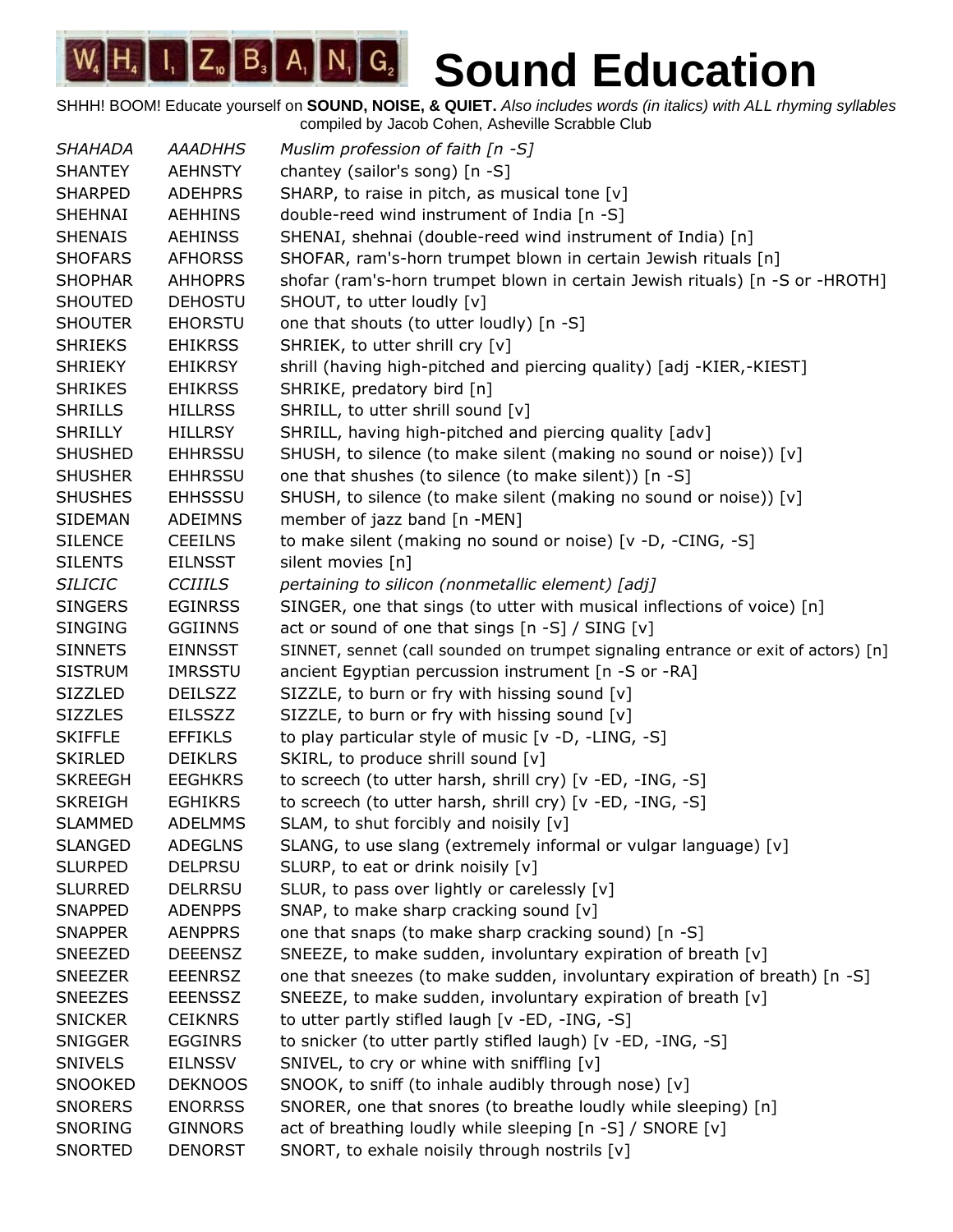| <b>SHAHADA</b> | <b>AAADHHS</b> | Muslim profession of faith $[n - S]$                                              |
|----------------|----------------|-----------------------------------------------------------------------------------|
| <b>SHANTEY</b> | <b>AEHNSTY</b> | chantey (sailor's song) [n -S]                                                    |
| <b>SHARPED</b> | <b>ADEHPRS</b> | SHARP, to raise in pitch, as musical tone [v]                                     |
| SHEHNAI        | <b>AEHHINS</b> | double-reed wind instrument of India [n -S]                                       |
| <b>SHENAIS</b> | <b>AEHINSS</b> | SHENAI, shehnai (double-reed wind instrument of India) [n]                        |
| <b>SHOFARS</b> | <b>AFHORSS</b> | SHOFAR, ram's-horn trumpet blown in certain Jewish rituals [n]                    |
| <b>SHOPHAR</b> | <b>AHHOPRS</b> | shofar (ram's-horn trumpet blown in certain Jewish rituals) [n -S or -HROTH]      |
| <b>SHOUTED</b> | <b>DEHOSTU</b> | SHOUT, to utter loudly [v]                                                        |
| <b>SHOUTER</b> | <b>EHORSTU</b> | one that shouts (to utter loudly) [n -S]                                          |
| <b>SHRIEKS</b> | <b>EHIKRSS</b> | SHRIEK, to utter shrill cry [v]                                                   |
| <b>SHRIEKY</b> | <b>EHIKRSY</b> | shrill (having high-pitched and piercing quality) [adj -KIER,-KIEST]              |
| <b>SHRIKES</b> | <b>EHIKRSS</b> | SHRIKE, predatory bird [n]                                                        |
| <b>SHRILLS</b> | <b>HILLRSS</b> | SHRILL, to utter shrill sound [v]                                                 |
| <b>SHRILLY</b> | HILLRSY        | SHRILL, having high-pitched and piercing quality [adv]                            |
| <b>SHUSHED</b> | <b>EHHRSSU</b> | SHUSH, to silence (to make silent (making no sound or noise)) [v]                 |
| <b>SHUSHER</b> | <b>EHHRSSU</b> | one that shushes (to silence (to make silent)) [n -S]                             |
| <b>SHUSHES</b> | <b>EHHSSSU</b> | SHUSH, to silence (to make silent (making no sound or noise)) [v]                 |
| <b>SIDEMAN</b> | <b>ADEIMNS</b> | member of jazz band [n -MEN]                                                      |
| <b>SILENCE</b> | <b>CEEILNS</b> | to make silent (making no sound or noise) [v -D, -CING, -S]                       |
| <b>SILENTS</b> | <b>EILNSST</b> | silent movies [n]                                                                 |
| <b>SILICIC</b> | <b>CCIIILS</b> | pertaining to silicon (nonmetallic element) [adj]                                 |
| <b>SINGERS</b> | <b>EGINRSS</b> | SINGER, one that sings (to utter with musical inflections of voice) [n]           |
| <b>SINGING</b> | <b>GGIINNS</b> | act or sound of one that sings [n -S] / SING [v]                                  |
| <b>SINNETS</b> | <b>EINNSST</b> | SINNET, sennet (call sounded on trumpet signaling entrance or exit of actors) [n] |
| <b>SISTRUM</b> | <b>IMRSSTU</b> | ancient Egyptian percussion instrument [n -S or -RA]                              |
| <b>SIZZLED</b> | <b>DEILSZZ</b> | SIZZLE, to burn or fry with hissing sound [v]                                     |
| <b>SIZZLES</b> | <b>EILSSZZ</b> | SIZZLE, to burn or fry with hissing sound [v]                                     |
| <b>SKIFFLE</b> | <b>EFFIKLS</b> | to play particular style of music [v -D, -LING, -S]                               |
| <b>SKIRLED</b> | <b>DEIKLRS</b> | SKIRL, to produce shrill sound [v]                                                |
| <b>SKREEGH</b> | <b>EEGHKRS</b> | to screech (to utter harsh, shrill cry) [v -ED, -ING, -S]                         |
| <b>SKREIGH</b> | <b>EGHIKRS</b> | to screech (to utter harsh, shrill cry) [v -ED, -ING, -S]                         |
| <b>SLAMMED</b> | <b>ADELMMS</b> | SLAM, to shut forcibly and noisily [v]                                            |
| <b>SLANGED</b> | <b>ADEGLNS</b> | SLANG, to use slang (extremely informal or vulgar language) [v]                   |
| <b>SLURPED</b> | <b>DELPRSU</b> | SLURP, to eat or drink noisily [v]                                                |
| <b>SLURRED</b> | <b>DELRRSU</b> | SLUR, to pass over lightly or carelessly [v]                                      |
| <b>SNAPPED</b> | <b>ADENPPS</b> | SNAP, to make sharp cracking sound [v]                                            |
| <b>SNAPPER</b> | <b>AENPPRS</b> | one that snaps (to make sharp cracking sound) [n -S]                              |
| <b>SNEEZED</b> | <b>DEEENSZ</b> | SNEEZE, to make sudden, involuntary expiration of breath [v]                      |
| <b>SNEEZER</b> | <b>EEENRSZ</b> | one that sneezes (to make sudden, involuntary expiration of breath) [n -S]        |
| <b>SNEEZES</b> | <b>EEENSSZ</b> | SNEEZE, to make sudden, involuntary expiration of breath [v]                      |
| <b>SNICKER</b> | <b>CEIKNRS</b> | to utter partly stifled laugh [v -ED, -ING, -S]                                   |
| <b>SNIGGER</b> | <b>EGGINRS</b> | to snicker (to utter partly stifled laugh) [v -ED, -ING, -S]                      |
| <b>SNIVELS</b> | <b>EILNSSV</b> | SNIVEL, to cry or whine with sniffling [v]                                        |
| SNOOKED        | <b>DEKNOOS</b> | SNOOK, to sniff (to inhale audibly through nose) [v]                              |
| <b>SNORERS</b> | <b>ENORRSS</b> | SNORER, one that snores (to breathe loudly while sleeping) [n]                    |
| <b>SNORING</b> | <b>GINNORS</b> | act of breathing loudly while sleeping [n -S] / SNORE [v]                         |
| <b>SNORTED</b> | <b>DENORST</b> | SNORT, to exhale noisily through nostrils [v]                                     |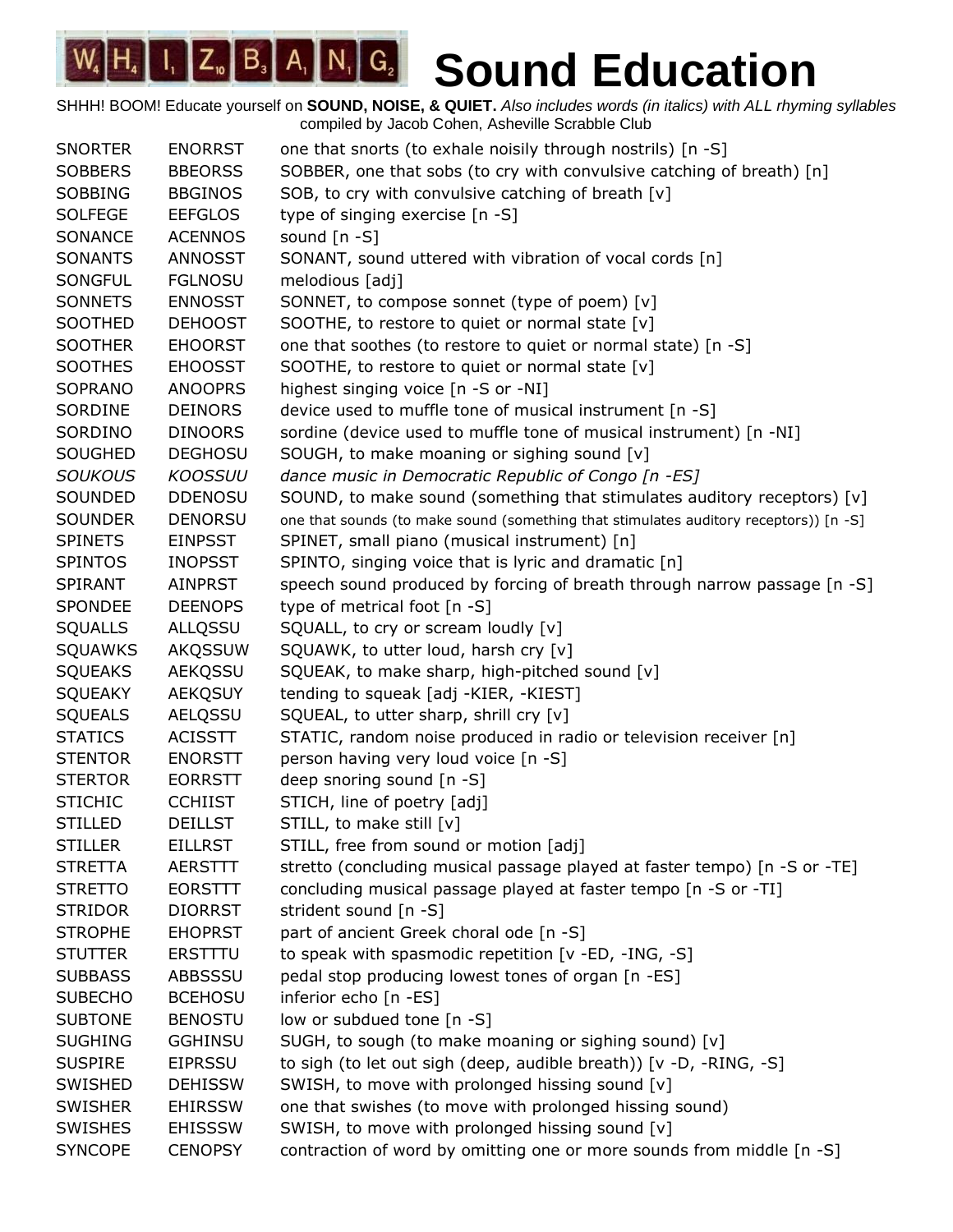| <b>SNORTER</b> | <b>ENORRST</b> | one that snorts (to exhale noisily through nostrils) [n -S]                           |
|----------------|----------------|---------------------------------------------------------------------------------------|
| <b>SOBBERS</b> | <b>BBEORSS</b> | SOBBER, one that sobs (to cry with convulsive catching of breath) [n]                 |
| <b>SOBBING</b> | <b>BBGINOS</b> | SOB, to cry with convulsive catching of breath [v]                                    |
| <b>SOLFEGE</b> | <b>EEFGLOS</b> | type of singing exercise [n -S]                                                       |
| SONANCE        | <b>ACENNOS</b> | sound [n -S]                                                                          |
| <b>SONANTS</b> | <b>ANNOSST</b> | SONANT, sound uttered with vibration of vocal cords [n]                               |
| <b>SONGFUL</b> | <b>FGLNOSU</b> | melodious [adj]                                                                       |
| <b>SONNETS</b> | <b>ENNOSST</b> | SONNET, to compose sonnet (type of poem) [v]                                          |
| SOOTHED        | <b>DEHOOST</b> | SOOTHE, to restore to quiet or normal state [v]                                       |
| <b>SOOTHER</b> | <b>EHOORST</b> | one that soothes (to restore to quiet or normal state) [n -S]                         |
| <b>SOOTHES</b> | <b>EHOOSST</b> | SOOTHE, to restore to quiet or normal state [v]                                       |
| SOPRANO        | <b>ANOOPRS</b> | highest singing voice [n -S or -NI]                                                   |
| SORDINE        | <b>DEINORS</b> | device used to muffle tone of musical instrument [n -S]                               |
| SORDINO        | <b>DINOORS</b> | sordine (device used to muffle tone of musical instrument) [n -NI]                    |
| <b>SOUGHED</b> | <b>DEGHOSU</b> | SOUGH, to make moaning or sighing sound [v]                                           |
| <b>SOUKOUS</b> | <b>KOOSSUU</b> | dance music in Democratic Republic of Congo [n -ES]                                   |
| SOUNDED        | <b>DDENOSU</b> | SOUND, to make sound (something that stimulates auditory receptors) [v]               |
| <b>SOUNDER</b> | <b>DENORSU</b> | one that sounds (to make sound (something that stimulates auditory receptors)) [n -S] |
| <b>SPINETS</b> | <b>EINPSST</b> | SPINET, small piano (musical instrument) [n]                                          |
| <b>SPINTOS</b> | <b>INOPSST</b> | SPINTO, singing voice that is lyric and dramatic [n]                                  |
| <b>SPIRANT</b> | <b>AINPRST</b> | speech sound produced by forcing of breath through narrow passage [n -S]              |
| SPONDEE        | <b>DEENOPS</b> | type of metrical foot [n -S]                                                          |
| <b>SQUALLS</b> | ALLQSSU        | SQUALL, to cry or scream loudly [v]                                                   |
| <b>SQUAWKS</b> | <b>AKQSSUW</b> | SQUAWK, to utter loud, harsh cry [v]                                                  |
| <b>SQUEAKS</b> | <b>AEKQSSU</b> | SQUEAK, to make sharp, high-pitched sound [v]                                         |
| <b>SQUEAKY</b> | <b>AEKQSUY</b> | tending to squeak [adj -KIER, -KIEST]                                                 |
| <b>SQUEALS</b> | AELQSSU        | SQUEAL, to utter sharp, shrill cry [v]                                                |
| <b>STATICS</b> | <b>ACISSTT</b> | STATIC, random noise produced in radio or television receiver [n]                     |
| <b>STENTOR</b> | <b>ENORSTT</b> | person having very loud voice [n -S]                                                  |
| <b>STERTOR</b> | <b>EORRSTT</b> | deep snoring sound [n -S]                                                             |
| <b>STICHIC</b> | <b>CCHIIST</b> | STICH, line of poetry [adj]                                                           |
| <b>STILLED</b> | <b>DEILLST</b> | STILL, to make still [v]                                                              |
| <b>STILLER</b> | <b>EILLRST</b> | STILL, free from sound or motion [adj]                                                |
| <b>STRETTA</b> | <b>AERSTTT</b> | stretto (concluding musical passage played at faster tempo) [n -S or -TE]             |
| <b>STRETTO</b> | <b>EORSTTT</b> | concluding musical passage played at faster tempo [n -S or -TI]                       |
| <b>STRIDOR</b> | <b>DIORRST</b> | strident sound [n -S]                                                                 |
| <b>STROPHE</b> | <b>EHOPRST</b> | part of ancient Greek choral ode [n -S]                                               |
| <b>STUTTER</b> | <b>ERSTTTU</b> | to speak with spasmodic repetition [v -ED, -ING, -S]                                  |
| <b>SUBBASS</b> | <b>ABBSSSU</b> | pedal stop producing lowest tones of organ [n -ES]                                    |
| <b>SUBECHO</b> | <b>BCEHOSU</b> | inferior echo [n -ES]                                                                 |
| <b>SUBTONE</b> | <b>BENOSTU</b> | low or subdued tone [n -S]                                                            |
| <b>SUGHING</b> | <b>GGHINSU</b> | SUGH, to sough (to make moaning or sighing sound) [v]                                 |
| <b>SUSPIRE</b> | <b>EIPRSSU</b> | to sigh (to let out sigh (deep, audible breath)) [v -D, -RING, -S]                    |
| SWISHED        | <b>DEHISSW</b> | SWISH, to move with prolonged hissing sound [v]                                       |
| <b>SWISHER</b> | <b>EHIRSSW</b> | one that swishes (to move with prolonged hissing sound)                               |
| <b>SWISHES</b> | <b>EHISSSW</b> | SWISH, to move with prolonged hissing sound [v]                                       |
| <b>SYNCOPE</b> | <b>CENOPSY</b> | contraction of word by omitting one or more sounds from middle [n -S]                 |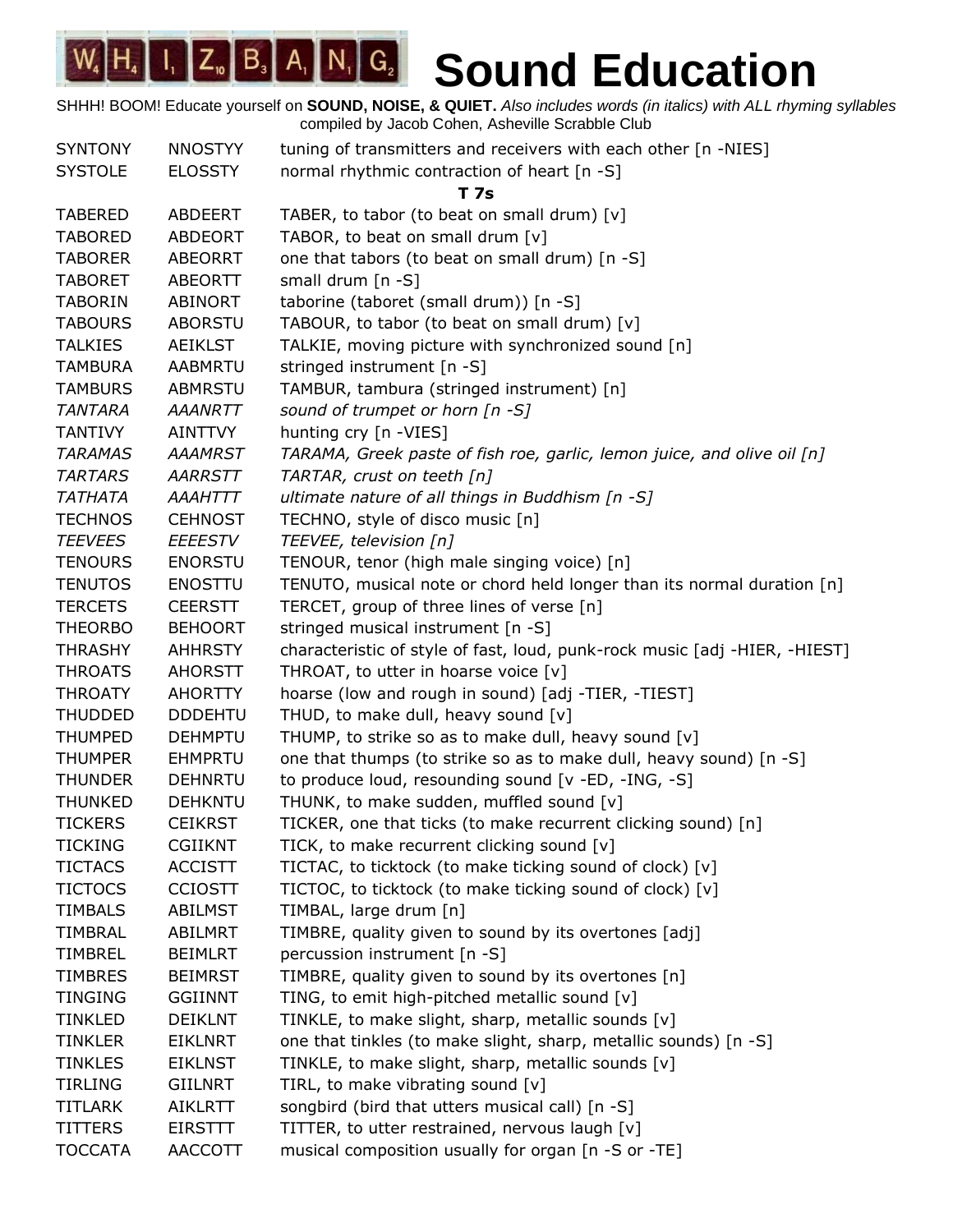| <b>SYNTONY</b> | <b>NNOSTYY</b> | tuning of transmitters and receivers with each other [n -NIES]             |
|----------------|----------------|----------------------------------------------------------------------------|
| <b>SYSTOLE</b> | <b>ELOSSTY</b> | normal rhythmic contraction of heart [n -S]                                |
|                |                | T 7s                                                                       |
| <b>TABERED</b> | <b>ABDEERT</b> | TABER, to tabor (to beat on small drum) [v]                                |
| <b>TABORED</b> | <b>ABDEORT</b> | TABOR, to beat on small drum [v]                                           |
| <b>TABORER</b> | <b>ABEORRT</b> | one that tabors (to beat on small drum) [n -S]                             |
| <b>TABORET</b> | <b>ABEORTT</b> | small drum $[n -S]$                                                        |
| <b>TABORIN</b> | <b>ABINORT</b> | taborine (taboret (small drum)) [n -S]                                     |
| <b>TABOURS</b> | <b>ABORSTU</b> | TABOUR, to tabor (to beat on small drum) [v]                               |
| <b>TALKIES</b> | <b>AEIKLST</b> | TALKIE, moving picture with synchronized sound [n]                         |
| <b>TAMBURA</b> | <b>AABMRTU</b> | stringed instrument [n -S]                                                 |
| <b>TAMBURS</b> | <b>ABMRSTU</b> | TAMBUR, tambura (stringed instrument) [n]                                  |
| <b>TANTARA</b> | <b>AAANRTT</b> | sound of trumpet or horn $[n -S]$                                          |
| <b>TANTIVY</b> | <b>AINTTVY</b> | hunting cry [n -VIES]                                                      |
| <b>TARAMAS</b> | <b>AAAMRST</b> | TARAMA, Greek paste of fish roe, garlic, lemon juice, and olive oil [n]    |
| <b>TARTARS</b> | AARRSTT        | TARTAR, crust on teeth [n]                                                 |
| <b>TATHATA</b> | <b>AAAHTTT</b> | ultimate nature of all things in Buddhism $[n - S]$                        |
| <b>TECHNOS</b> | <b>CEHNOST</b> | TECHNO, style of disco music [n]                                           |
| <b>TEEVEES</b> | <b>EEEESTV</b> | TEEVEE, television [n]                                                     |
| <b>TENOURS</b> | <b>ENORSTU</b> | TENOUR, tenor (high male singing voice) [n]                                |
| <b>TENUTOS</b> | <b>ENOSTTU</b> | TENUTO, musical note or chord held longer than its normal duration [n]     |
| <b>TERCETS</b> | <b>CEERSTT</b> | TERCET, group of three lines of verse [n]                                  |
| <b>THEORBO</b> | <b>BEHOORT</b> | stringed musical instrument [n -S]                                         |
| <b>THRASHY</b> | <b>AHHRSTY</b> | characteristic of style of fast, loud, punk-rock music [adj -HIER, -HIEST] |
| <b>THROATS</b> | <b>AHORSTT</b> | THROAT, to utter in hoarse voice [v]                                       |
| <b>THROATY</b> | <b>AHORTTY</b> | hoarse (low and rough in sound) [adj -TIER, -TIEST]                        |
| <b>THUDDED</b> | <b>DDDEHTU</b> | THUD, to make dull, heavy sound [v]                                        |
| <b>THUMPED</b> | <b>DEHMPTU</b> | THUMP, to strike so as to make dull, heavy sound [v]                       |
| <b>THUMPER</b> | <b>EHMPRTU</b> | one that thumps (to strike so as to make dull, heavy sound) [n -S]         |
| <b>THUNDER</b> | <b>DEHNRTU</b> | to produce loud, resounding sound [v -ED, -ING, -S]                        |
| <b>THUNKED</b> | <b>DEHKNTU</b> | THUNK, to make sudden, muffled sound [v]                                   |
| <b>TICKERS</b> | <b>CEIKRST</b> | TICKER, one that ticks (to make recurrent clicking sound) [n]              |
| TICKING        | <b>CGIIKNT</b> | TICK, to make recurrent clicking sound [v]                                 |
| <b>TICTACS</b> | <b>ACCISTT</b> | TICTAC, to ticktock (to make ticking sound of clock) [v]                   |
| <b>TICTOCS</b> | <b>CCIOSTT</b> | TICTOC, to ticktock (to make ticking sound of clock) [v]                   |
| <b>TIMBALS</b> | <b>ABILMST</b> | TIMBAL, large drum [n]                                                     |
| <b>TIMBRAL</b> | <b>ABILMRT</b> | TIMBRE, quality given to sound by its overtones [adj]                      |
| <b>TIMBREL</b> | <b>BEIMLRT</b> | percussion instrument [n -S]                                               |
| <b>TIMBRES</b> | <b>BEIMRST</b> | TIMBRE, quality given to sound by its overtones [n]                        |
| <b>TINGING</b> | <b>GGIINNT</b> | TING, to emit high-pitched metallic sound [v]                              |
| <b>TINKLED</b> | <b>DEIKLNT</b> | TINKLE, to make slight, sharp, metallic sounds [v]                         |
| <b>TINKLER</b> | <b>EIKLNRT</b> | one that tinkles (to make slight, sharp, metallic sounds) [n -S]           |
| <b>TINKLES</b> | <b>EIKLNST</b> | TINKLE, to make slight, sharp, metallic sounds [v]                         |
| <b>TIRLING</b> | GIILNRT        | TIRL, to make vibrating sound [v]                                          |
| <b>TITLARK</b> | <b>AIKLRTT</b> | songbird (bird that utters musical call) [n -S]                            |
| <b>TITTERS</b> | <b>EIRSTTT</b> | TITTER, to utter restrained, nervous laugh [v]                             |
| <b>TOCCATA</b> | <b>AACCOTT</b> | musical composition usually for organ [n -S or -TE]                        |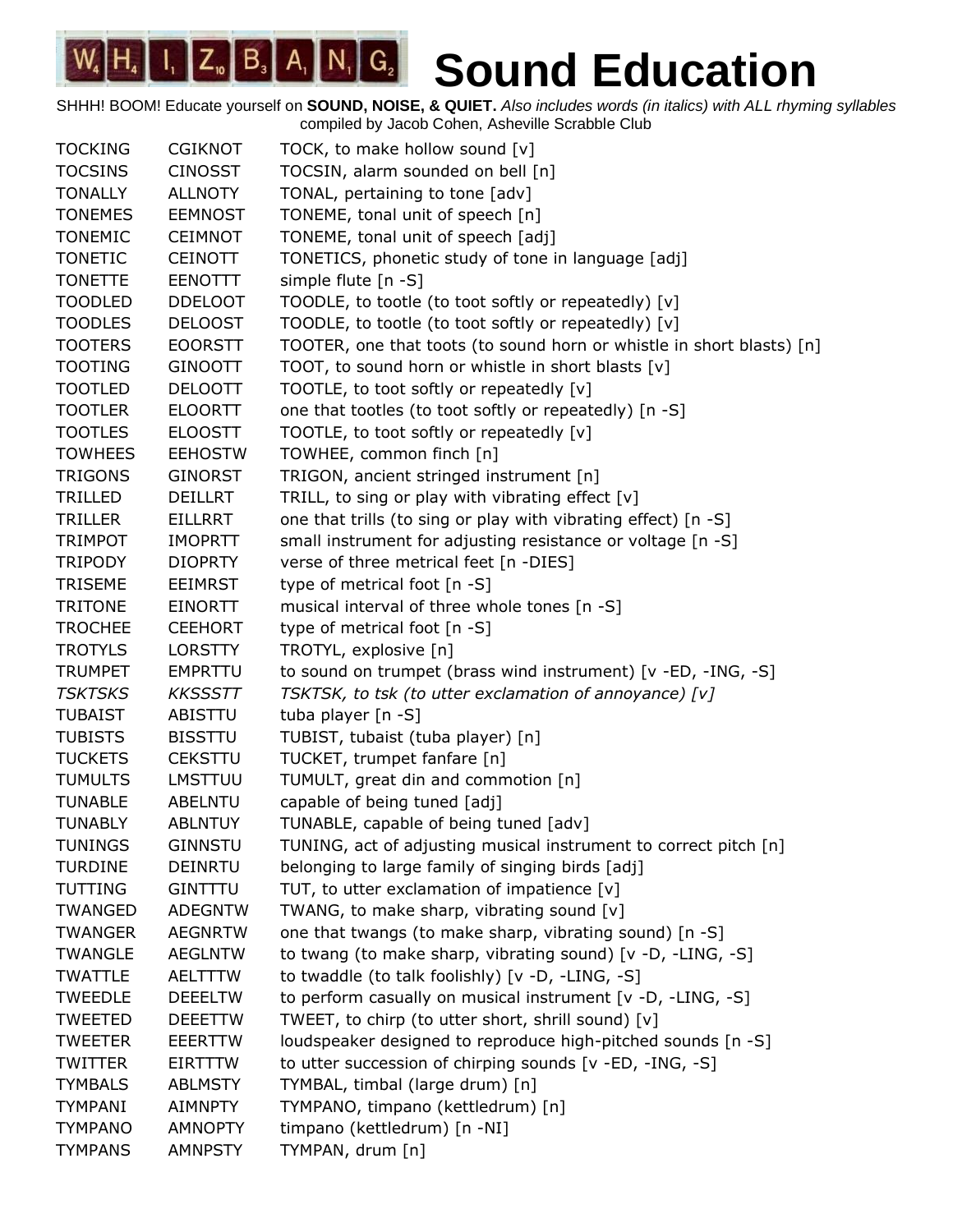| <b>TOCKING</b> | <b>CGIKNOT</b> | TOCK, to make hollow sound [v]                                        |
|----------------|----------------|-----------------------------------------------------------------------|
| <b>TOCSINS</b> | <b>CINOSST</b> | TOCSIN, alarm sounded on bell [n]                                     |
| <b>TONALLY</b> | <b>ALLNOTY</b> | TONAL, pertaining to tone [adv]                                       |
| <b>TONEMES</b> | <b>EEMNOST</b> | TONEME, tonal unit of speech [n]                                      |
| <b>TONEMIC</b> | <b>CEIMNOT</b> | TONEME, tonal unit of speech [adj]                                    |
| <b>TONETIC</b> | <b>CEINOTT</b> | TONETICS, phonetic study of tone in language [adj]                    |
| <b>TONETTE</b> | <b>EENOTTT</b> | simple flute [n -S]                                                   |
| <b>TOODLED</b> | <b>DDELOOT</b> | TOODLE, to tootle (to toot softly or repeatedly) [v]                  |
| <b>TOODLES</b> | <b>DELOOST</b> | TOODLE, to tootle (to toot softly or repeatedly) [v]                  |
| <b>TOOTERS</b> | <b>EOORSTT</b> | TOOTER, one that toots (to sound horn or whistle in short blasts) [n] |
| <b>TOOTING</b> | <b>GINOOTT</b> | TOOT, to sound horn or whistle in short blasts [v]                    |
| <b>TOOTLED</b> | <b>DELOOTT</b> | TOOTLE, to toot softly or repeatedly [v]                              |
| <b>TOOTLER</b> | <b>ELOORTT</b> | one that tootles (to toot softly or repeatedly) [n -S]                |
| <b>TOOTLES</b> | <b>ELOOSTT</b> | TOOTLE, to toot softly or repeatedly [v]                              |
| <b>TOWHEES</b> | <b>EEHOSTW</b> | TOWHEE, common finch [n]                                              |
| <b>TRIGONS</b> | <b>GINORST</b> | TRIGON, ancient stringed instrument [n]                               |
| TRILLED        | <b>DEILLRT</b> | TRILL, to sing or play with vibrating effect [v]                      |
| <b>TRILLER</b> | <b>EILLRRT</b> | one that trills (to sing or play with vibrating effect) [n -S]        |
| <b>TRIMPOT</b> | <b>IMOPRTT</b> | small instrument for adjusting resistance or voltage [n -S]           |
| <b>TRIPODY</b> | <b>DIOPRTY</b> | verse of three metrical feet [n -DIES]                                |
| <b>TRISEME</b> | <b>EEIMRST</b> | type of metrical foot [n -S]                                          |
| <b>TRITONE</b> | <b>EINORTT</b> | musical interval of three whole tones [n -S]                          |
| <b>TROCHEE</b> | <b>CEEHORT</b> | type of metrical foot [n -S]                                          |
| <b>TROTYLS</b> | <b>LORSTTY</b> | TROTYL, explosive [n]                                                 |
| <b>TRUMPET</b> | <b>EMPRTTU</b> | to sound on trumpet (brass wind instrument) [v -ED, -ING, -S]         |
| <b>TSKTSKS</b> | <b>KKSSSTT</b> | TSKTSK, to tsk (to utter exclamation of annoyance) [v]                |
| <b>TUBAIST</b> | <b>ABISTTU</b> | tuba player [n -S]                                                    |
| <b>TUBISTS</b> | <b>BISSTTU</b> | TUBIST, tubaist (tuba player) [n]                                     |
| <b>TUCKETS</b> | <b>CEKSTTU</b> | TUCKET, trumpet fanfare [n]                                           |
| <b>TUMULTS</b> | <b>LMSTTUU</b> | TUMULT, great din and commotion [n]                                   |
| <b>TUNABLE</b> | <b>ABELNTU</b> | capable of being tuned [adj]                                          |
| <b>TUNABLY</b> | <b>ABLNTUY</b> | TUNABLE, capable of being tuned [adv]                                 |
| <b>TUNINGS</b> | <b>GINNSTU</b> | TUNING, act of adjusting musical instrument to correct pitch [n]      |
| <b>TURDINE</b> | <b>DEINRTU</b> | belonging to large family of singing birds [adj]                      |
| <b>TUTTING</b> | <b>GINTTTU</b> | TUT, to utter exclamation of impatience [v]                           |
| TWANGED        | <b>ADEGNTW</b> | TWANG, to make sharp, vibrating sound [v]                             |
| <b>TWANGER</b> | <b>AEGNRTW</b> | one that twangs (to make sharp, vibrating sound) [n -S]               |
| <b>TWANGLE</b> | <b>AEGLNTW</b> | to twang (to make sharp, vibrating sound) [v -D, -LING, -S]           |
| <b>TWATTLE</b> | <b>AELTTTW</b> | to twaddle (to talk foolishly) [v -D, -LING, -S]                      |
| <b>TWEEDLE</b> | <b>DEEELTW</b> | to perform casually on musical instrument [v -D, -LING, -S]           |
| <b>TWEETED</b> | <b>DEEETTW</b> | TWEET, to chirp (to utter short, shrill sound) [v]                    |
| <b>TWEETER</b> | <b>EEERTTW</b> | loudspeaker designed to reproduce high-pitched sounds [n -S]          |
| <b>TWITTER</b> | EIRTTTW        | to utter succession of chirping sounds [v -ED, -ING, -S]              |
| <b>TYMBALS</b> | <b>ABLMSTY</b> | TYMBAL, timbal (large drum) [n]                                       |
| <b>TYMPANI</b> | <b>AIMNPTY</b> | TYMPANO, timpano (kettledrum) [n]                                     |
| <b>TYMPANO</b> | <b>AMNOPTY</b> | timpano (kettledrum) [n -NI]                                          |
| <b>TYMPANS</b> | <b>AMNPSTY</b> | TYMPAN, drum [n]                                                      |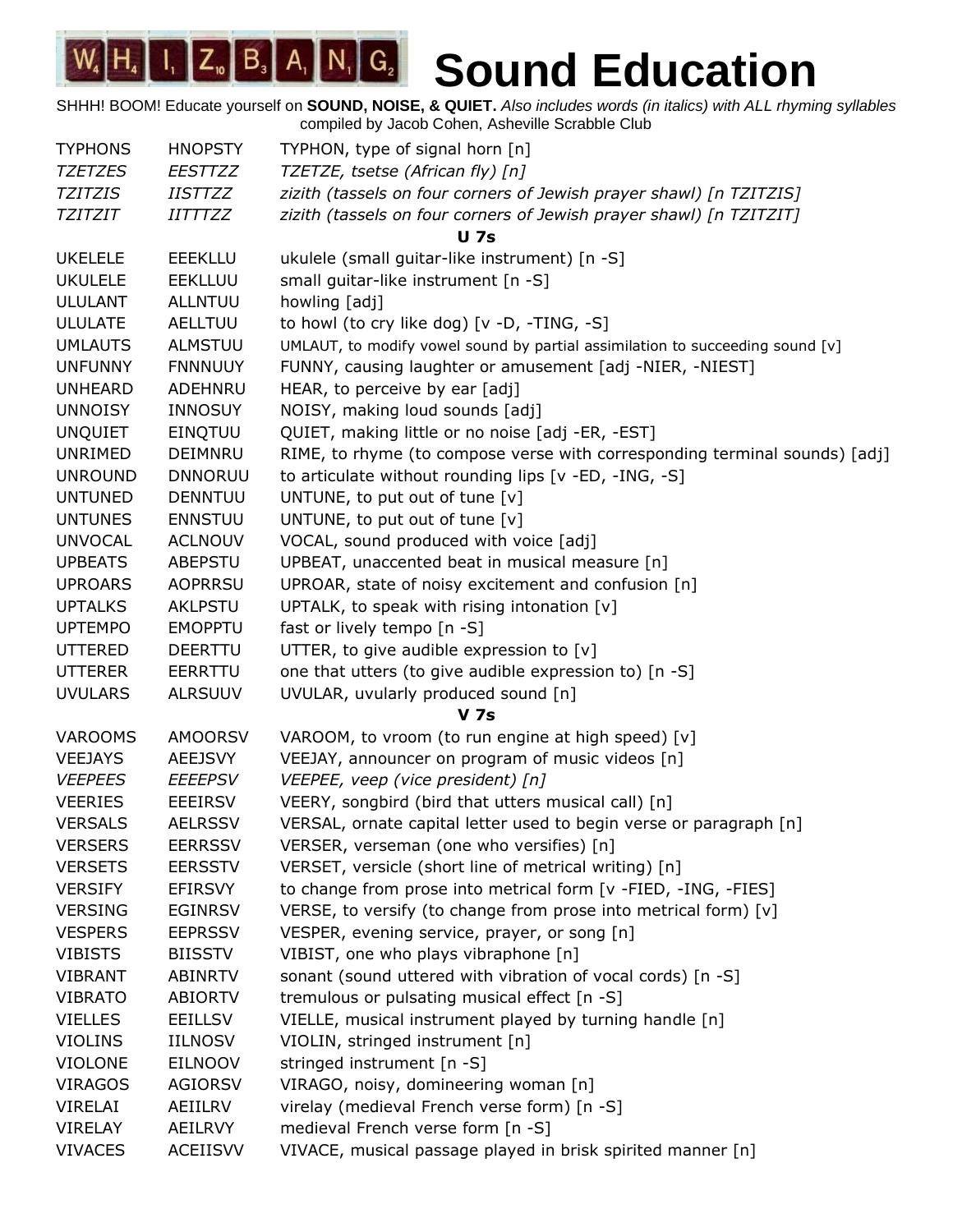| <b>TYPHONS</b> | <b>HNOPSTY</b>        | TYPHON, type of signal horn [n]                                               |
|----------------|-----------------------|-------------------------------------------------------------------------------|
| <b>TZETZES</b> | <b>EESTTZZ</b>        | TZETZE, tsetse (African fly) [n]                                              |
| <b>TZITZIS</b> | <i>IISTTZZ</i>        | zizith (tassels on four corners of Jewish prayer shawl) [n TZITZIS]           |
| TZITZIT        | <i><b>IITTTZZ</b></i> | zizith (tassels on four corners of Jewish prayer shawl) [n TZITZIT]           |
|                |                       | <b>U</b> 7s                                                                   |
| <b>UKELELE</b> | <b>EEEKLLU</b>        | ukulele (small guitar-like instrument) [n -S]                                 |
| <b>UKULELE</b> | <b>EEKLLUU</b>        | small guitar-like instrument [n -S]                                           |
| <b>ULULANT</b> | <b>ALLNTUU</b>        | howling [adj]                                                                 |
| <b>ULULATE</b> | AELLTUU               | to howl (to cry like dog) [v -D, -TING, -S]                                   |
| <b>UMLAUTS</b> | <b>ALMSTUU</b>        | UMLAUT, to modify vowel sound by partial assimilation to succeeding sound [v] |
| <b>UNFUNNY</b> | <b>FNNNUUY</b>        | FUNNY, causing laughter or amusement [adj -NIER, -NIEST]                      |
| <b>UNHEARD</b> | ADEHNRU               | HEAR, to perceive by ear [adj]                                                |
| <b>UNNOISY</b> | <b>INNOSUY</b>        | NOISY, making loud sounds [adj]                                               |
| <b>UNQUIET</b> | <b>EINQTUU</b>        | QUIET, making little or no noise [adj -ER, -EST]                              |
| UNRIMED        | <b>DEIMNRU</b>        | RIME, to rhyme (to compose verse with corresponding terminal sounds) [adj]    |
| <b>UNROUND</b> | <b>DNNORUU</b>        | to articulate without rounding lips [v -ED, -ING, -S]                         |
| <b>UNTUNED</b> | <b>DENNTUU</b>        | UNTUNE, to put out of tune [v]                                                |
| <b>UNTUNES</b> | <b>ENNSTUU</b>        | UNTUNE, to put out of tune [v]                                                |
| <b>UNVOCAL</b> | <b>ACLNOUV</b>        | VOCAL, sound produced with voice [adj]                                        |
| <b>UPBEATS</b> | <b>ABEPSTU</b>        | UPBEAT, unaccented beat in musical measure [n]                                |
| <b>UPROARS</b> | <b>AOPRRSU</b>        | UPROAR, state of noisy excitement and confusion [n]                           |
| <b>UPTALKS</b> | <b>AKLPSTU</b>        | UPTALK, to speak with rising intonation [v]                                   |
| <b>UPTEMPO</b> | <b>EMOPPTU</b>        | fast or lively tempo [n -S]                                                   |
| <b>UTTERED</b> | <b>DEERTTU</b>        | UTTER, to give audible expression to [v]                                      |
| <b>UTTERER</b> | EERRTTU               | one that utters (to give audible expression to) [n -S]                        |
| <b>UVULARS</b> | <b>ALRSUUV</b>        | UVULAR, uvularly produced sound [n]                                           |
|                |                       | <b>V</b> 7s                                                                   |
| <b>VAROOMS</b> | <b>AMOORSV</b>        | VAROOM, to vroom (to run engine at high speed) [v]                            |
| <b>VEEJAYS</b> | <b>AEEJSVY</b>        | VEEJAY, announcer on program of music videos [n]                              |
| <b>VEEPEES</b> | EEEEPSV               | VEEPEE, veep (vice president) [n]                                             |
| <b>VEERIES</b> | <b>EEEIRSV</b>        | VEERY, songbird (bird that utters musical call) [n]                           |
| <b>VERSALS</b> | <b>AELRSSV</b>        | VERSAL, ornate capital letter used to begin verse or paragraph [n]            |
| <b>VERSERS</b> | <b>EERRSSV</b>        | VERSER, verseman (one who versifies) [n]                                      |
| <b>VERSETS</b> | <b>EERSSTV</b>        | VERSET, versicle (short line of metrical writing) [n]                         |
| <b>VERSIFY</b> | EFIRSVY               | to change from prose into metrical form [v -FIED, -ING, -FIES]                |
| <b>VERSING</b> | <b>EGINRSV</b>        | VERSE, to versify (to change from prose into metrical form) [v]               |
| <b>VESPERS</b> | <b>EEPRSSV</b>        | VESPER, evening service, prayer, or song [n]                                  |
| <b>VIBISTS</b> | <b>BIISSTV</b>        | VIBIST, one who plays vibraphone [n]                                          |
| <b>VIBRANT</b> | <b>ABINRTV</b>        | sonant (sound uttered with vibration of vocal cords) [n -S]                   |
| <b>VIBRATO</b> | <b>ABIORTV</b>        | tremulous or pulsating musical effect [n -S]                                  |
| <b>VIELLES</b> | <b>EEILLSV</b>        | VIELLE, musical instrument played by turning handle [n]                       |
| <b>VIOLINS</b> | <b>IILNOSV</b>        | VIOLIN, stringed instrument [n]                                               |
| <b>VIOLONE</b> | <b>EILNOOV</b>        | stringed instrument [n -S]                                                    |
| <b>VIRAGOS</b> | <b>AGIORSV</b>        | VIRAGO, noisy, domineering woman [n]                                          |
| VIRELAI        | AEIILRV               | virelay (medieval French verse form) [n -S]                                   |
| <b>VIRELAY</b> | AEILRVY               | medieval French verse form [n -S]                                             |
| <b>VIVACES</b> | <b>ACEIISVV</b>       | VIVACE, musical passage played in brisk spirited manner [n]                   |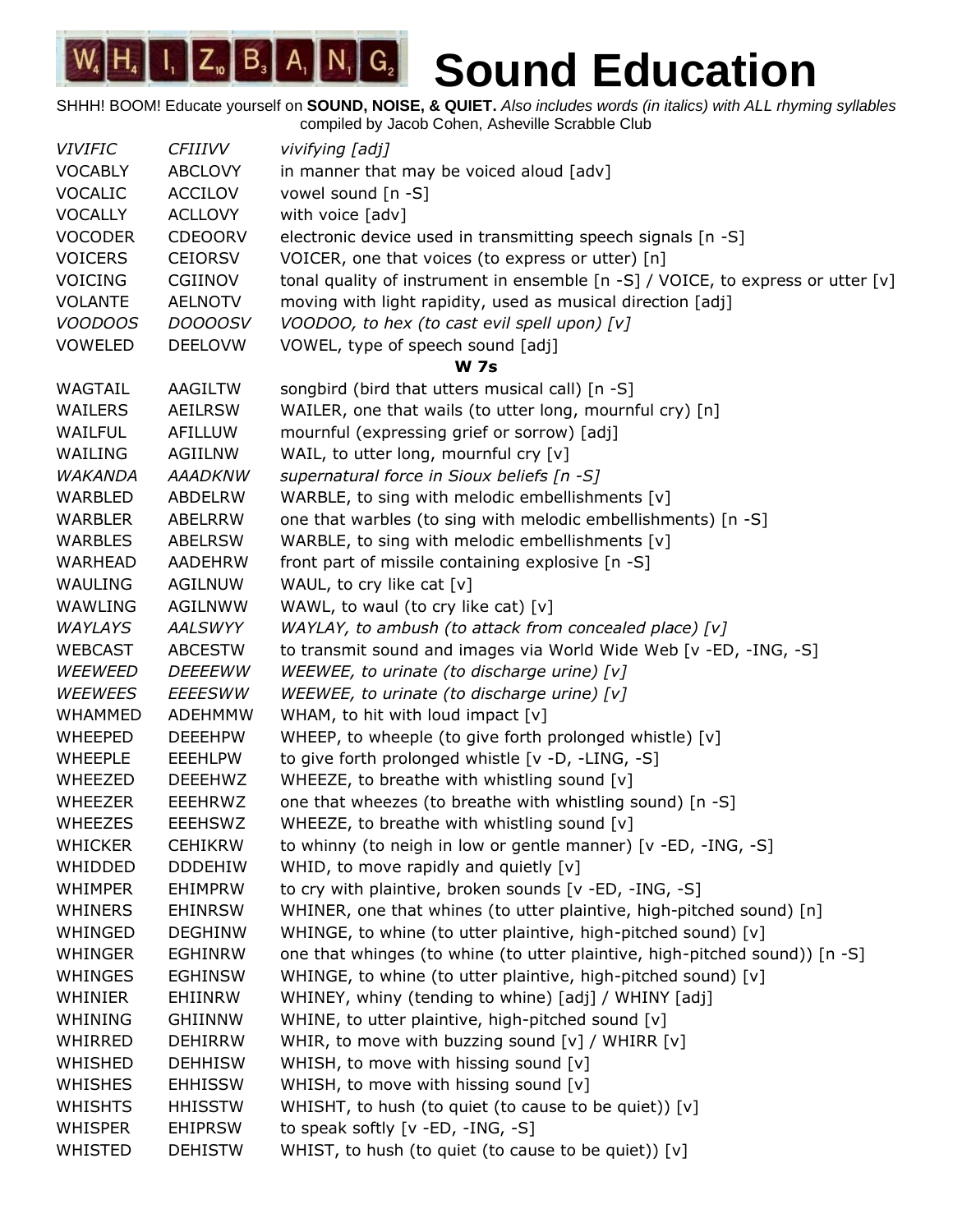| <b>VIVIFIC</b> | <i>CFIIIVV</i> | vivifying [adj]                                                                 |
|----------------|----------------|---------------------------------------------------------------------------------|
| <b>VOCABLY</b> | <b>ABCLOVY</b> | in manner that may be voiced aloud [adv]                                        |
| <b>VOCALIC</b> | <b>ACCILOV</b> | vowel sound [n -S]                                                              |
| <b>VOCALLY</b> | <b>ACLLOVY</b> | with voice [adv]                                                                |
| <b>VOCODER</b> | <b>CDEOORV</b> | electronic device used in transmitting speech signals [n -S]                    |
| <b>VOICERS</b> | <b>CEIORSV</b> | VOICER, one that voices (to express or utter) [n]                               |
| <b>VOICING</b> | CGIINOV        | tonal quality of instrument in ensemble [n -S] / VOICE, to express or utter [v] |
| <b>VOLANTE</b> | <b>AELNOTV</b> | moving with light rapidity, used as musical direction [adj]                     |
| <b>VOODOOS</b> | <b>DOOOOSV</b> | VOODOO, to hex (to cast evil spell upon) [v]                                    |
| <b>VOWELED</b> | <b>DEELOVW</b> | VOWEL, type of speech sound [adj]                                               |
|                |                | <b>W</b> 7s                                                                     |
| WAGTAIL        | AAGILTW        | songbird (bird that utters musical call) [n -S]                                 |
| WAILERS        | <b>AEILRSW</b> | WAILER, one that wails (to utter long, mournful cry) [n]                        |
| WAILFUL        | AFILLUW        | mournful (expressing grief or sorrow) [adj]                                     |
| WAILING        | AGIILNW        | WAIL, to utter long, mournful cry [v]                                           |
| WAKANDA        | <b>AAADKNW</b> | supernatural force in Sioux beliefs [n -S]                                      |
| WARBLED        | ABDELRW        | WARBLE, to sing with melodic embellishments [v]                                 |
| <b>WARBLER</b> | ABELRRW        | one that warbles (to sing with melodic embellishments) [n -S]                   |
| WARBLES        | <b>ABELRSW</b> | WARBLE, to sing with melodic embellishments [v]                                 |
| WARHEAD        | AADEHRW        | front part of missile containing explosive [n -S]                               |
| WAULING        | <b>AGILNUW</b> | WAUL, to cry like cat [v]                                                       |
| WAWLING        | <b>AGILNWW</b> | WAWL, to waul (to cry like cat) [v]                                             |
| <b>WAYLAYS</b> | AALSWYY        | WAYLAY, to ambush (to attack from concealed place) [v]                          |
| <b>WEBCAST</b> | <b>ABCESTW</b> | to transmit sound and images via World Wide Web [v -ED, -ING, -S]               |
| <b>WEEWEED</b> | <b>DEEEEWW</b> | WEEWEE, to urinate (to discharge urine) [v]                                     |
| <b>WEEWEES</b> | <b>EEEESWW</b> | WEEWEE, to urinate (to discharge urine) [v]                                     |
| <b>WHAMMED</b> | <b>ADEHMMW</b> | WHAM, to hit with loud impact [v]                                               |
| <b>WHEEPED</b> | <b>DEEEHPW</b> | WHEEP, to wheeple (to give forth prolonged whistle) [v]                         |
| <b>WHEEPLE</b> | <b>EEEHLPW</b> | to give forth prolonged whistle [v -D, -LING, -S]                               |
| WHEEZED        | <b>DEEEHWZ</b> | WHEEZE, to breathe with whistling sound [v]                                     |
| WHEEZER        | EEEHRWZ        | one that wheezes (to breathe with whistling sound) [n -S]                       |
| <b>WHEEZES</b> | <b>EEEHSWZ</b> | WHEEZE, to breathe with whistling sound [v]                                     |
| <b>WHICKER</b> | <b>CEHIKRW</b> | to whinny (to neigh in low or gentle manner) [v -ED, -ING, -S]                  |
| WHIDDED        | <b>DDDEHIW</b> | WHID, to move rapidly and quietly $[v]$                                         |
| <b>WHIMPER</b> | <b>EHIMPRW</b> | to cry with plaintive, broken sounds [v -ED, -ING, -S]                          |
| <b>WHINERS</b> | <b>EHINRSW</b> | WHINER, one that whines (to utter plaintive, high-pitched sound) [n]            |
| WHINGED        | <b>DEGHINW</b> | WHINGE, to whine (to utter plaintive, high-pitched sound) [v]                   |
| <b>WHINGER</b> | <b>EGHINRW</b> | one that whinges (to whine (to utter plaintive, high-pitched sound)) [n -S]     |
| <b>WHINGES</b> | <b>EGHINSW</b> | WHINGE, to whine (to utter plaintive, high-pitched sound) [v]                   |
| <b>WHINIER</b> | EHIINRW        | WHINEY, whiny (tending to whine) [adj] / WHINY [adj]                            |
| WHINING        | <b>GHIINNW</b> | WHINE, to utter plaintive, high-pitched sound [v]                               |
| WHIRRED        | <b>DEHIRRW</b> | WHIR, to move with buzzing sound [v] / WHIRR [v]                                |
| WHISHED        | <b>DEHHISW</b> | WHISH, to move with hissing sound [v]                                           |
| <b>WHISHES</b> | <b>EHHISSW</b> | WHISH, to move with hissing sound [v]                                           |
| <b>WHISHTS</b> | <b>HHISSTW</b> | WHISHT, to hush (to quiet (to cause to be quiet)) [v]                           |
| <b>WHISPER</b> | <b>EHIPRSW</b> | to speak softly [v -ED, -ING, -S]                                               |
| WHISTED        | <b>DEHISTW</b> | WHIST, to hush (to quiet (to cause to be quiet)) [v]                            |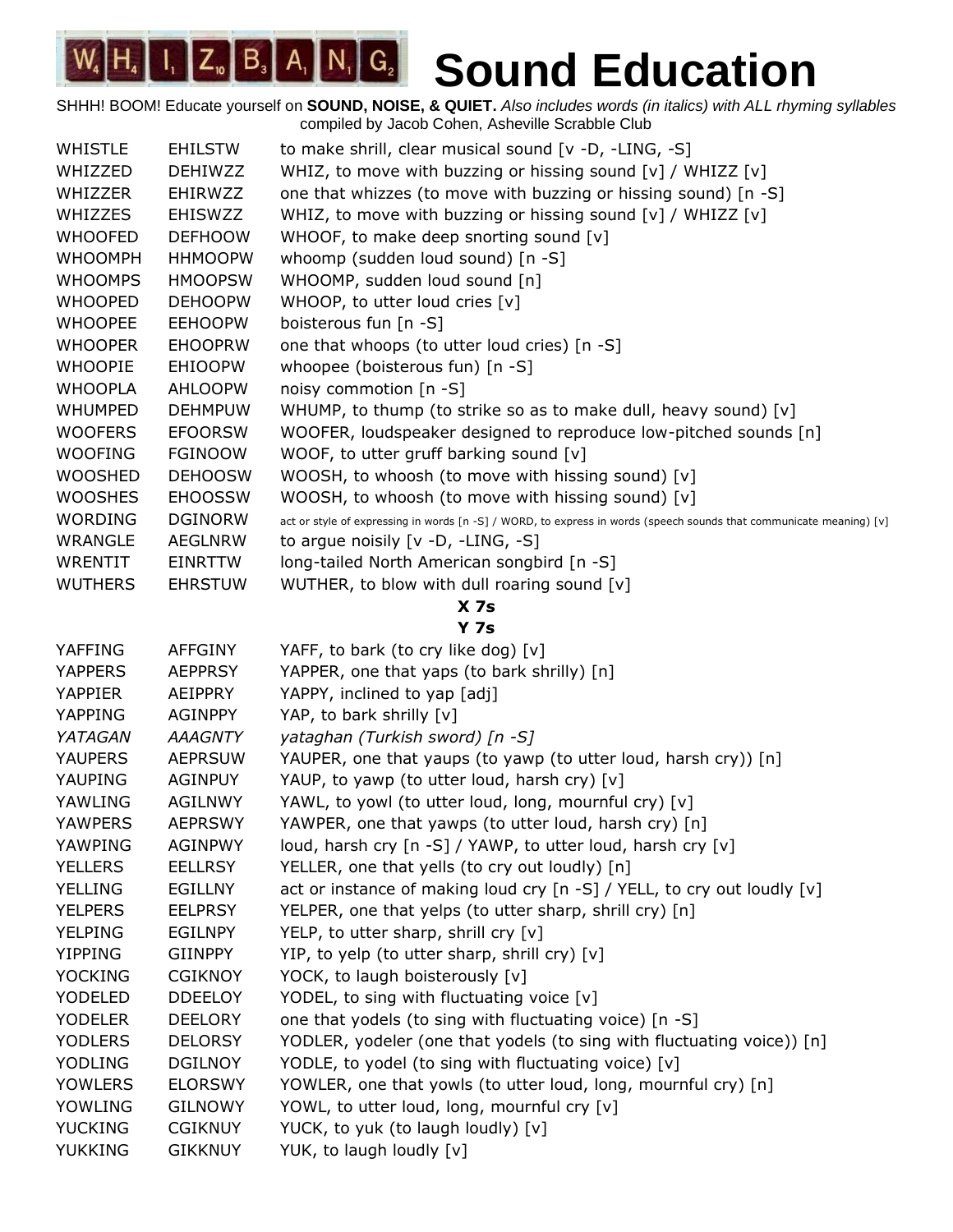| <b>WHISTLE</b>  | <b>EHILSTW</b> | to make shrill, clear musical sound [v -D, -LING, -S]                                                               |  |  |
|-----------------|----------------|---------------------------------------------------------------------------------------------------------------------|--|--|
| WHIZZED         | <b>DEHIWZZ</b> | WHIZ, to move with buzzing or hissing sound [v] / WHIZZ [v]                                                         |  |  |
| <b>WHIZZER</b>  | <b>EHIRWZZ</b> | one that whizzes (to move with buzzing or hissing sound) [n -S]                                                     |  |  |
| <b>WHIZZES</b>  | <b>EHISWZZ</b> | WHIZ, to move with buzzing or hissing sound [v] / WHIZZ [v]                                                         |  |  |
| <b>WHOOFED</b>  | <b>DEFHOOW</b> | WHOOF, to make deep snorting sound [v]                                                                              |  |  |
| <b>WHOOMPH</b>  | <b>HHMOOPW</b> | whoomp (sudden loud sound) [n -S]                                                                                   |  |  |
| <b>WHOOMPS</b>  | <b>HMOOPSW</b> | WHOOMP, sudden loud sound [n]                                                                                       |  |  |
| <b>WHOOPED</b>  | <b>DEHOOPW</b> | WHOOP, to utter loud cries [v]                                                                                      |  |  |
| <b>WHOOPEE</b>  | <b>EEHOOPW</b> | boisterous fun [n -S]                                                                                               |  |  |
| <b>WHOOPER</b>  | <b>EHOOPRW</b> | one that whoops (to utter loud cries) [n -S]                                                                        |  |  |
| <b>WHOOPIE</b>  | <b>EHIOOPW</b> | whoopee (boisterous fun) [n -S]                                                                                     |  |  |
| <b>WHOOPLA</b>  | <b>AHLOOPW</b> | noisy commotion [n -S]                                                                                              |  |  |
| <b>WHUMPED</b>  | <b>DEHMPUW</b> | WHUMP, to thump (to strike so as to make dull, heavy sound) [v]                                                     |  |  |
| <b>WOOFERS</b>  | <b>EFOORSW</b> | WOOFER, loudspeaker designed to reproduce low-pitched sounds [n]                                                    |  |  |
| <b>WOOFING</b>  | <b>FGINOOW</b> | WOOF, to utter gruff barking sound [v]                                                                              |  |  |
| <b>WOOSHED</b>  | <b>DEHOOSW</b> | WOOSH, to whoosh (to move with hissing sound) [v]                                                                   |  |  |
| <b>WOOSHES</b>  | <b>EHOOSSW</b> | WOOSH, to whoosh (to move with hissing sound) [v]                                                                   |  |  |
| <b>WORDING</b>  | <b>DGINORW</b> | act or style of expressing in words [n -S] / WORD, to express in words (speech sounds that communicate meaning) [v] |  |  |
| <b>WRANGLE</b>  | <b>AEGLNRW</b> | to argue noisily $[v -D, -LING, -S]$                                                                                |  |  |
| <b>WRENTIT</b>  | EINRTTW        | long-tailed North American songbird [n -S]                                                                          |  |  |
| <b>WUTHERS</b>  | <b>EHRSTUW</b> | WUTHER, to blow with dull roaring sound [v]                                                                         |  |  |
| X <sub>7s</sub> |                |                                                                                                                     |  |  |
|                 |                | <b>Y 7s</b>                                                                                                         |  |  |
| YAFFING         | <b>AFFGINY</b> | YAFF, to bark (to cry like dog) [v]                                                                                 |  |  |
| <b>YAPPERS</b>  | <b>AEPPRSY</b> | YAPPER, one that yaps (to bark shrilly) [n]                                                                         |  |  |
| <b>YAPPIER</b>  | <b>AEIPPRY</b> | YAPPY, inclined to yap [adj]                                                                                        |  |  |
| <b>YAPPING</b>  | <b>AGINPPY</b> | YAP, to bark shrilly [v]                                                                                            |  |  |
| YATAGAN         | <b>AAAGNTY</b> | yataghan (Turkish sword) [n -S]                                                                                     |  |  |
| <b>YAUPERS</b>  | <b>AEPRSUW</b> | YAUPER, one that yaups (to yawp (to utter loud, harsh cry)) [n]                                                     |  |  |
| YAUPING         | <b>AGINPUY</b> | YAUP, to yawp (to utter loud, harsh cry) [v]                                                                        |  |  |
| YAWLING         | AGILNWY        | YAWL, to yowl (to utter loud, long, mournful cry) [v]                                                               |  |  |
| <b>YAWPERS</b>  | <b>AEPRSWY</b> | YAWPER, one that yawps (to utter loud, harsh cry) [n]                                                               |  |  |
| YAWPING         | <b>AGINPWY</b> | loud, harsh cry [n -S] / YAWP, to utter loud, harsh cry [v]                                                         |  |  |
| <b>YELLERS</b>  | <b>EELLRSY</b> | YELLER, one that yells (to cry out loudly) [n]                                                                      |  |  |
| <b>YELLING</b>  | <b>EGILLNY</b> | act or instance of making loud cry [n -S] / YELL, to cry out loudly [v]                                             |  |  |
| <b>YELPERS</b>  | <b>EELPRSY</b> | YELPER, one that yelps (to utter sharp, shrill cry) [n]                                                             |  |  |
| <b>YELPING</b>  | EGILNPY        | YELP, to utter sharp, shrill cry [v]                                                                                |  |  |
| <b>YIPPING</b>  | <b>GIINPPY</b> | YIP, to yelp (to utter sharp, shrill cry) [v]                                                                       |  |  |
| <b>YOCKING</b>  | <b>CGIKNOY</b> | YOCK, to laugh boisterously [v]                                                                                     |  |  |
| YODELED         | <b>DDEELOY</b> | YODEL, to sing with fluctuating voice [v]                                                                           |  |  |
| <b>YODELER</b>  | <b>DEELORY</b> | one that yodels (to sing with fluctuating voice) [n -S]                                                             |  |  |
| <b>YODLERS</b>  | <b>DELORSY</b> | YODLER, yodeler (one that yodels (to sing with fluctuating voice)) [n]                                              |  |  |
| YODLING         | <b>DGILNOY</b> | YODLE, to yodel (to sing with fluctuating voice) [v]                                                                |  |  |
| <b>YOWLERS</b>  | <b>ELORSWY</b> | YOWLER, one that yowls (to utter loud, long, mournful cry) [n]                                                      |  |  |
| YOWLING         | <b>GILNOWY</b> | YOWL, to utter loud, long, mournful cry [v]                                                                         |  |  |
| <b>YUCKING</b>  | <b>CGIKNUY</b> | YUCK, to yuk (to laugh loudly) [v]                                                                                  |  |  |
| <b>YUKKING</b>  | <b>GIKKNUY</b> | YUK, to laugh loudly [v]                                                                                            |  |  |